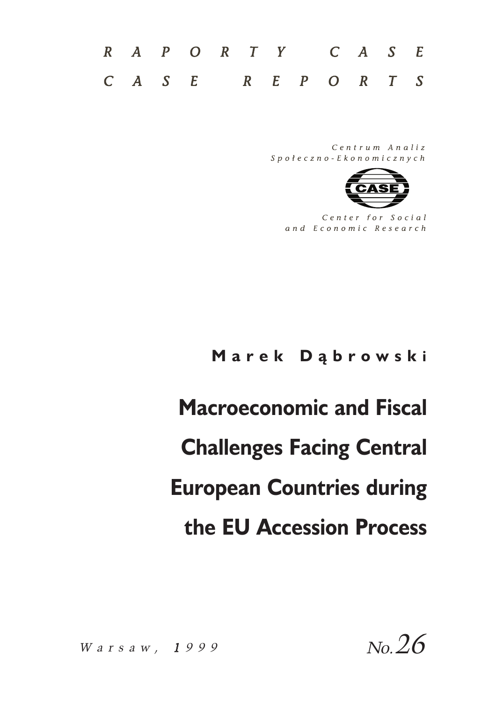

Centrum Analiz Społeczno-Ekonomicznych



Center for Social and Economic Research

# **M a r e k D ¹ b r o w s k i**

# **Macroeconomic and Fiscal Challenges Facing Central European Countries during the EU Accession Process**

W a r s a w , 1 9 9 9  $N_0.26$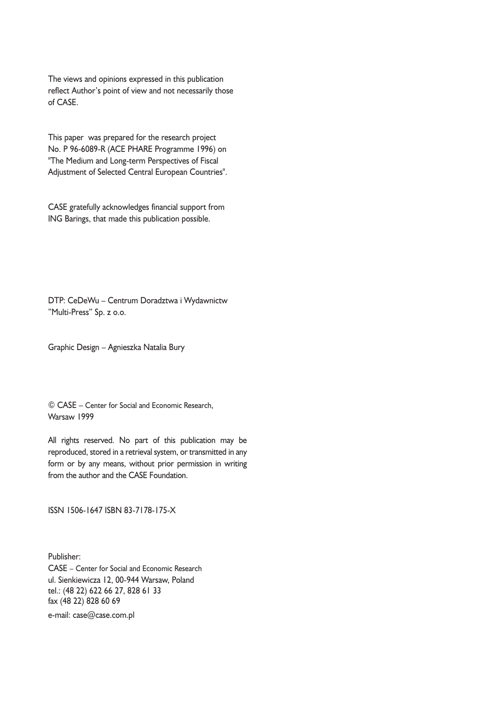The views and opinions expressed in this publication reflect Author's point of view and not necessarily those of CASE.

This paper was prepared for the research project No. P 96-6089-R (ACE PHARE Programme 1996) on "The Medium and Long-term Perspectives of Fiscal Adjustment of Selected Central European Countries".

CASE gratefully acknowledges financial support from ING Barings, that made this publication possible.

DTP: CeDeWu – Centrum Doradztwa i Wydawnictw "Multi-Press" Sp. z o.o.

Graphic Design – Agnieszka Natalia Bury

© CASE – Center for Social and Economic Research, Warsaw 1999

All rights reserved. No part of this publication may be reproduced, stored in a retrieval system, or transmitted in any form or by any means, without prior permission in writing from the author and the CASE Foundation.

ISSN 1506-1647 ISBN 83-7178-175-X

Publisher: CASE – Center for Social and Economic Research ul. Sienkiewicza 12, 00-944 Warsaw, Poland tel.: (48 22) 622 66 27, 828 61 33 fax (48 22) 828 60 69

e-mail: case@case.com.pl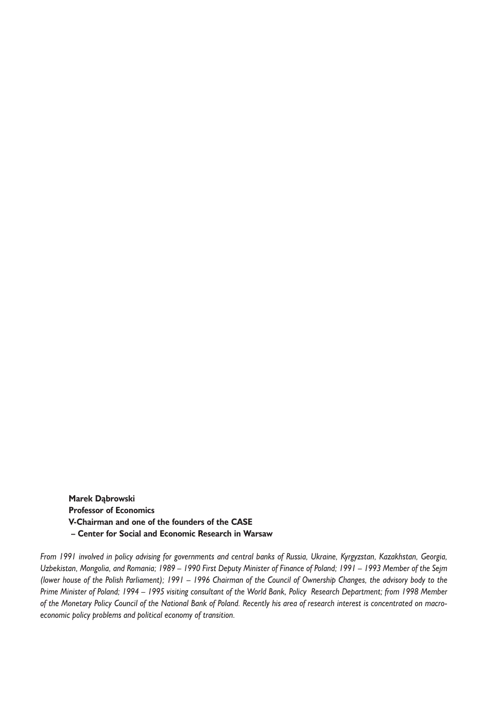**Marek Dąbrowski Professor of Economics V-Chairman and one of the founders of the CASE – Center for Social and Economic Research in Warsaw**

*From 1991 involved in policy advising for governments and central banks of Russia, Ukraine, Kyrgyzstan, Kazakhstan, Georgia, Uzbekistan, Mongolia, and Romania; 1989 – 1990 First Deputy Minister of Finance of Poland; 1991 – 1993 Member of the Sejm (lower house of the Polish Parliament); 1991 – 1996 Chairman of the Council of Ownership Changes, the advisory body to the Prime Minister of Poland; 1994 – 1995 visiting consultant of the World Bank, Policy Research Department; from 1998 Member of the Monetary Policy Council of the National Bank of Poland. Recently his area of research interest is concentrated on macroeconomic policy problems and political economy of transition.*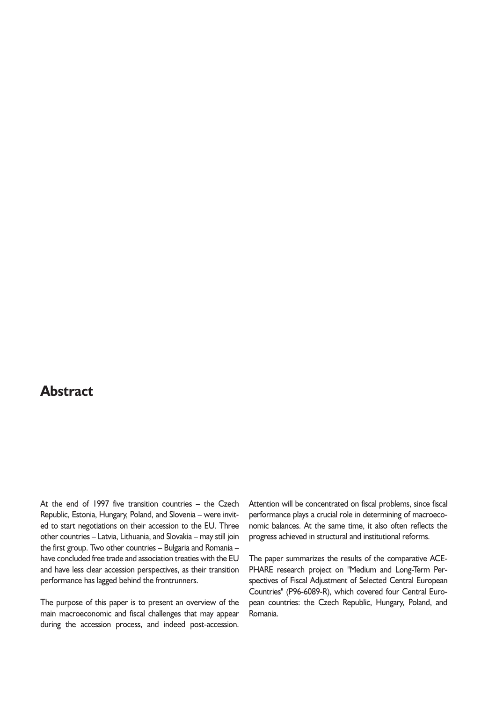# **Abstract**

At the end of 1997 five transition countries – the Czech Republic, Estonia, Hungary, Poland, and Slovenia – were invited to start negotiations on their accession to the EU. Three other countries – Latvia, Lithuania, and Slovakia – may still join the first group. Two other countries – Bulgaria and Romania – have concluded free trade and association treaties with the EU and have less clear accession perspectives, as their transition performance has lagged behind the frontrunners.

The purpose of this paper is to present an overview of the main macroeconomic and fiscal challenges that may appear during the accession process, and indeed post-accession. Attention will be concentrated on fiscal problems, since fiscal performance plays a crucial role in determining of macroeconomic balances. At the same time, it also often reflects the progress achieved in structural and institutional reforms.

The paper summarizes the results of the comparative ACE-PHARE research project on "Medium and Long-Term Perspectives of Fiscal Adjustment of Selected Central European Countries" (P96-6089-R), which covered four Central European countries: the Czech Republic, Hungary, Poland, and Romania.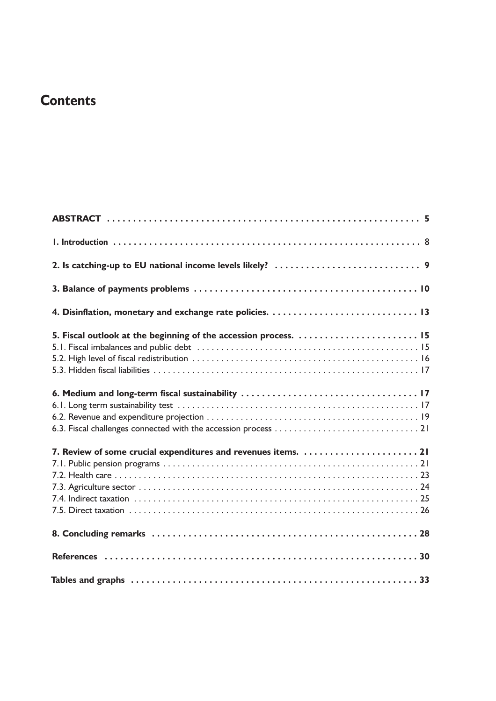# **Contents**

| 5. Fiscal outlook at the beginning of the accession process.  15 |
|------------------------------------------------------------------|
|                                                                  |
|                                                                  |
|                                                                  |
|                                                                  |
|                                                                  |
|                                                                  |
|                                                                  |
|                                                                  |
| 7. Review of some crucial expenditures and revenues items.  21   |
|                                                                  |
|                                                                  |
|                                                                  |
|                                                                  |
|                                                                  |
|                                                                  |
|                                                                  |
|                                                                  |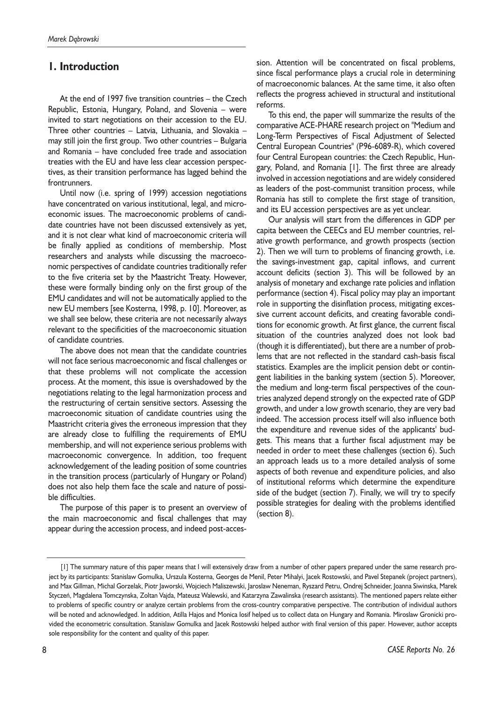# **1. Introduction**

At the end of 1997 five transition countries – the Czech Republic, Estonia, Hungary, Poland, and Slovenia – were invited to start negotiations on their accession to the EU. Three other countries – Latvia, Lithuania, and Slovakia – may still join the first group. Two other countries – Bulgaria and Romania – have concluded free trade and association treaties with the EU and have less clear accession perspectives, as their transition performance has lagged behind the frontrunners.

Until now (i.e. spring of 1999) accession negotiations have concentrated on various institutional, legal, and microeconomic issues. The macroeconomic problems of candidate countries have not been discussed extensively as yet, and it is not clear what kind of macroeconomic criteria will be finally applied as conditions of membership. Most researchers and analysts while discussing the macroeconomic perspectives of candidate countries traditionally refer to the five criteria set by the Maastricht Treaty. However, these were formally binding only on the first group of the EMU candidates and will not be automatically applied to the new EU members [see Kosterna, 1998, p. 10]. Moreover, as we shall see below, these criteria are not necessarily always relevant to the specificities of the macroeconomic situation of candidate countries.

The above does not mean that the candidate countries will not face serious macroeconomic and fiscal challenges or that these problems will not complicate the accession process. At the moment, this issue is overshadowed by the negotiations relating to the legal harmonization process and the restructuring of certain sensitive sectors. Assessing the macroeconomic situation of candidate countries using the Maastricht criteria gives the erroneous impression that they are already close to fulfilling the requirements of EMU membership, and will not experience serious problems with macroeconomic convergence. In addition, too frequent acknowledgement of the leading position of some countries in the transition process (particularly of Hungary or Poland) does not also help them face the scale and nature of possible difficulties.

The purpose of this paper is to present an overview of the main macroeconomic and fiscal challenges that may appear during the accession process, and indeed post-accession. Attention will be concentrated on fiscal problems, since fiscal performance plays a crucial role in determining of macroeconomic balances. At the same time, it also often reflects the progress achieved in structural and institutional reforms.

To this end, the paper will summarize the results of the comparative ACE-PHARE research project on "Medium and Long-Term Perspectives of Fiscal Adjustment of Selected Central European Countries" (P96-6089-R), which covered four Central European countries: the Czech Republic, Hungary, Poland, and Romania [1]. The first three are already involved in accession negotiations and are widely considered as leaders of the post-communist transition process, while Romania has still to complete the first stage of transition, and its EU accession perspectives are as yet unclear.

Our analysis will start from the differences in GDP per capita between the CEECs and EU member countries, relative growth performance, and growth prospects (section 2). Then we will turn to problems of financing growth, i.e. the savings-investment gap, capital inflows, and current account deficits (section 3). This will be followed by an analysis of monetary and exchange rate policies and inflation performance (section 4). Fiscal policy may play an important role in supporting the disinflation process, mitigating excessive current account deficits, and creating favorable conditions for economic growth. At first glance, the current fiscal situation of the countries analyzed does not look bad (though it is differentiated), but there are a number of problems that are not reflected in the standard cash-basis fiscal statistics. Examples are the implicit pension debt or contingent liabilities in the banking system (section 5). Moreover, the medium and long-term fiscal perspectives of the countries analyzed depend strongly on the expected rate of GDP growth, and under a low growth scenario, they are very bad indeed. The accession process itself will also influence both the expenditure and revenue sides of the applicants' budgets. This means that a further fiscal adjustment may be needed in order to meet these challenges (section 6). Such an approach leads us to a more detailed analysis of some aspects of both revenue and expenditure policies, and also of institutional reforms which determine the expenditure side of the budget (section 7). Finally, we will try to specify possible strategies for dealing with the problems identified (section 8).

<sup>[1]</sup> The summary nature of this paper means that I will extensively draw from a number of other papers prepared under the same research project by its participants: Stanislaw Gomulka, Urszula Kosterna, Georges de Menil, Peter Mihalyi, Jacek Rostowski, and Pavel Stepanek (project partners), and Max Gillman, Michal Gorzelak, Piotr Jaworski, Wojciech Maliszewski, Jaroslaw Neneman, Ryszard Petru, Ondrej Schneider, Joanna Siwinska, Marek Styczeñ, Magdalena Tomczynska, Zoltan Vajda, Mateusz Walewski, and Katarzyna Zawalinska (research assistants). The mentioned papers relate either to problems of specific country or analyze certain problems from the cross-country comparative perspective. The contribution of individual authors will be noted and acknowledged. In addition, Atilla Hajos and Monica Iosif helped us to collect data on Hungary and Romania. Miroslaw Gronicki provided the econometric consultation. Stanislaw Gomulka and Jacek Rostowski helped author with final version of this paper. However, author accepts sole responsibility for the content and quality of this paper.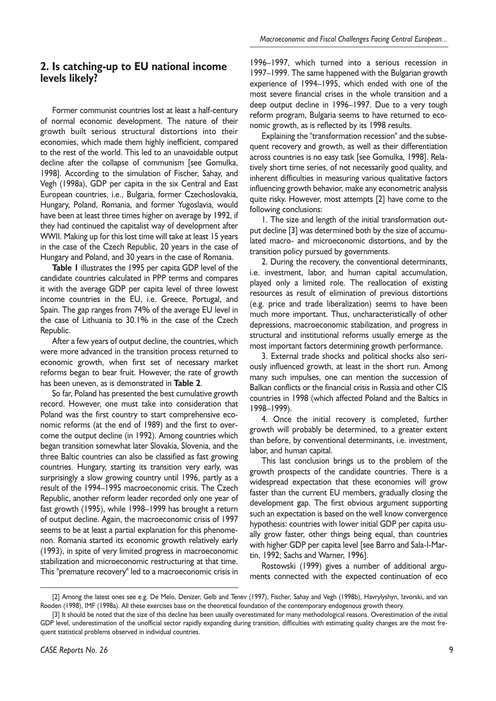# **2. Is catching-up to EU national income levels likely?**

Former communist countries lost at least a half-century of normal economic development. The nature of their growth built serious structural distortions into their economies, which made them highly inefficient, compared to the rest of the world. This led to an unavoidable output decline after the collapse of communism [see Gomulka, 1998]. According to the simulation of Fischer, Sahay, and Vegh (1998a), GDP per capita in the six Central and East European countries, i.e., Bulgaria, former Czechoslovakia, Hungary, Poland, Romania, and former Yugoslavia, would have been at least three times higher on average by 1992, if they had continued the capitalist way of development after WWII. Making up for this lost time will take at least 15 years in the case of the Czech Republic, 20 years in the case of Hungary and Poland, and 30 years in the case of Romania.

**Table 1** illustrates the 1995 per capita GDP level of the candidate countries calculated in PPP terms and compares it with the average GDP per capita level of three lowest income countries in the EU, i.e. Greece, Portugal, and Spain. The gap ranges from 74% of the average EU level in the case of Lithuania to 30.1% in the case of the Czech Republic.

After a few years of output decline, the countries, which were more advanced in the transition process returned to economic growth, when first set of necessary market reforms began to bear fruit. However, the rate of growth has been uneven, as is demonstrated in **Table 2**.

So far, Poland has presented the best cumulative growth record. However, one must take into consideration that Poland was the first country to start comprehensive economic reforms (at the end of 1989) and the first to overcome the output decline (in 1992). Among countries which began transition somewhat later Slovakia, Slovenia, and the three Baltic countries can also be classified as fast growing countries. Hungary, starting its transition very early, was surprisingly a slow growing country until 1996, partly as a result of the 1994–1995 macroeconomic crisis. The Czech Republic, another reform leader recorded only one year of fast growth (1995), while 1998–1999 has brought a return of output decline. Again, the macroeconomic crisis of 1997 seems to be at least a partial explanation for this phenomenon. Romania started its economic growth relatively early (1993), in spite of very limited progress in macroeconomic stabilization and microeconomic restructuring at that time. This "premature recovery" led to a macroeconomic crisis in

1996–1997, which turned into a serious recession in 1997–1999. The same happened with the Bulgarian growth experience of 1994–1995, which ended with one of the most severe financial crises in the whole transition and a deep output decline in 1996–1997. Due to a very tough reform program, Bulgaria seems to have returned to economic growth, as is reflected by its 1998 results.

Explaining the "transformation recession" and the subsequent recovery and growth, as well as their differentiation across countries is no easy task [see Gomulka, 1998]. Relatively short time series, of not necessarily good quality, and inherent difficulties in measuring various qualitative factors influencing growth behavior, make any econometric analysis quite risky. However, most attempts [2] have come to the following conclusions:

1. The size and length of the initial transformation output decline [3] was determined both by the size of accumulated macro- and microeconomic distortions, and by the transition policy pursued by governments.

2. During the recovery, the conventional determinants, i.e. investment, labor, and human capital accumulation, played only a limited role. The reallocation of existing resources as result of elimination of previous distortions (e.g. price and trade liberalization) seems to have been much more important. Thus, uncharacteristically of other depressions, macroeconomic stabilization, and progress in structural and institutional reforms usually emerge as the most important factors determining growth performance.

3. External trade shocks and political shocks also seriously influenced growth, at least in the short run. Among many such impulses, one can mention the succession of Balkan conflicts or the financial crisis in Russia and other CIS countries in 1998 (which affected Poland and the Baltics in 1998–1999).

4. Once the initial recovery is completed, further growth will probably be determined, to a greater extent than before, by conventional determinants, i.e. investment, labor, and human capital.

This last conclusion brings us to the problem of the growth prospects of the candidate countries. There is a widespread expectation that these economies will grow faster than the current EU members, gradually closing the development gap. The first obvious argument supporting such an expectation is based on the well know convergence hypothesis: countries with lower initial GDP per capita usually grow faster, other things being equal, than countries with higher GDP per capita level [see Barro and Sala-I-Martin, 1992; Sachs and Warner, 1996].

Rostowski (1999) gives a number of additional arguments connected with the expected continuation of eco

<sup>[2]</sup> Among the latest ones see e.g. De Melo, Denizer, Gelb and Tenev (1997), Fischer, Sahay and Vegh (1998b), Havrylyshyn, Izvorski, and van Rooden (1998), IMF (1998a). All these exercises base on the theoretical foundation of the contemporary endogenous growth theory.

<sup>[3]</sup> It should be noted that the size of this decline has been usually overestimated for many methodological reasons. Overestimation of the initial GDP level, underestimation of the unofficial sector rapidly expanding during transition, difficulties with estimating quality changes are the most frequent statistical problems observed in individual countries.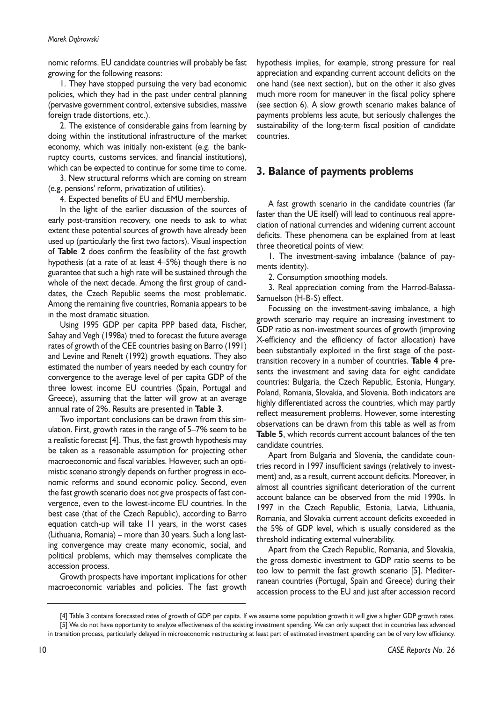nomic reforms. EU candidate countries will probably be fast growing for the following reasons:

1. They have stopped pursuing the very bad economic policies, which they had in the past under central planning (pervasive government control, extensive subsidies, massive foreign trade distortions, etc.).

2. The existence of considerable gains from learning by doing within the institutional infrastructure of the market economy, which was initially non-existent (e.g. the bankruptcy courts, customs services, and financial institutions), which can be expected to continue for some time to come.

3. New structural reforms which are coming on stream (e.g. pensions' reform, privatization of utilities).

4. Expected benefits of EU and EMU membership.

In the light of the earlier discussion of the sources of early post-transition recovery, one needs to ask to what extent these potential sources of growth have already been used up (particularly the first two factors). Visual inspection of **Table 2** does confirm the feasibility of the fast growth hypothesis (at a rate of at least 4–5%) though there is no guarantee that such a high rate will be sustained through the whole of the next decade. Among the first group of candidates, the Czech Republic seems the most problematic. Among the remaining five countries, Romania appears to be in the most dramatic situation.

Using 1995 GDP per capita PPP based data, Fischer, Sahay and Vegh (1998a) tried to forecast the future average rates of growth of the CEE countries basing on Barro (1991) and Levine and Renelt (1992) growth equations. They also estimated the number of years needed by each country for convergence to the average level of per capita GDP of the three lowest income EU countries (Spain, Portugal and Greece), assuming that the latter will grow at an average annual rate of 2%. Results are presented in **Table 3**.

Two important conclusions can be drawn from this simulation. First, growth rates in the range of 5–7% seem to be a realistic forecast [4]. Thus, the fast growth hypothesis may be taken as a reasonable assumption for projecting other macroeconomic and fiscal variables. However, such an optimistic scenario strongly depends on further progress in economic reforms and sound economic policy. Second, even the fast growth scenario does not give prospects of fast convergence, even to the lowest-income EU countries. In the best case (that of the Czech Republic), according to Barro equation catch-up will take 11 years, in the worst cases (Lithuania, Romania) – more than 30 years. Such a long lasting convergence may create many economic, social, and political problems, which may themselves complicate the accession process.

Growth prospects have important implications for other macroeconomic variables and policies. The fast growth hypothesis implies, for example, strong pressure for real appreciation and expanding current account deficits on the one hand (see next section), but on the other it also gives much more room for maneuver in the fiscal policy sphere (see section 6). A slow growth scenario makes balance of payments problems less acute, but seriously challenges the sustainability of the long-term fiscal position of candidate countries.

# **3. Balance of payments problems**

A fast growth scenario in the candidate countries (far faster than the UE itself) will lead to continuous real appreciation of national currencies and widening current account deficits. These phenomena can be explained from at least three theoretical points of view:

1. The investment-saving imbalance (balance of payments identity).

2. Consumption smoothing models.

3. Real appreciation coming from the Harrod-Balassa-Samuelson (H-B-S) effect.

Focussing on the investment-saving imbalance, a high growth scenario may require an increasing investment to GDP ratio as non-investment sources of growth (improving X-efficiency and the efficiency of factor allocation) have been substantially exploited in the first stage of the posttransition recovery in a number of countries. **Table 4** presents the investment and saving data for eight candidate countries: Bulgaria, the Czech Republic, Estonia, Hungary, Poland, Romania, Slovakia, and Slovenia. Both indicators are highly differentiated across the countries, which may partly reflect measurement problems. However, some interesting observations can be drawn from this table as well as from **Table 5**, which records current account balances of the ten candidate countries.

Apart from Bulgaria and Slovenia, the candidate countries record in 1997 insufficient savings (relatively to investment) and, as a result, current account deficits. Moreover, in almost all countries significant deterioration of the current account balance can be observed from the mid 1990s. In 1997 in the Czech Republic, Estonia, Latvia, Lithuania, Romania, and Slovakia current account deficits exceeded in the 5% of GDP level, which is usually considered as the threshold indicating external vulnerability.

Apart from the Czech Republic, Romania, and Slovakia, the gross domestic investment to GDP ratio seems to be too low to permit the fast growth scenario [5]. Mediterranean countries (Portugal, Spain and Greece) during their accession process to the EU and just after accession record

<sup>[4]</sup> Table 3 contains forecasted rates of growth of GDP per capita. If we assume some population growth it will give a higher GDP growth rates. [5] We do not have opportunity to analyze effectiveness of the existing investment spending. We can only suspect that in countries less advanced in transition process, particularly delayed in microeconomic restructuring at least part of estimated investment spending can be of very low efficiency.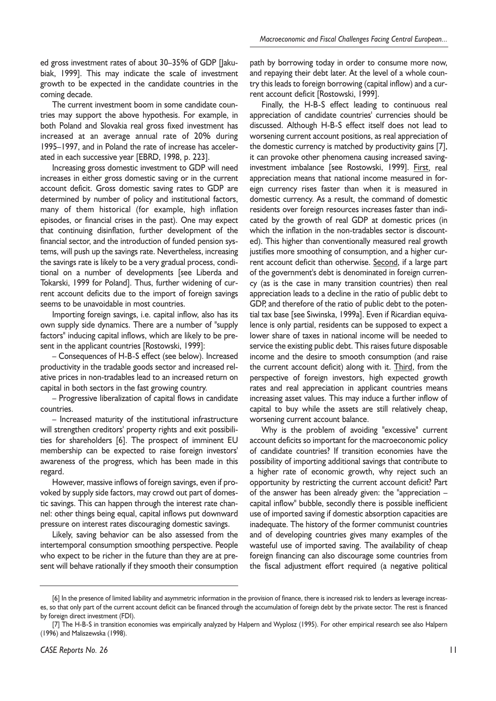ed gross investment rates of about 30–35% of GDP [Jakubiak, 1999]. This may indicate the scale of investment growth to be expected in the candidate countries in the coming decade.

The current investment boom in some candidate countries may support the above hypothesis. For example, in both Poland and Slovakia real gross fixed investment has increased at an average annual rate of 20% during 1995–1997, and in Poland the rate of increase has accelerated in each successive year [EBRD, 1998, p. 223].

Increasing gross domestic investment to GDP will need increases in either gross domestic saving or in the current account deficit. Gross domestic saving rates to GDP are determined by number of policy and institutional factors, many of them historical (for example, high inflation episodes, or financial crises in the past). One may expect that continuing disinflation, further development of the financial sector, and the introduction of funded pension systems, will push up the savings rate. Nevertheless, increasing the savings rate is likely to be a very gradual process, conditional on a number of developments [see Liberda and Tokarski, 1999 for Poland]. Thus, further widening of current account deficits due to the import of foreign savings seems to be unavoidable in most countries.

Importing foreign savings, i.e. capital inflow, also has its own supply side dynamics. There are a number of "supply factors" inducing capital inflows, which are likely to be present in the applicant countries [Rostowski, 1999]:

– Consequences of H-B-S effect (see below). Increased productivity in the tradable goods sector and increased relative prices in non-tradables lead to an increased return on capital in both sectors in the fast growing country.

– Progressive liberalization of capital flows in candidate countries.

– Increased maturity of the institutional infrastructure will strengthen creditors' property rights and exit possibilities for shareholders [6]. The prospect of imminent EU membership can be expected to raise foreign investors' awareness of the progress, which has been made in this regard.

However, massive inflows of foreign savings, even if provoked by supply side factors, may crowd out part of domestic savings. This can happen through the interest rate channel: other things being equal, capital inflows put downward pressure on interest rates discouraging domestic savings.

Likely, saving behavior can be also assessed from the intertemporal consumption smoothing perspective. People who expect to be richer in the future than they are at present will behave rationally if they smooth their consumption

path by borrowing today in order to consume more now, and repaying their debt later. At the level of a whole country this leads to foreign borrowing (capital inflow) and a current account deficit [Rostowski, 1999].

Finally, the H-B-S effect leading to continuous real appreciation of candidate countries' currencies should be discussed. Although H-B-S effect itself does not lead to worsening current account positions, as real appreciation of the domestic currency is matched by productivity gains [7], it can provoke other phenomena causing increased savinginvestment imbalance [see Rostowski, 1999]. First, real appreciation means that national income measured in foreign currency rises faster than when it is measured in domestic currency. As a result, the command of domestic residents over foreign resources increases faster than indicated by the growth of real GDP at domestic prices (in which the inflation in the non-tradables sector is discounted). This higher than conventionally measured real growth justifies more smoothing of consumption, and a higher current account deficit than otherwise. Second, if a large part of the government's debt is denominated in foreign currency (as is the case in many transition countries) then real appreciation leads to a decline in the ratio of public debt to GDP, and therefore of the ratio of public debt to the potential tax base [see Siwinska, 1999a]. Even if Ricardian equivalence is only partial, residents can be supposed to expect a lower share of taxes in national income will be needed to service the existing public debt. This raises future disposable income and the desire to smooth consumption (and raise the current account deficit) along with it. Third, from the perspective of foreign investors, high expected growth rates and real appreciation in applicant countries means increasing asset values. This may induce a further inflow of capital to buy while the assets are still relatively cheap, worsening current account balance.

Why is the problem of avoiding "excessive" current account deficits so important for the macroeconomic policy of candidate countries? If transition economies have the possibility of importing additional savings that contribute to a higher rate of economic growth, why reject such an opportunity by restricting the current account deficit? Part of the answer has been already given: the "appreciation – capital inflow" bubble, secondly there is possible inefficient use of imported saving if domestic absorption capacities are inadequate. The history of the former communist countries and of developing countries gives many examples of the wasteful use of imported saving. The availability of cheap foreign financing can also discourage some countries from the fiscal adjustment effort required (a negative political

<sup>[6]</sup> In the presence of limited liability and asymmetric information in the provision of finance, there is increased risk to lenders as leverage increases, so that only part of the current account deficit can be financed through the accumulation of foreign debt by the private sector. The rest is financed by foreign direct investment (FDI).

<sup>[7]</sup> The H-B-S in transition economies was empirically analyzed by Halpern and Wyplosz (1995). For other empirical research see also Halpern (1996) and Maliszewska (1998).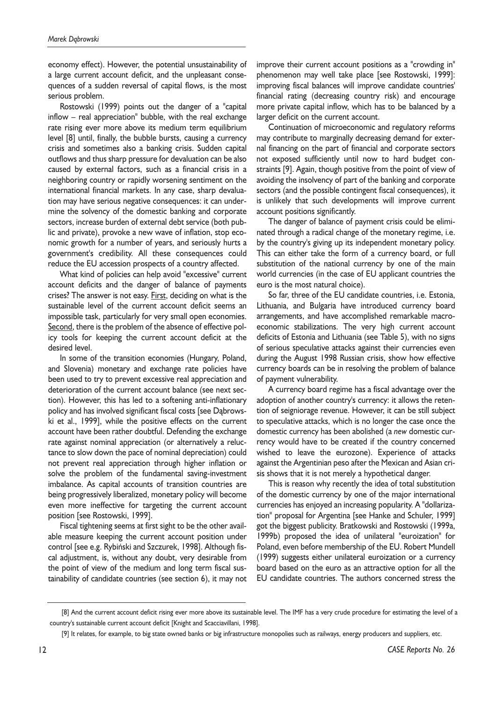economy effect). However, the potential unsustainability of a large current account deficit, and the unpleasant consequences of a sudden reversal of capital flows, is the most serious problem.

Rostowski (1999) points out the danger of a "capital inflow – real appreciation" bubble, with the real exchange rate rising ever more above its medium term equilibrium level [8] until, finally, the bubble bursts, causing a currency crisis and sometimes also a banking crisis. Sudden capital outflows and thus sharp pressure for devaluation can be also caused by external factors, such as a financial crisis in a neighboring country or rapidly worsening sentiment on the international financial markets. In any case, sharp devaluation may have serious negative consequences: it can undermine the solvency of the domestic banking and corporate sectors, increase burden of external debt service (both public and private), provoke a new wave of inflation, stop economic growth for a number of years, and seriously hurts a government's credibility. All these consequences could reduce the EU accession prospects of a country affected.

What kind of policies can help avoid "excessive" current account deficits and the danger of balance of payments crises? The answer is not easy. First, deciding on what is the sustainable level of the current account deficit seems an impossible task, particularly for very small open economies. Second, there is the problem of the absence of effective policy tools for keeping the current account deficit at the desired level.

In some of the transition economies (Hungary, Poland, and Slovenia) monetary and exchange rate policies have been used to try to prevent excessive real appreciation and deterioration of the current account balance (see next section). However, this has led to a softening anti-inflationary policy and has involved significant fiscal costs [see Dabrowski et al., 1999], while the positive effects on the current account have been rather doubtful. Defending the exchange rate against nominal appreciation (or alternatively a reluctance to slow down the pace of nominal depreciation) could not prevent real appreciation through higher inflation or solve the problem of the fundamental saving-investment imbalance. As capital accounts of transition countries are being progressively liberalized, monetary policy will become even more ineffective for targeting the current account position [see Rostowski, 1999].

Fiscal tightening seems at first sight to be the other available measure keeping the current account position under control [see e.g. Rybiñski and Szczurek, 1998]. Although fiscal adjustment, is, without any doubt, very desirable from the point of view of the medium and long term fiscal sustainability of candidate countries (see section 6), it may not improve their current account positions as a "crowding in" phenomenon may well take place [see Rostowski, 1999]: improving fiscal balances will improve candidate countries' financial rating (decreasing country risk) and encourage more private capital inflow, which has to be balanced by a larger deficit on the current account.

Continuation of microeconomic and regulatory reforms may contribute to marginally decreasing demand for external financing on the part of financial and corporate sectors not exposed sufficiently until now to hard budget constraints [9]. Again, though positive from the point of view of avoiding the insolvency of part of the banking and corporate sectors (and the possible contingent fiscal consequences), it is unlikely that such developments will improve current account positions significantly.

The danger of balance of payment crisis could be eliminated through a radical change of the monetary regime, i.e. by the country's giving up its independent monetary policy. This can either take the form of a currency board, or full substitution of the national currency by one of the main world currencies (in the case of EU applicant countries the euro is the most natural choice).

So far, three of the EU candidate countries, i.e. Estonia, Lithuania, and Bulgaria have introduced currency board arrangements, and have accomplished remarkable macroeconomic stabilizations. The very high current account deficits of Estonia and Lithuania (see Table 5), with no signs of serious speculative attacks against their currencies even during the August 1998 Russian crisis, show how effective currency boards can be in resolving the problem of balance of payment vulnerability.

A currency board regime has a fiscal advantage over the adoption of another country's currency: it allows the retention of seigniorage revenue. However, it can be still subject to speculative attacks, which is no longer the case once the domestic currency has been abolished (a *new* domestic currency would have to be created if the country concerned wished to leave the eurozone). Experience of attacks against the Argentinian peso after the Mexican and Asian crisis shows that it is not merely a hypothetical danger.

This is reason why recently the idea of total substitution of the domestic currency by one of the major international currencies has enjoyed an increasing popularity. A "dollarization" proposal for Argentina [see Hanke and Schuler, 1999] got the biggest publicity. Bratkowski and Rostowski (1999a, 1999b) proposed the idea of unilateral "euroization" for Poland, even before membership of the EU. Robert Mundell (1999) suggests either unilateral euroization or a currency board based on the euro as an attractive option for all the EU candidate countries. The authors concerned stress the

<sup>[8]</sup> And the current account deficit rising ever more above its sustainable level. The IMF has a very crude procedure for estimating the level of a country's sustainable current account deficit [Knight and Scacciavillani, 1998].

<sup>[9]</sup> It relates, for example, to big state owned banks or big infrastructure monopolies such as railways, energy producers and suppliers, etc.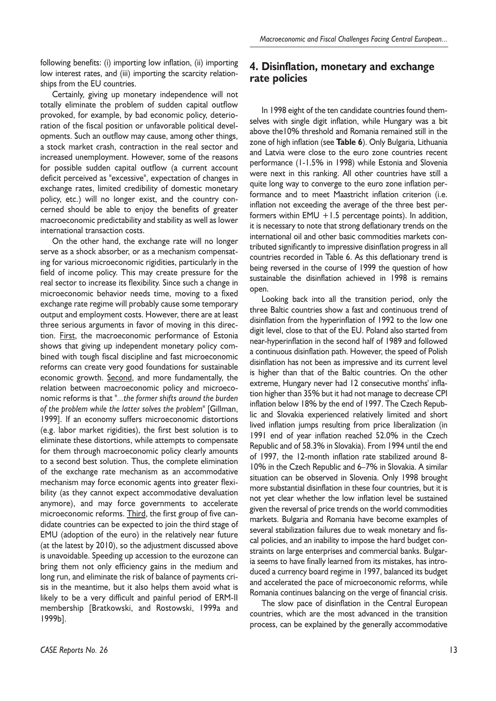following benefits: (i) importing low inflation, (ii) importing low interest rates, and (iii) importing the scarcity relationships from the EU countries.

Certainly, giving up monetary independence will not totally eliminate the problem of sudden capital outflow provoked, for example, by bad economic policy, deterioration of the fiscal position or unfavorable political developments. Such an outflow may cause, among other things, a stock market crash, contraction in the real sector and increased unemployment. However, some of the reasons for possible sudden capital outflow (a current account deficit perceived as "excessive", expectation of changes in exchange rates, limited credibility of domestic monetary policy, etc.) will no longer exist, and the country concerned should be able to enjoy the benefits of greater macroeconomic predictability and stability as well as lower international transaction costs.

On the other hand, the exchange rate will no longer serve as a shock absorber, or as a mechanism compensating for various microeconomic rigidities, particularly in the field of income policy. This may create pressure for the real sector to increase its flexibility. Since such a change in microeconomic behavior needs time, moving to a fixed exchange rate regime will probably cause some temporary output and employment costs. However, there are at least three serious arguments in favor of moving in this direction. First, the macroeconomic performance of Estonia shows that giving up independent monetary policy combined with tough fiscal discipline and fast microeconomic reforms can create very good foundations for sustainable economic growth. Second, and more fundamentally, the relation between macroeconomic policy and microeconomic reforms is that *"...the former shifts around the burden of the problem while the latter solves the problem"* [Gillman, 1999]. If an economy suffers microeconomic distortions (e.g. labor market rigidities), the first best solution is to eliminate these distortions, while attempts to compensate for them through macroeconomic policy clearly amounts to a second best solution. Thus, the complete elimination of the exchange rate mechanism as an accommodative mechanism may force economic agents into greater flexibility (as they cannot expect accommodative devaluation anymore), and may force governments to accelerate microeconomic reforms. Third, the first group of five candidate countries can be expected to join the third stage of EMU (adoption of the euro) in the relatively near future (at the latest by 2010), so the adjustment discussed above is unavoidable. Speeding up accession to the eurozone can bring them not only efficiency gains in the medium and long run, and eliminate the risk of balance of payments crisis in the meantime, but it also helps them avoid what is likely to be a very difficult and painful period of ERM-II membership [Bratkowski, and Rostowski, 1999a and 1999b].

# **4. Disinflation, monetary and exchange rate policies**

In 1998 eight of the ten candidate countries found themselves with single digit inflation, while Hungary was a bit above the10% threshold and Romania remained still in the zone of high inflation (see **Table 6**). Only Bulgaria, Lithuania and Latvia were close to the euro zone countries recent performance (1-1.5% in 1998) while Estonia and Slovenia were next in this ranking. All other countries have still a quite long way to converge to the euro zone inflation performance and to meet Maastricht inflation criterion (i.e. inflation not exceeding the average of the three best performers within  $EMU +1.5$  percentage points). In addition, it is necessary to note that strong deflationary trends on the international oil and other basic commodities markets contributed significantly to impressive disinflation progress in all countries recorded in Table 6. As this deflationary trend is being reversed in the course of 1999 the question of how sustainable the disinflation achieved in 1998 is remains open.

Looking back into all the transition period, only the three Baltic countries show a fast and continuous trend of disinflation from the hyperinflation of 1992 to the low one digit level, close to that of the EU. Poland also started from near-hyperinflation in the second half of 1989 and followed a continuous disinflation path. However, the speed of Polish disinflation has not been as impressive and its current level is higher than that of the Baltic countries. On the other extreme, Hungary never had 12 consecutive months' inflation higher than 35% but it had not manage to decrease CPI inflation below 18% by the end of 1997. The Czech Republic and Slovakia experienced relatively limited and short lived inflation jumps resulting from price liberalization (in 1991 end of year inflation reached 52.0% in the Czech Republic and of 58.3% in Slovakia). From 1994 until the end of 1997, the 12-month inflation rate stabilized around 8- 10% in the Czech Republic and 6–7% in Slovakia. A similar situation can be observed in Slovenia. Only 1998 brought more substantial disinflation in these four countries, but it is not yet clear whether the low inflation level be sustained given the reversal of price trends on the world commodities markets. Bulgaria and Romania have become examples of several stabilization failures due to weak monetary and fiscal policies, and an inability to impose the hard budget constraints on large enterprises and commercial banks. Bulgaria seems to have finally learned from its mistakes, has introduced a currency board regime in 1997, balanced its budget and accelerated the pace of microeconomic reforms, while Romania continues balancing on the verge of financial crisis.

The slow pace of disinflation in the Central European countries, which are the most advanced in the transition process, can be explained by the generally accommodative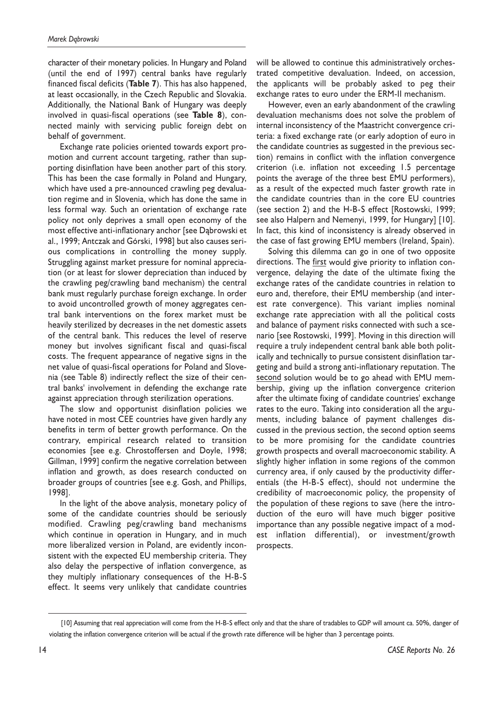character of their monetary policies. In Hungary and Poland (until the end of 1997) central banks have regularly financed fiscal deficits (**Table 7**). This has also happened, at least occasionally, in the Czech Republic and Slovakia. Additionally, the National Bank of Hungary was deeply involved in quasi-fiscal operations (see **Table 8**), connected mainly with servicing public foreign debt on behalf of government.

Exchange rate policies oriented towards export promotion and current account targeting, rather than supporting disinflation have been another part of this story. This has been the case formally in Poland and Hungary, which have used a pre-announced crawling peg devaluation regime and in Slovenia, which has done the same in less formal way. Such an orientation of exchange rate policy not only deprives a small open economy of the most effective anti-inflationary anchor [see Dabrowski et al., 1999; Antczak and Górski, 1998] but also causes serious complications in controlling the money supply. Struggling against market pressure for nominal appreciation (or at least for slower depreciation than induced by the crawling peg/crawling band mechanism) the central bank must regularly purchase foreign exchange. In order to avoid uncontrolled growth of money aggregates central bank interventions on the forex market must be heavily sterilized by decreases in the net domestic assets of the central bank. This reduces the level of reserve money but involves significant fiscal and quasi-fiscal costs. The frequent appearance of negative signs in the net value of quasi-fiscal operations for Poland and Slovenia (see Table 8) indirectly reflect the size of their central banks' involvement in defending the exchange rate against appreciation through sterilization operations.

The slow and opportunist disinflation policies we have noted in most CEE countries have given hardly any benefits in term of better growth performance. On the contrary, empirical research related to transition economies [see e.g. Chrostoffersen and Doyle, 1998; Gillman, 1999] confirm the negative correlation between inflation and growth, as does research conducted on broader groups of countries [see e.g. Gosh, and Phillips, 1998].

In the light of the above analysis, monetary policy of some of the candidate countries should be seriously modified. Crawling peg/crawling band mechanisms which continue in operation in Hungary, and in much more liberalized version in Poland, are evidently inconsistent with the expected EU membership criteria. They also delay the perspective of inflation convergence, as they multiply inflationary consequences of the H-B-S effect. It seems very unlikely that candidate countries

will be allowed to continue this administratively orchestrated competitive devaluation. Indeed, on accession, the applicants will be probably asked to peg their exchange rates to euro under the ERM-II mechanism.

However, even an early abandonment of the crawling devaluation mechanisms does not solve the problem of internal inconsistency of the Maastricht convergence criteria: a fixed exchange rate (or early adoption of euro in the candidate countries as suggested in the previous section) remains in conflict with the inflation convergence criterion (i.e. inflation not exceeding 1.5 percentage points the average of the three best EMU performers), as a result of the expected much faster growth rate in the candidate countries than in the core EU countries (see section 2) and the H-B-S effect [Rostowski, 1999; see also Halpern and Nemenyi, 1999, for Hungary] [10]. In fact, this kind of inconsistency is already observed in the case of fast growing EMU members (Ireland, Spain).

Solving this dilemma can go in one of two opposite directions. The first would give priority to inflation convergence, delaying the date of the ultimate fixing the exchange rates of the candidate countries in relation to euro and, therefore, their EMU membership (and interest rate convergence). This variant implies nominal exchange rate appreciation with all the political costs and balance of payment risks connected with such a scenario [see Rostowski, 1999]. Moving in this direction will require a truly independent central bank able both politically and technically to pursue consistent disinflation targeting and build a strong anti-inflationary reputation. The second solution would be to go ahead with EMU membership, giving up the inflation convergence criterion after the ultimate fixing of candidate countries' exchange rates to the euro. Taking into consideration all the arguments, including balance of payment challenges discussed in the previous section, the second option seems to be more promising for the candidate countries growth prospects and overall macroeconomic stability. A slightly higher inflation in some regions of the common currency area, if only caused by the productivity differentials (the H-B-S effect), should not undermine the credibility of macroeconomic policy, the propensity of the population of these regions to save (here the introduction of the euro will have much bigger positive importance than any possible negative impact of a modest inflation differential), or investment/growth prospects.

<sup>[10]</sup> Assuming that real appreciation will come from the H-B-S effect only and that the share of tradables to GDP will amount ca. 50%, danger of violating the inflation convergence criterion will be actual if the growth rate difference will be higher than 3 percentage points.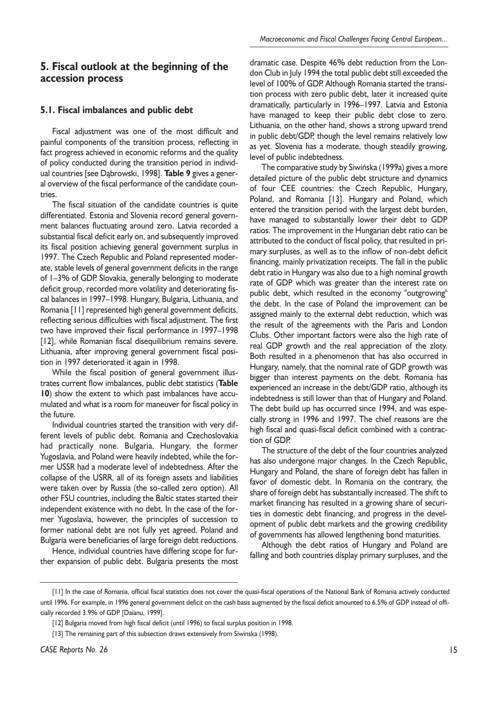# **5. Fiscal outlook at the beginning of the accession process**

# **5.1. Fiscal imbalances and public debt**

Fiscal adjustment was one of the most difficult and painful components of the transition process, reflecting in fact progress achieved in economic reforms and the quality of policy conducted during the transition period in individual countries [see Dąbrowski, 1998]. Table 9 gives a general overview of the fiscal performance of the candidate countries.

The fiscal situation of the candidate countries is quite differentiated. Estonia and Slovenia record general government balances fluctuating around zero. Latvia recorded a substantial fiscal deficit early on, and subsequently improved its fiscal position achieving general government surplus in 1997. The Czech Republic and Poland represented moderate, stable levels of general government deficits in the range of 1–3% of GDP. Slovakia, generally belonging to moderate deficit group, recorded more volatility and deteriorating fiscal balances in 1997–1998. Hungary, Bulgaria, Lithuania, and Romania [11] represented high general government deficits, reflecting serious difficulties with fiscal adjustment. The first two have improved their fiscal performance in 1997–1998 [12], while Romanian fiscal disequilibrium remains severe. Lithuania, after improving general government fiscal position in 1997 deteriorated it again in 1998.

While the fiscal position of general government illustrates current flow imbalances, public debt statistics (**Table 10**) show the extent to which past imbalances have accumulated and what is a room for maneuver for fiscal policy in the future.

Individual countries started the transition with very different levels of public debt. Romania and Czechoslovakia had practically none. Bulgaria, Hungary, the former Yugoslavia, and Poland were heavily indebted, while the former USSR had a moderate level of indebtedness. After the collapse of the USRR, all of its foreign assets and liabilities were taken over by Russia (the so-called zero option). All other FSU countries, including the Baltic states started their independent existence with no debt. In the case of the former Yugoslavia, however, the principles of succession to former national debt are not fully yet agreed. Poland and Bulgaria were beneficiaries of large foreign debt reductions.

Hence, individual countries have differing scope for further expansion of public debt. Bulgaria presents the most dramatic case. Despite 46% debt reduction from the London Club in July 1994 the total public debt still exceeded the level of 100% of GDP. Although Romania started the transition process with zero public debt, later it increased quite dramatically, particularly in 1996–1997. Latvia and Estonia have managed to keep their public debt close to zero. Lithuania, on the other hand, shows a strong upward trend in public debt/GDP, though the level remains relatively low as yet. Slovenia has a moderate, though steadily growing, level of public indebtedness.

The comparative study by Siwiñska (1999a) gives a more detailed picture of the public debt structure and dynamics of four CEE countries: the Czech Republic, Hungary, Poland, and Romania [13]. Hungary and Poland, which entered the transition period with the largest debt burden, have managed to substantially lower their debt to GDP ratios. The improvement in the Hungarian debt ratio can be attributed to the conduct of fiscal policy, that resulted in primary surpluses, as well as to the inflow of non-debt deficit financing, mainly privatization receipts. The fall in the public debt ratio in Hungary was also due to a high nominal growth rate of GDP which was greater than the interest rate on public debt, which resulted in the economy "outgrowing" the debt. In the case of Poland the improvement can be assigned mainly to the external debt reduction, which was the result of the agreements with the Paris and London Clubs. Other important factors were also the high rate of real GDP growth and the real appreciation of the zloty. Both resulted in a phenomenon that has also occurred in Hungary, namely, that the nominal rate of GDP growth was bigger than interest payments on the debt. Romania has experienced an increase in the debt/GDP ratio, although its indebtedness is still lower than that of Hungary and Poland. The debt build up has occurred since 1994, and was especially strong in 1996 and 1997. The chief reasons are the high fiscal and quasi-fiscal deficit combined with a contraction of GDP.

The structure of the debt of the four countries analyzed has also undergone major changes. In the Czech Republic, Hungary and Poland, the share of foreign debt has fallen in favor of domestic debt. In Romania on the contrary, the share of foreign debt has substantially increased. The shift to market financing has resulted in a growing share of securities in domestic debt financing, and progress in the development of public debt markets and the growing credibility of governments has allowed lengthening bond maturities.

Although the debt ratios of Hungary and Poland are falling and both countries display primary surpluses, and the

<sup>[11]</sup> In the case of Romania, official fiscal statistics does not cover the quasi-fiscal operations of the National Bank of Romania actively conducted until 1996. For example, in 1996 general government deficit on the cash basis augmented by the fiscal deficit amounted to 6.5% of GDP instead of officially recorded 3.9% of GDP [Daianu, 1999].

<sup>[12]</sup> Bulgaria moved from high fiscal deficit (until 1996) to fiscal surplus position in 1998.

<sup>[13]</sup> The remaining part of this subsection draws extensively from Siwinska (1998).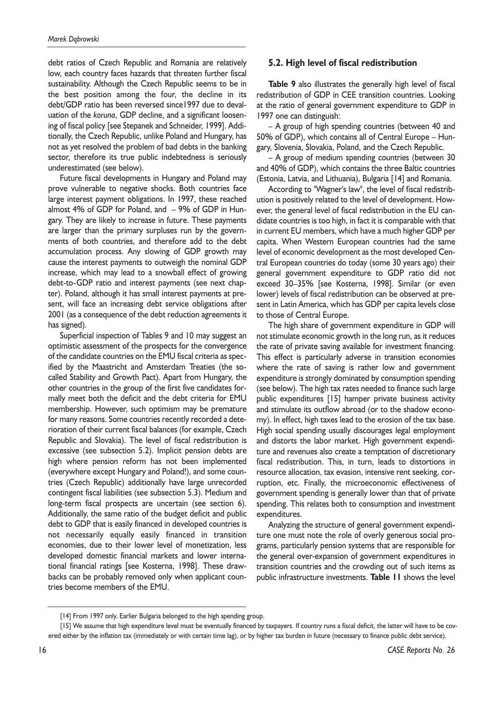debt ratios of Czech Republic and Romania are relatively low, each country faces hazards that threaten further fiscal sustainability. Although the Czech Republic seems to be in the best position among the four, the decline in its debt/GDP ratio has been reversed since1997 due to devaluation of the *koruna*, GDP decline, and a significant loosening of fiscal policy [see Stepanek and Schneider, 1999]. Additionally, the Czech Republic, unlike Poland and Hungary, has not as yet resolved the problem of bad debts in the banking sector, therefore its true public indebtedness is seriously underestimated (see below).

Future fiscal developments in Hungary and Poland may prove vulnerable to negative shocks. Both countries face large interest payment obligations. In 1997, these reached almost  $4\%$  of GDP for Poland, and  $-9\%$  of GDP in Hungary. They are likely to increase in future. These payments are larger than the primary surpluses run by the governments of both countries, and therefore add to the debt accumulation process. Any slowing of GDP growth may cause the interest payments to outweigh the nominal GDP increase, which may lead to a snowball effect of growing debt-to-GDP ratio and interest payments (see next chapter). Poland, although it has small interest payments at present, will face an increasing debt service obligations after 2001 (as a consequence of the debt reduction agreements it has signed).

Superficial inspection of Tables 9 and 10 may suggest an optimistic assessment of the prospects for the convergence of the candidate countries on the EMU fiscal criteria as specified by the Maastricht and Amsterdam Treaties (the socalled Stability and Growth Pact). Apart from Hungary, the other countries in the group of the first five candidates formally meet both the deficit and the debt criteria for EMU membership. However, such optimism may be premature for many reasons. Some countries recently recorded a deterioration of their current fiscal balances (for example, Czech Republic and Slovakia). The level of fiscal redistribution is excessive (see subsection 5.2). Implicit pension debts are high where pension reform has not been implemented (everywhere except Hungary and Poland!), and some countries (Czech Republic) additionally have large unrecorded contingent fiscal liabilities (see subsection 5.3). Medium and long-term fiscal prospects are uncertain (see section 6). Additionally, the same ratio of the budget deficit and public debt to GDP that is easily financed in developed countries is not necessarily equally easily financed in transition economies, due to their lower level of monetization, less developed domestic financial markets and lower international financial ratings [see Kosterna, 1998]. These drawbacks can be probably removed only when applicant countries become members of the EMU.

#### **5.2. High level of fiscal redistribution**

**Table 9** also illustrates the generally high level of fiscal redistribution of GDP in CEE transition countries. Looking at the ratio of general government expenditure to GDP in 1997 one can distinguish:

– A group of high spending countries (between 40 and 50% of GDP), which contains all of Central Europe – Hungary, Slovenia, Slovakia, Poland, and the Czech Republic.

– A group of medium spending countries (between 30 and 40% of GDP), which contains the three Baltic countries (Estonia, Latvia, and Lithuania), Bulgaria [14] and Romania.

According to "Wagner's law", the level of fiscal redistribution is positively related to the level of development. However, the general level of fiscal redistribution in the EU candidate countries is too high, in fact it is comparable with that in current EU members, which have a much higher GDP per capita. When Western European countries had the same level of economic development as the most developed Central European countries do today (some 30 years ago) their general government expenditure to GDP ratio did not exceed 30–35% [see Kosterna, 1998]. Similar (or even lower) levels of fiscal redistribution can be observed at present in Latin America, which has GDP per capita levels close to those of Central Europe.

The high share of government expenditure in GDP will not stimulate economic growth in the long run, as it reduces the rate of private saving available for investment financing. This effect is particularly adverse in transition economies where the rate of saving is rather low and government expenditure is strongly dominated by consumption spending (see below). The high tax rates needed to finance such large public expenditures [15] hamper private business activity and stimulate its outflow abroad (or to the shadow economy). In effect, high taxes lead to the erosion of the tax base. High social spending usually discourages legal employment and distorts the labor market. High government expenditure and revenues also create a temptation of discretionary fiscal redistribution. This, in turn, leads to distortions in resource allocation, tax evasion, intensive rent seeking, corruption, etc. Finally, the microeconomic effectiveness of government spending is generally lower than that of private spending. This relates both to consumption and investment expenditures.

Analyzing the structure of general government expenditure one must note the role of overly generous social programs, particularly pension systems that are responsible for the general over-expansion of government expenditures in transition countries and the crowding out of such items as public infrastructure investments. **Table 11** shows the level

<sup>[14]</sup> From 1997 only. Earlier Bulgaria belonged to the high spending group.

<sup>[15]</sup> We assume that high expenditure level must be eventually financed by taxpayers. If country runs a fiscal deficit, the latter will have to be covered either by the inflation tax (immediately or with certain time lag), or by higher tax burden in future (necessary to finance public debt service).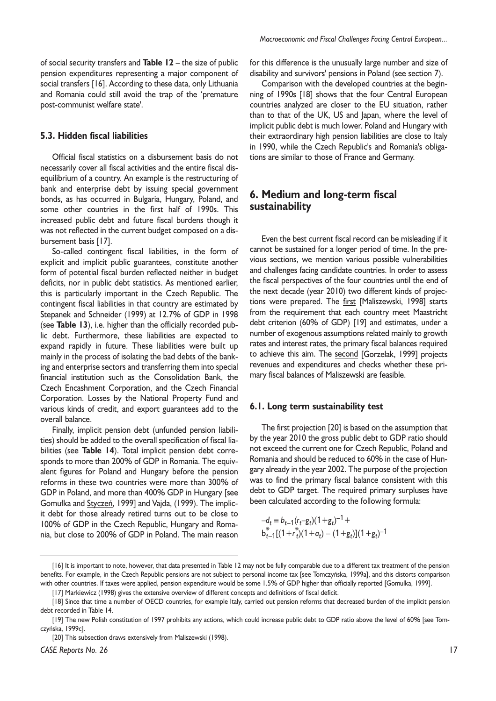of social security transfers and **Table 12** – the size of public pension expenditures representing a major component of social transfers [16]. According to these data, only Lithuania and Romania could still avoid the trap of the 'premature post-communist welfare state'.

#### **5.3. Hidden fiscal liabilities**

Official fiscal statistics on a disbursement basis do not necessarily cover all fiscal activities and the entire fiscal disequilibrium of a country. An example is the restructuring of bank and enterprise debt by issuing special government bonds, as has occurred in Bulgaria, Hungary, Poland, and some other countries in the first half of 1990s. This increased public debt and future fiscal burdens though it was not reflected in the current budget composed on a disbursement basis [17].

So-called contingent fiscal liabilities, in the form of explicit and implicit public guarantees, constitute another form of potential fiscal burden reflected neither in budget deficits, nor in public debt statistics. As mentioned earlier, this is particularly important in the Czech Republic. The contingent fiscal liabilities in that country are estimated by Stepanek and Schneider (1999) at 12.7% of GDP in 1998 (see **Table 13**), i.e. higher than the officially recorded public debt. Furthermore, these liabilities are expected to expand rapidly in future. These liabilities were built up mainly in the process of isolating the bad debts of the banking and enterprise sectors and transferring them into special financial institution such as the Consolidation Bank, the Czech Encashment Corporation, and the Czech Financial Corporation. Losses by the National Property Fund and various kinds of credit, and export guarantees add to the overall balance.

Finally, implicit pension debt (unfunded pension liabilities) should be added to the overall specification of fiscal liabilities (see **Table 14**). Total implicit pension debt corresponds to more than 200% of GDP in Romania. The equivalent figures for Poland and Hungary before the pension reforms in these two countries were more than 300% of GDP in Poland, and more than 400% GDP in Hungary [see Gomułka and Styczeń, 1999] and Vajda, (1999). The implicit debt for those already retired turns out to be close to 100% of GDP in the Czech Republic, Hungary and Romania, but close to 200% of GDP in Poland. The main reason

for this difference is the unusually large number and size of disability and survivors' pensions in Poland (see section 7).

Comparison with the developed countries at the beginning of 1990s [18] shows that the four Central European countries analyzed are closer to the EU situation, rather than to that of the UK, US and Japan, where the level of implicit public debt is much lower. Poland and Hungary with their extraordinary high pension liabilities are close to Italy in 1990, while the Czech Republic's and Romania's obligations are similar to those of France and Germany.

# **6. Medium and long-term fiscal sustainability**

Even the best current fiscal record can be misleading if it cannot be sustained for a longer period of time. In the previous sections, we mention various possible vulnerabilities and challenges facing candidate countries. In order to assess the fiscal perspectives of the four countries until the end of the next decade (year 2010) two different kinds of projections were prepared. The first [Maliszewski, 1998] starts from the requirement that each country meet Maastricht debt criterion (60% of GDP) [19] and estimates, under a number of exogenous assumptions related mainly to growth rates and interest rates, the primary fiscal balances required to achieve this aim. The second [Gorzelak, 1999] projects revenues and expenditures and checks whether these primary fiscal balances of Maliszewski are feasible.

#### **6.1. Long term sustainability test**

The first projection [20] is based on the assumption that by the year 2010 the gross public debt to GDP ratio should not exceed the current one for Czech Republic, Poland and Romania and should be reduced to 60% in the case of Hungary already in the year 2002. The purpose of the projection was to find the primary fiscal balance consistent with this debt to GDP target. The required primary surpluses have been calculated according to the following formula:

$$
-d_t \equiv b_{t-1}(r_t - g_t)(1 + g_t)^{-1} +
$$
  

$$
b_{t-1}^*[(1 + r_t^*)(1 + a_t) - (1 + g_t)](1 + g_t)^{-1}
$$

<sup>[16]</sup> It is important to note, however, that data presented in Table 12 may not be fully comparable due to a different tax treatment of the pension benefits. For example, in the Czech Republic pensions are not subject to personal income tax [see Tomczyñska, 1999a], and this distorts comparison with other countries. If taxes were applied, pension expenditure would be some 1.5% of GDP higher than officially reported [Gomulka, 1999].

<sup>[17]</sup> Markiewicz (1998) gives the extensive overview of different concepts and definitions of fiscal deficit.

<sup>[18]</sup> Since that time a number of OECD countries, for example Italy, carried out pension reforms that decreased burden of the implicit pension debt recorded in Table 14.

<sup>[19]</sup> The new Polish constitution of 1997 prohibits any actions, which could increase public debt to GDP ratio above the level of 60% [see Tomczyñska, 1999c].

<sup>[20]</sup> This subsection draws extensively from Maliszewski (1998).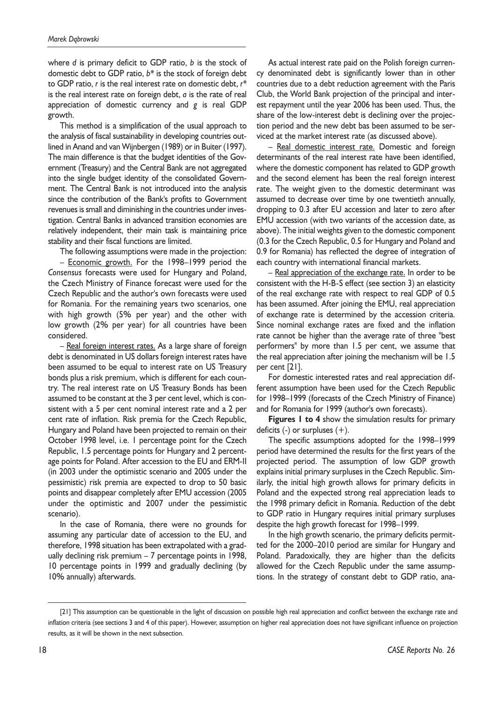where *d* is primary deficit to GDP ratio, *b* is the stock of domestic debt to GDP ratio, *b\** is the stock of foreign debt to GDP ratio, *r* is the real interest rate on domestic debt, *r\** is the real interest rate on foreign debt, *a* is the rate of real appreciation of domestic currency and *g* is real GDP growth.

This method is a simplification of the usual approach to the analysis of fiscal sustainability in developing countries outlined in Anand and van Wijnbergen (1989) or in Buiter (1997). The main difference is that the budget identities of the Government (Treasury) and the Central Bank are not aggregated into the single budget identity of the consolidated Government. The Central Bank is not introduced into the analysis since the contribution of the Bank's profits to Government revenues is small and diminishing in the countries under investigation. Central Banks in advanced transition economies are relatively independent, their main task is maintaining price stability and their fiscal functions are limited.

The following assumptions were made in the projection: – Economic growth. For the 1998–1999 period the *Consensus* forecasts were used for Hungary and Poland, the Czech Ministry of Finance forecast were used for the Czech Republic and the author's own forecasts were used for Romania. For the remaining years two scenarios, one with high growth (5% per year) and the other with low growth (2% per year) for all countries have been considered.

– Real foreign interest rates. As a large share of foreign debt is denominated in US dollars foreign interest rates have been assumed to be equal to interest rate on US Treasury bonds plus a risk premium, which is different for each country. The real interest rate on US Treasury Bonds has been assumed to be constant at the 3 per cent level, which is consistent with a 5 per cent nominal interest rate and a 2 per cent rate of inflation. Risk premia for the Czech Republic, Hungary and Poland have been projected to remain on their October 1998 level, i.e. 1 percentage point for the Czech Republic, 1.5 percentage points for Hungary and 2 percentage points for Poland. After accession to the EU and ERM-II (in 2003 under the optimistic scenario and 2005 under the pessimistic) risk premia are expected to drop to 50 basic points and disappear completely after EMU accession (2005 under the optimistic and 2007 under the pessimistic scenario).

In the case of Romania, there were no grounds for assuming any particular date of accession to the EU, and therefore, 1998 situation has been extrapolated with a gradually declining risk premium – 7 percentage points in 1998, 10 percentage points in 1999 and gradually declining (by 10% annually) afterwards.

As actual interest rate paid on the Polish foreign currency denominated debt is significantly lower than in other countries due to a debt reduction agreement with the Paris Club, the World Bank projection of the principal and interest repayment until the year 2006 has been used. Thus, the share of the low-interest debt is declining over the projection period and the new debt bas been assumed to be serviced at the market interest rate (as discussed above).

– Real domestic interest rate. Domestic and foreign determinants of the real interest rate have been identified, where the domestic component has related to GDP growth and the second element has been the real foreign interest rate. The weight given to the domestic determinant was assumed to decrease over time by one twentieth annually, dropping to 0.3 after EU accession and later to zero after EMU accession (with two variants of the accession date, as above). The initial weights given to the domestic component (0.3 for the Czech Republic, 0.5 for Hungary and Poland and 0.9 for Romania) has reflected the degree of integration of each country with international financial markets.

– Real appreciation of the exchange rate. In order to be consistent with the H-B-S effect (see section 3) an elasticity of the real exchange rate with respect to real GDP of 0.5 has been assumed. After joining the EMU, real appreciation of exchange rate is determined by the accession criteria. Since nominal exchange rates are fixed and the inflation rate cannot be higher than the average rate of three "best performers" by more than 1.5 per cent, we assume that the real appreciation after joining the mechanism will be 1.5 per cent [21].

For domestic interested rates and real appreciation different assumption have been used for the Czech Republic for 1998–1999 (forecasts of the Czech Ministry of Finance) and for Romania for 1999 (author's own forecasts).

**Figures 1 to 4** show the simulation results for primary deficits  $(-)$  or surpluses  $(+)$ .

The specific assumptions adopted for the 1998–1999 period have determined the results for the first years of the projected period. The assumption of low GDP growth explains initial primary surpluses in the Czech Republic. Similarly, the initial high growth allows for primary deficits in Poland and the expected strong real appreciation leads to the 1998 primary deficit in Romania. Reduction of the debt to GDP ratio in Hungary requires initial primary surpluses despite the high growth forecast for 1998–1999.

In the high growth scenario, the primary deficits permitted for the 2000–2010 period are similar for Hungary and Poland. Paradoxically, they are higher than the deficits allowed for the Czech Republic under the same assumptions. In the strategy of constant debt to GDP ratio, ana-

<sup>[21]</sup> This assumption can be questionable in the light of discussion on possible high real appreciation and conflict between the exchange rate and inflation criteria (see sections 3 and 4 of this paper). However, assumption on higher real appreciation does not have significant influence on projection results, as it will be shown in the next subsection.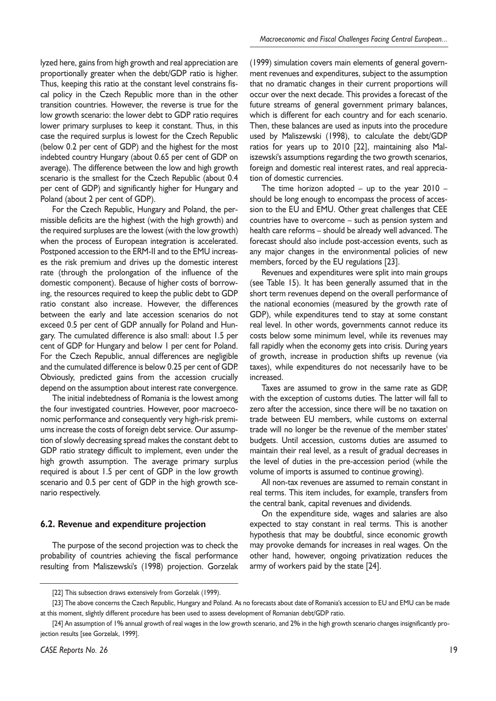lyzed here, gains from high growth and real appreciation are proportionally greater when the debt/GDP ratio is higher. Thus, keeping this ratio at the constant level constrains fiscal policy in the Czech Republic more than in the other transition countries. However, the reverse is true for the low growth scenario: the lower debt to GDP ratio requires lower primary surpluses to keep it constant. Thus, in this case the required surplus is lowest for the Czech Republic (below 0.2 per cent of GDP) and the highest for the most indebted country Hungary (about 0.65 per cent of GDP on average). The difference between the low and high growth scenario is the smallest for the Czech Republic (about 0.4 per cent of GDP) and significantly higher for Hungary and Poland (about 2 per cent of GDP).

For the Czech Republic, Hungary and Poland, the permissible deficits are the highest (with the high growth) and the required surpluses are the lowest (with the low growth) when the process of European integration is accelerated. Postponed accession to the ERM-II and to the EMU increases the risk premium and drives up the domestic interest rate (through the prolongation of the influence of the domestic component). Because of higher costs of borrowing, the resources required to keep the public debt to GDP ratio constant also increase. However, the differences between the early and late accession scenarios do not exceed 0.5 per cent of GDP annually for Poland and Hungary. The cumulated difference is also small: about 1.5 per cent of GDP for Hungary and below 1 per cent for Poland. For the Czech Republic, annual differences are negligible and the cumulated difference is below 0.25 per cent of GDP. Obviously, predicted gains from the accession crucially depend on the assumption about interest rate convergence.

The initial indebtedness of Romania is the lowest among the four investigated countries. However, poor macroeconomic performance and consequently very high-risk premiums increase the costs of foreign debt service. Our assumption of slowly decreasing spread makes the constant debt to GDP ratio strategy difficult to implement, even under the high growth assumption. The average primary surplus required is about 1.5 per cent of GDP in the low growth scenario and 0.5 per cent of GDP in the high growth scenario respectively.

#### **6.2. Revenue and expenditure projection**

The purpose of the second projection was to check the probability of countries achieving the fiscal performance resulting from Maliszewski's (1998) projection. Gorzelak (1999) simulation covers main elements of general government revenues and expenditures, subject to the assumption that no dramatic changes in their current proportions will occur over the next decade. This provides a forecast of the future streams of general government primary balances, which is different for each country and for each scenario. Then, these balances are used as inputs into the procedure used by Maliszewski (1998), to calculate the debt/GDP ratios for years up to 2010 [22], maintaining also Maliszewski's assumptions regarding the two growth scenarios, foreign and domestic real interest rates, and real appreciation of domestic currencies.

The time horizon adopted – up to the year  $2010$ should be long enough to encompass the process of accession to the EU and EMU. Other great challenges that CEE countries have to overcome – such as pension system and health care reforms – should be already well advanced. The forecast should also include post-accession events, such as any major changes in the environmental policies of new members, forced by the EU regulations [23].

Revenues and expenditures were split into main groups (see Table 15). It has been generally assumed that in the short term revenues depend on the overall performance of the national economies (measured by the growth rate of GDP), while expenditures tend to stay at some constant real level. In other words, governments cannot reduce its costs below some minimum level, while its revenues may fall rapidly when the economy gets into crisis. During years of growth, increase in production shifts up revenue (via taxes), while expenditures do not necessarily have to be increased.

Taxes are assumed to grow in the same rate as GDP, with the exception of customs duties. The latter will fall to zero after the accession, since there will be no taxation on trade between EU members, while customs on external trade will no longer be the revenue of the member states' budgets. Until accession, customs duties are assumed to maintain their real level, as a result of gradual decreases in the level of duties in the pre-accession period (while the volume of imports is assumed to continue growing).

All non-tax revenues are assumed to remain constant in real terms. This item includes, for example, transfers from the central bank, capital revenues and dividends.

On the expenditure side, wages and salaries are also expected to stay constant in real terms. This is another hypothesis that may be doubtful, since economic growth may provoke demands for increases in real wages. On the other hand, however, ongoing privatization reduces the army of workers paid by the state [24].

<sup>[22]</sup> This subsection draws extensively from Gorzelak (1999).

<sup>[23]</sup> The above concerns the Czech Republic, Hungary and Poland. As no forecasts about date of Romania's accession to EU and EMU can be made at this moment, slightly different procedure has been used to assess development of Romanian debt/GDP ratio.

<sup>[24]</sup> An assumption of 1% annual growth of real wages in the low growth scenario, and 2% in the high growth scenario changes insignificantly projection results [see Gorzelak, 1999].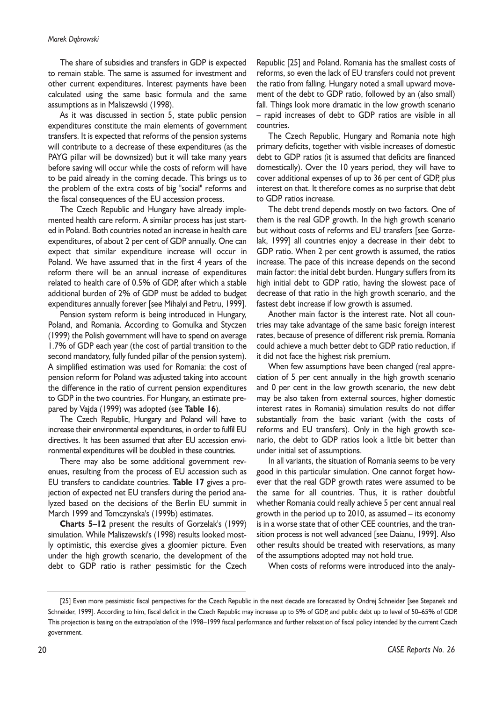The share of subsidies and transfers in GDP is expected to remain stable. The same is assumed for investment and other current expenditures. Interest payments have been calculated using the same basic formula and the same assumptions as in Maliszewski (1998).

As it was discussed in section 5, state public pension expenditures constitute the main elements of government transfers. It is expected that reforms of the pension systems will contribute to a decrease of these expenditures (as the PAYG pillar will be downsized) but it will take many years before saving will occur while the costs of reform will have to be paid already in the coming decade. This brings us to the problem of the extra costs of big "social" reforms and the fiscal consequences of the EU accession process.

The Czech Republic and Hungary have already implemented health care reform. A similar process has just started in Poland. Both countries noted an increase in health care expenditures, of about 2 per cent of GDP annually. One can expect that similar expenditure increase will occur in Poland. We have assumed that in the first 4 years of the reform there will be an annual increase of expenditures related to health care of 0.5% of GDP, after which a stable additional burden of 2% of GDP must be added to budget expenditures annually forever [see Mihalyi and Petru, 1999].

Pension system reform is being introduced in Hungary, Poland, and Romania. According to Gomulka and Styczen (1999) the Polish government will have to spend on average 1.7% of GDP each year (the cost of partial transition to the second mandatory, fully funded pillar of the pension system). A simplified estimation was used for Romania: the cost of pension reform for Poland was adjusted taking into account the difference in the ratio of current pension expenditures to GDP in the two countries. For Hungary, an estimate prepared by Vajda (1999) was adopted (see **Table 16**).

The Czech Republic, Hungary and Poland will have to increase their environmental expenditures, in order to fulfil EU directives. It has been assumed that after EU accession environmental expenditures will be doubled in these countries.

There may also be some additional government revenues, resulting from the process of EU accession such as EU transfers to candidate countries. **Table 17** gives a projection of expected net EU transfers during the period analyzed based on the decisions of the Berlin EU summit in March 1999 and Tomczynska's (1999b) estimates.

**Charts 5–12** present the results of Gorzelak's (1999) simulation. While Maliszewski's (1998) results looked mostly optimistic, this exercise gives a gloomier picture. Even under the high growth scenario, the development of the debt to GDP ratio is rather pessimistic for the Czech

Republic [25] and Poland. Romania has the smallest costs of reforms, so even the lack of EU transfers could not prevent the ratio from falling. Hungary noted a small upward movement of the debt to GDP ratio, followed by an (also small) fall. Things look more dramatic in the low growth scenario – rapid increases of debt to GDP ratios are visible in all countries.

The Czech Republic, Hungary and Romania note high primary deficits, together with visible increases of domestic debt to GDP ratios (it is assumed that deficits are financed domestically). Over the 10 years period, they will have to cover additional expenses of up to 36 per cent of GDP, plus interest on that. It therefore comes as no surprise that debt to GDP ratios increase.

The debt trend depends mostly on two factors. One of them is the real GDP growth. In the high growth scenario but without costs of reforms and EU transfers [see Gorzelak, 1999] all countries enjoy a decrease in their debt to GDP ratio. When 2 per cent growth is assumed, the ratios increase. The pace of this increase depends on the second main factor: the initial debt burden. Hungary suffers from its high initial debt to GDP ratio, having the slowest pace of decrease of that ratio in the high growth scenario, and the fastest debt increase if low growth is assumed.

Another main factor is the interest rate. Not all countries may take advantage of the same basic foreign interest rates, because of presence of different risk premia. Romania could achieve a much better debt to GDP ratio reduction, if it did not face the highest risk premium.

When few assumptions have been changed (real appreciation of 5 per cent annually in the high growth scenario and 0 per cent in the low growth scenario, the new debt may be also taken from external sources, higher domestic interest rates in Romania) simulation results do not differ substantially from the basic variant (with the costs of reforms and EU transfers). Only in the high growth scenario, the debt to GDP ratios look a little bit better than under initial set of assumptions.

In all variants, the situation of Romania seems to be very good in this particular simulation. One cannot forget however that the real GDP growth rates were assumed to be the same for all countries. Thus, it is rather doubtful whether Romania could really achieve 5 per cent annual real growth in the period up to 2010, as assumed – its economy is in a worse state that of other CEE countries, and the transition process is not well advanced [see Daianu, 1999]. Also other results should be treated with reservations, as many of the assumptions adopted may not hold true.

When costs of reforms were introduced into the analy-

<sup>[25]</sup> Even more pessimistic fiscal perspectives for the Czech Republic in the next decade are forecasted by Ondrej Schneider [see Stepanek and Schneider, 1999]. According to him, fiscal deficit in the Czech Republic may increase up to 5% of GDP, and public debt up to level of 50–65% of GDP. This projection is basing on the extrapolation of the 1998–1999 fiscal performance and further relaxation of fiscal policy intended by the current Czech government.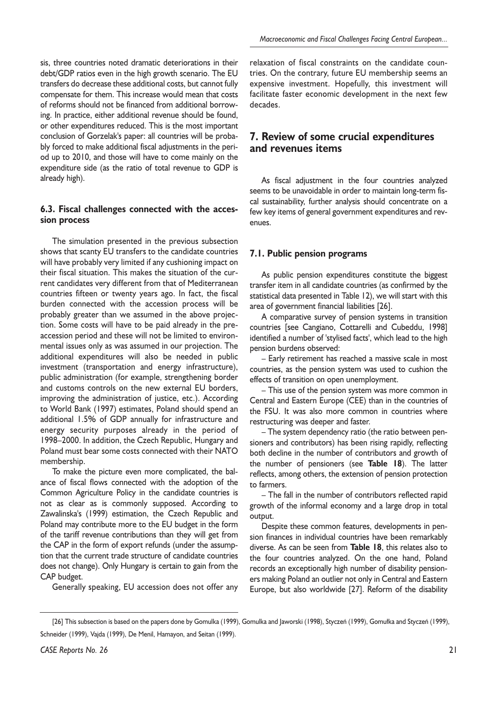sis, three countries noted dramatic deteriorations in their debt/GDP ratios even in the high growth scenario. The EU transfers do decrease these additional costs, but cannot fully compensate for them. This increase would mean that costs of reforms should not be financed from additional borrowing. In practice, either additional revenue should be found, or other expenditures reduced. This is the most important conclusion of Gorzelak's paper: all countries will be probably forced to make additional fiscal adjustments in the period up to 2010, and those will have to come mainly on the expenditure side (as the ratio of total revenue to GDP is already high).

#### **6.3. Fiscal challenges connected with the accession process**

The simulation presented in the previous subsection shows that scanty EU transfers to the candidate countries will have probably very limited if any cushioning impact on their fiscal situation. This makes the situation of the current candidates very different from that of Mediterranean countries fifteen or twenty years ago. In fact, the fiscal burden connected with the accession process will be probably greater than we assumed in the above projection. Some costs will have to be paid already in the preaccession period and these will not be limited to environmental issues only as was assumed in our projection. The additional expenditures will also be needed in public investment (transportation and energy infrastructure), public administration (for example, strengthening border and customs controls on the new external EU borders, improving the administration of justice, etc.). According to World Bank (1997) estimates, Poland should spend an additional 1.5% of GDP annually for infrastructure and energy security purposes already in the period of 1998–2000. In addition, the Czech Republic, Hungary and Poland must bear some costs connected with their NATO membership.

To make the picture even more complicated, the balance of fiscal flows connected with the adoption of the Common Agriculture Policy in the candidate countries is not as clear as is commonly supposed. According to Zawalinska's (1999) estimation, the Czech Republic and Poland may contribute more to the EU budget in the form of the tariff revenue contributions than they will get from the CAP in the form of export refunds (under the assumption that the current trade structure of candidate countries does not change). Only Hungary is certain to gain from the CAP budget.

Generally speaking, EU accession does not offer any

relaxation of fiscal constraints on the candidate countries. On the contrary, future EU membership seems an expensive investment. Hopefully, this investment will facilitate faster economic development in the next few decades.

# **7. Review of some crucial expenditures and revenues items**

As fiscal adjustment in the four countries analyzed seems to be unavoidable in order to maintain long-term fiscal sustainability, further analysis should concentrate on a few key items of general government expenditures and revenues.

#### **7.1. Public pension programs**

As public pension expenditures constitute the biggest transfer item in all candidate countries (as confirmed by the statistical data presented in Table 12), we will start with this area of government financial liabilities [26].

A comparative survey of pension systems in transition countries [see Cangiano, Cottarelli and Cubeddu, 1998] identified a number of 'stylised facts', which lead to the high pension burdens observed:

– Early retirement has reached a massive scale in most countries, as the pension system was used to cushion the effects of transition on open unemployment.

– This use of the pension system was more common in Central and Eastern Europe (CEE) than in the countries of the FSU. It was also more common in countries where restructuring was deeper and faster.

– The system dependency ratio (the ratio between pensioners and contributors) has been rising rapidly, reflecting both decline in the number of contributors and growth of the number of pensioners (see **Table 18**). The latter reflects, among others, the extension of pension protection to farmers.

– The fall in the number of contributors reflected rapid growth of the informal economy and a large drop in total output.

Despite these common features, developments in pension finances in individual countries have been remarkably diverse. As can be seen from **Table 18**, this relates also to the four countries analyzed. On the one hand, Poland records an exceptionally high number of disability pensioners making Poland an outlier not only in Central and Eastern Europe, but also worldwide [27]. Reform of the disability

<sup>[26]</sup> This subsection is based on the papers done by Gomulka (1999), Gomulka and Jaworski (1998), Styczeń (1999), Gomułka and Styczeń (1999), Schneider (1999), Vajda (1999), De Menil, Hamayon, and Seitan (1999).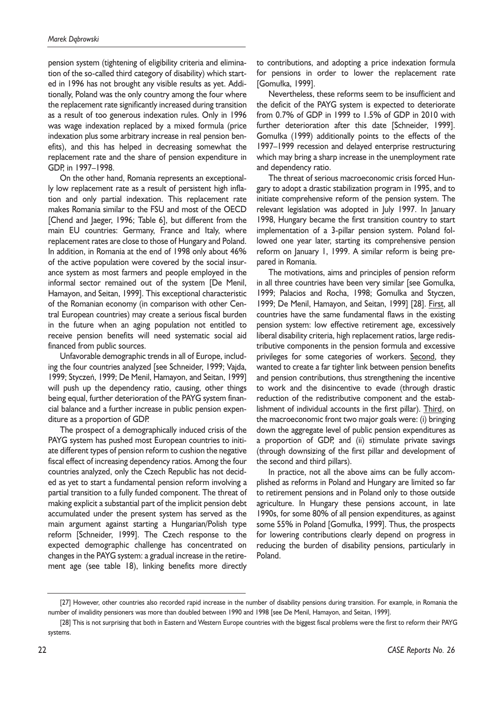pension system (tightening of eligibility criteria and elimination of the so-called third category of disability) which started in 1996 has not brought any visible results as yet. Additionally, Poland was the only country among the four where the replacement rate significantly increased during transition as a result of too generous indexation rules. Only in 1996 was wage indexation replaced by a mixed formula (price indexation plus some arbitrary increase in real pension benefits), and this has helped in decreasing somewhat the replacement rate and the share of pension expenditure in GDP, in 1997–1998.

On the other hand, Romania represents an exceptionally low replacement rate as a result of persistent high inflation and only partial indexation. This replacement rate makes Romania similar to the FSU and most of the OECD [Chend and Jaeger, 1996; Table 6], but different from the main EU countries: Germany, France and Italy, where replacement rates are close to those of Hungary and Poland. In addition, in Romania at the end of 1998 only about 46% of the active population were covered by the social insurance system as most farmers and people employed in the informal sector remained out of the system [De Menil, Hamayon, and Seitan, 1999]. This exceptional characteristic of the Romanian economy (in comparison with other Central European countries) may create a serious fiscal burden in the future when an aging population not entitled to receive pension benefits will need systematic social aid financed from public sources.

Unfavorable demographic trends in all of Europe, including the four countries analyzed [see Schneider, 1999; Vajda, 1999; Styczeñ, 1999; De Menil, Hamayon, and Seitan, 1999] will push up the dependency ratio, causing, other things being equal, further deterioration of the PAYG system financial balance and a further increase in public pension expenditure as a proportion of GDP.

The prospect of a demographically induced crisis of the PAYG system has pushed most European countries to initiate different types of pension reform to cushion the negative fiscal effect of increasing dependency ratios. Among the four countries analyzed, only the Czech Republic has not decided as yet to start a fundamental pension reform involving a partial transition to a fully funded component. The threat of making explicit a substantial part of the implicit pension debt accumulated under the present system has served as the main argument against starting a Hungarian/Polish type reform [Schneider, 1999]. The Czech response to the expected demographic challenge has concentrated on changes in the PAYG system: a gradual increase in the retirement age (see table 18), linking benefits more directly to contributions, and adopting a price indexation formula for pensions in order to lower the replacement rate [Gomułka, 1999].

Nevertheless, these reforms seem to be insufficient and the deficit of the PAYG system is expected to deteriorate from 0.7% of GDP in 1999 to 1.5% of GDP in 2010 with further deterioration after this date [Schneider, 1999]. Gomułka (1999) additionally points to the effects of the 1997–1999 recession and delayed enterprise restructuring which may bring a sharp increase in the unemployment rate and dependency ratio.

The threat of serious macroeconomic crisis forced Hungary to adopt a drastic stabilization program in 1995, and to initiate comprehensive reform of the pension system. The relevant legislation was adopted in July 1997. In January 1998, Hungary became the first transition country to start implementation of a 3-pillar pension system. Poland followed one year later, starting its comprehensive pension reform on January 1, 1999. A similar reform is being prepared in Romania.

The motivations, aims and principles of pension reform in all three countries have been very similar [see Gomulka, 1999; Palacios and Rocha, 1998; Gomulka and Styczen, 1999; De Menil, Hamayon, and Seitan, 1999] [28]. First, all countries have the same fundamental flaws in the existing pension system: low effective retirement age, excessively liberal disability criteria, high replacement ratios, large redistributive components in the pension formula and excessive privileges for some categories of workers. Second, they wanted to create a far tighter link between pension benefits and pension contributions, thus strengthening the incentive to work and the disincentive to evade (through drastic reduction of the redistributive component and the establishment of individual accounts in the first pillar). Third, on the macroeconomic front two major goals were: (i) bringing down the aggregate level of public pension expenditures as a proportion of GDP, and (ii) stimulate private savings (through downsizing of the first pillar and development of the second and third pillars).

In practice, not all the above aims can be fully accomplished as reforms in Poland and Hungary are limited so far to retirement pensions and in Poland only to those outside agriculture. In Hungary these pensions account, in late 1990s, for some 80% of all pension expenditures, as against some 55% in Poland [Gomułka, 1999]. Thus, the prospects for lowering contributions clearly depend on progress in reducing the burden of disability pensions, particularly in Poland.

<sup>[27]</sup> However, other countries also recorded rapid increase in the number of disability pensions during transition. For example, in Romania the number of invalidity pensioners was more than doubled between 1990 and 1998 [see De Menil, Hamayon, and Seitan, 1999].

<sup>[28]</sup> This is not surprising that both in Eastern and Western Europe countries with the biggest fiscal problems were the first to reform their PAYG systems.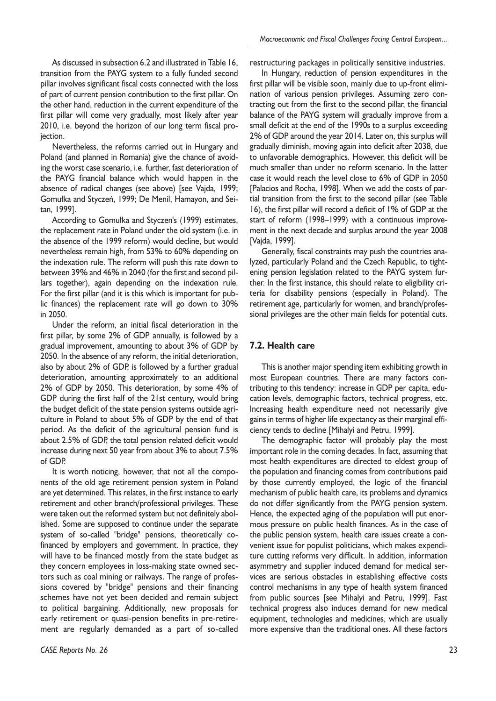As discussed in subsection 6.2 and illustrated in Table 16, transition from the PAYG system to a fully funded second pillar involves significant fiscal costs connected with the loss of part of current pension contribution to the first pillar. On the other hand, reduction in the current expenditure of the first pillar will come very gradually, most likely after year 2010, i.e. beyond the horizon of our long term fiscal projection.

Nevertheless, the reforms carried out in Hungary and Poland (and planned in Romania) give the chance of avoiding the worst case scenario, i.e. further, fast deterioration of the PAYG financial balance which would happen in the absence of radical changes (see above) [see Vajda, 1999; Gomułka and Styczeń, 1999; De Menil, Hamayon, and Seitan, 1999].

According to Gomułka and Styczen's (1999) estimates, the replacement rate in Poland under the old system (i.e. in the absence of the 1999 reform) would decline, but would nevertheless remain high, from 53% to 60% depending on the indexation rule. The reform will push this rate down to between 39% and 46% in 2040 (for the first and second pillars together), again depending on the indexation rule. For the first pillar (and it is this which is important for public finances) the replacement rate will go down to 30% in 2050.

Under the reform, an initial fiscal deterioration in the first pillar, by some 2% of GDP annually, is followed by a gradual improvement, amounting to about 3% of GDP by 2050. In the absence of any reform, the initial deterioration, also by about 2% of GDP, is followed by a further gradual deterioration, amounting approximately to an additional 2% of GDP by 2050. This deterioration, by some 4% of GDP during the first half of the 21st century, would bring the budget deficit of the state pension systems outside agriculture in Poland to about 5% of GDP by the end of that period. As the deficit of the agricultural pension fund is about 2.5% of GDP, the total pension related deficit would increase during next 50 year from about 3% to about 7.5% of GDP.

It is worth noticing, however, that not all the components of the old age retirement pension system in Poland are yet determined. This relates, in the first instance to early retirement and other branch/professional privileges. These were taken out the reformed system but not definitely abolished. Some are supposed to continue under the separate system of so-called "bridge" pensions, theoretically cofinanced by employers and government. In practice, they will have to be financed mostly from the state budget as they concern employees in loss-making state owned sectors such as coal mining or railways. The range of professions covered by "bridge" pensions and their financing schemes have not yet been decided and remain subject to political bargaining. Additionally, new proposals for early retirement or quasi-pension benefits in pre-retirement are regularly demanded as a part of so-called

restructuring packages in politically sensitive industries.

In Hungary, reduction of pension expenditures in the first pillar will be visible soon, mainly due to up-front elimination of various pension privileges. Assuming zero contracting out from the first to the second pillar, the financial balance of the PAYG system will gradually improve from a small deficit at the end of the 1990s to a surplus exceeding 2% of GDP around the year 2014. Later on, this surplus will gradually diminish, moving again into deficit after 2038, due to unfavorable demographics. However, this deficit will be much smaller than under no reform scenario. In the latter case it would reach the level close to 6% of GDP in 2050 [Palacios and Rocha, 1998]. When we add the costs of partial transition from the first to the second pillar (see Table 16), the first pillar will record a deficit of 1% of GDP at the start of reform (1998–1999) with a continuous improvement in the next decade and surplus around the year 2008 [Vajda, 1999].

Generally, fiscal constraints may push the countries analyzed, particularly Poland and the Czech Republic, to tightening pension legislation related to the PAYG system further. In the first instance, this should relate to eligibility criteria for disability pensions (especially in Poland). The retirement age, particularly for women, and branch/professional privileges are the other main fields for potential cuts.

#### **7.2. Health care**

This is another major spending item exhibiting growth in most European countries. There are many factors contributing to this tendency: increase in GDP per capita, education levels, demographic factors, technical progress, etc. Increasing health expenditure need not necessarily give gains in terms of higher life expectancy as their marginal efficiency tends to decline [Mihalyi and Petru, 1999].

The demographic factor will probably play the most important role in the coming decades. In fact, assuming that most health expenditures are directed to eldest group of the population and financing comes from contributions paid by those currently employed, the logic of the financial mechanism of public health care, its problems and dynamics do not differ significantly from the PAYG pension system. Hence, the expected aging of the population will put enormous pressure on public health finances. As in the case of the public pension system, health care issues create a convenient issue for populist politicians, which makes expenditure cutting reforms very difficult. In addition, information asymmetry and supplier induced demand for medical services are serious obstacles in establishing effective costs control mechanisms in any type of health system financed from public sources [see Mihalyi and Petru, 1999]. Fast technical progress also induces demand for new medical equipment, technologies and medicines, which are usually more expensive than the traditional ones. All these factors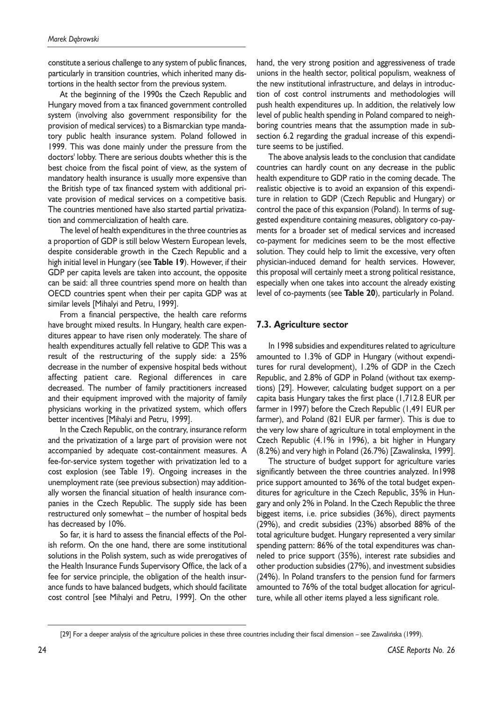constitute a serious challenge to any system of public finances, particularly in transition countries, which inherited many distortions in the health sector from the previous system.

At the beginning of the 1990s the Czech Republic and Hungary moved from a tax financed government controlled system (involving also government responsibility for the provision of medical services) to a Bismarckian type mandatory public health insurance system. Poland followed in 1999. This was done mainly under the pressure from the doctors' lobby. There are serious doubts whether this is the best choice from the fiscal point of view, as the system of mandatory health insurance is usually more expensive than the British type of tax financed system with additional private provision of medical services on a competitive basis. The countries mentioned have also started partial privatization and commercialization of health care.

The level of health expenditures in the three countries as a proportion of GDP is still below Western European levels, despite considerable growth in the Czech Republic and a high initial level in Hungary (see **Table 19**). However, if their GDP per capita levels are taken into account, the opposite can be said: all three countries spend more on health than OECD countries spent when their per capita GDP was at similar levels [Mihalyi and Petru, 1999].

From a financial perspective, the health care reforms have brought mixed results. In Hungary, health care expenditures appear to have risen only moderately. The share of health expenditures actually fell relative to GDP. This was a result of the restructuring of the supply side: a 25% decrease in the number of expensive hospital beds without affecting patient care. Regional differences in care decreased. The number of family practitioners increased and their equipment improved with the majority of family physicians working in the privatized system, which offers better incentives [Mihalyi and Petru, 1999].

In the Czech Republic, on the contrary, insurance reform and the privatization of a large part of provision were not accompanied by adequate cost-containment measures. A fee-for-service system together with privatization led to a cost explosion (see Table 19). Ongoing increases in the unemployment rate (see previous subsection) may additionally worsen the financial situation of health insurance companies in the Czech Republic. The supply side has been restructured only somewhat – the number of hospital beds has decreased by 10%.

So far, it is hard to assess the financial effects of the Polish reform. On the one hand, there are some institutional solutions in the Polish system, such as wide prerogatives of the Health Insurance Funds Supervisory Office, the lack of a fee for service principle, the obligation of the health insurance funds to have balanced budgets, which should facilitate cost control [see Mihalyi and Petru, 1999]. On the other

hand, the very strong position and aggressiveness of trade unions in the health sector, political populism, weakness of the new institutional infrastructure, and delays in introduction of cost control instruments and methodologies will push health expenditures up. In addition, the relatively low level of public health spending in Poland compared to neighboring countries means that the assumption made in subsection 6.2 regarding the gradual increase of this expenditure seems to be justified.

The above analysis leads to the conclusion that candidate countries can hardly count on any decrease in the public health expenditure to GDP ratio in the coming decade. The realistic objective is to avoid an expansion of this expenditure in relation to GDP (Czech Republic and Hungary) or control the pace of this expansion (Poland). In terms of suggested expenditure containing measures, obligatory co-payments for a broader set of medical services and increased co-payment for medicines seem to be the most effective solution. They could help to limit the excessive, very often physician-induced demand for health services. However, this proposal will certainly meet a strong political resistance, especially when one takes into account the already existing level of co-payments (see **Table 20**), particularly in Poland.

## **7.3. Agriculture sector**

In 1998 subsidies and expenditures related to agriculture amounted to 1.3% of GDP in Hungary (without expenditures for rural development), 1.2% of GDP in the Czech Republic, and 2.8% of GDP in Poland (without tax exemptions) [29]. However, calculating budget support on a per capita basis Hungary takes the first place (1,712.8 EUR per farmer in 1997) before the Czech Republic (1,491 EUR per farmer), and Poland (821 EUR per farmer). This is due to the very low share of agriculture in total employment in the Czech Republic (4.1% in 1996), a bit higher in Hungary (8.2%) and very high in Poland (26.7%) [Zawalinska, 1999].

The structure of budget support for agriculture varies significantly between the three countries analyzed. In1998 price support amounted to 36% of the total budget expenditures for agriculture in the Czech Republic, 35% in Hungary and only 2% in Poland. In the Czech Republic the three biggest items, i.e. price subsidies (36%), direct payments (29%), and credit subsidies (23%) absorbed 88% of the total agriculture budget. Hungary represented a very similar spending pattern: 86% of the total expenditures was channeled to price support (35%), interest rate subsidies and other production subsidies (27%), and investment subsidies (24%). In Poland transfers to the pension fund for farmers amounted to 76% of the total budget allocation for agriculture, while all other items played a less significant role.

<sup>[29]</sup> For a deeper analysis of the agriculture policies in these three countries including their fiscal dimension – see Zawaliñska (1999).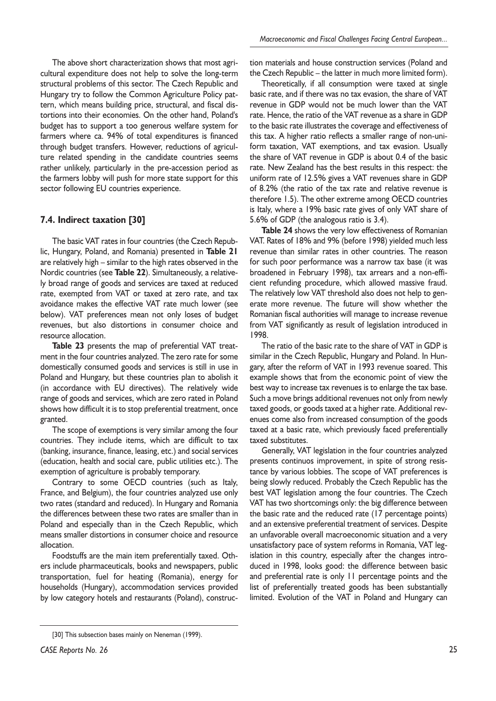The above short characterization shows that most agricultural expenditure does not help to solve the long-term structural problems of this sector. The Czech Republic and Hungary try to follow the Common Agriculture Policy pattern, which means building price, structural, and fiscal distortions into their economies. On the other hand, Poland's budget has to support a too generous welfare system for farmers where ca. 94% of total expenditures is financed through budget transfers. However, reductions of agriculture related spending in the candidate countries seems rather unlikely, particularly in the pre-accession period as the farmers lobby will push for more state support for this sector following EU countries experience.

# **7.4. Indirect taxation [30]**

The basic VAT rates in four countries (the Czech Republic, Hungary, Poland, and Romania) presented in **Table 21** are relatively high – similar to the high rates observed in the Nordic countries (see **Table 22**). Simultaneously, a relatively broad range of goods and services are taxed at reduced rate, exempted from VAT or taxed at zero rate, and tax avoidance makes the effective VAT rate much lower (see below). VAT preferences mean not only loses of budget revenues, but also distortions in consumer choice and resource allocation.

**Table 23** presents the map of preferential VAT treatment in the four countries analyzed. The zero rate for some domestically consumed goods and services is still in use in Poland and Hungary, but these countries plan to abolish it (in accordance with EU directives). The relatively wide range of goods and services, which are zero rated in Poland shows how difficult it is to stop preferential treatment, once granted.

The scope of exemptions is very similar among the four countries. They include items, which are difficult to tax (banking, insurance, finance, leasing, etc.) and social services (education, health and social care, public utilities etc.). The exemption of agriculture is probably temporary.

Contrary to some OECD countries (such as Italy, France, and Belgium), the four countries analyzed use only two rates (standard and reduced). In Hungary and Romania the differences between these two rates are smaller than in Poland and especially than in the Czech Republic, which means smaller distortions in consumer choice and resource allocation.

Foodstuffs are the main item preferentially taxed. Others include pharmaceuticals, books and newspapers, public transportation, fuel for heating (Romania), energy for households (Hungary), accommodation services provided by low category hotels and restaurants (Poland), construction materials and house construction services (Poland and the Czech Republic – the latter in much more limited form).

Theoretically, if all consumption were taxed at single basic rate, and if there was no tax evasion, the share of VAT revenue in GDP would not be much lower than the VAT rate. Hence, the ratio of the VAT revenue as a share in GDP to the basic rate illustrates the coverage and effectiveness of this tax. A higher ratio reflects a smaller range of non-uniform taxation, VAT exemptions, and tax evasion. Usually the share of VAT revenue in GDP is about 0.4 of the basic rate. New Zealand has the best results in this respect: the uniform rate of 12.5% gives a VAT revenues share in GDP of 8.2% (the ratio of the tax rate and relative revenue is therefore 1.5). The other extreme among OECD countries is Italy, where a 19% basic rate gives of only VAT share of 5.6% of GDP (the analogous ratio is 3.4).

**Table 24** shows the very low effectiveness of Romanian VAT. Rates of 18% and 9% (before 1998) yielded much less revenue than similar rates in other countries. The reason for such poor performance was a narrow tax base (it was broadened in February 1998), tax arrears and a non-efficient refunding procedure, which allowed massive fraud. The relatively low VAT threshold also does not help to generate more revenue. The future will show whether the Romanian fiscal authorities will manage to increase revenue from VAT significantly as result of legislation introduced in 1998.

The ratio of the basic rate to the share of VAT in GDP is similar in the Czech Republic, Hungary and Poland. In Hungary, after the reform of VAT in 1993 revenue soared. This example shows that from the economic point of view the best way to increase tax revenues is to enlarge the tax base. Such a move brings additional revenues not only from newly taxed goods, or goods taxed at a higher rate. Additional revenues come also from increased consumption of the goods taxed at a basic rate, which previously faced preferentially taxed substitutes.

Generally, VAT legislation in the four countries analyzed presents continuos improvement, in spite of strong resistance by various lobbies. The scope of VAT preferences is being slowly reduced. Probably the Czech Republic has the best VAT legislation among the four countries. The Czech VAT has two shortcomings only: the big difference between the basic rate and the reduced rate (17 percentage points) and an extensive preferential treatment of services. Despite an unfavorable overall macroeconomic situation and a very unsatisfactory pace of system reforms in Romania, VAT legislation in this country, especially after the changes introduced in 1998, looks good: the difference between basic and preferential rate is only 11 percentage points and the list of preferentially treated goods has been substantially limited. Evolution of the VAT in Poland and Hungary can

<sup>[30]</sup> This subsection bases mainly on Neneman (1999).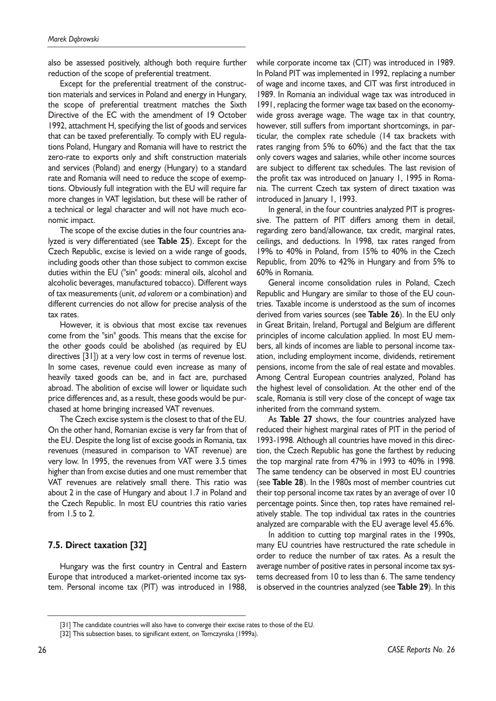also be assessed positively, although both require further reduction of the scope of preferential treatment.

Except for the preferential treatment of the construction materials and services in Poland and energy in Hungary, the scope of preferential treatment matches the Sixth Directive of the EC with the amendment of 19 October 1992, attachment H, specifying the list of goods and services that can be taxed preferentially. To comply with EU regulations Poland, Hungary and Romania will have to restrict the zero-rate to exports only and shift construction materials and services (Poland) and energy (Hungary) to a standard rate and Romania will need to reduce the scope of exemptions. Obviously full integration with the EU will require far more changes in VAT legislation, but these will be rather of a technical or legal character and will not have much economic impact.

The scope of the excise duties in the four countries analyzed is very differentiated (see **Table 25**). Except for the Czech Republic, excise is levied on a wide range of goods, including goods other than those subject to common excise duties within the EU ("sin" goods: mineral oils, alcohol and alcoholic beverages, manufactured tobacco). Different ways of tax measurements (unit, *ad valorem* or a combination) and different currencies do not allow for precise analysis of the tax rates.

However, it is obvious that most excise tax revenues come from the "sin" goods. This means that the excise for the other goods could be abolished (as required by EU directives [31]) at a very low cost in terms of revenue lost. In some cases, revenue could even increase as many of heavily taxed goods can be, and in fact are, purchased abroad. The abolition of excise will lower or liquidate such price differences and, as a result, these goods would be purchased at home bringing increased VAT revenues.

The Czech excise system is the closest to that of the EU. On the other hand, Romanian excise is very far from that of the EU. Despite the long list of excise goods in Romania, tax revenues (measured in comparison to VAT revenue) are very low. In 1995, the revenues from VAT were 3.5 times higher than from excise duties and one must remember that VAT revenues are relatively small there. This ratio was about 2 in the case of Hungary and about 1.7 in Poland and the Czech Republic. In most EU countries this ratio varies from 1.5 to 2.

#### **7.5. Direct taxation [32]**

Hungary was the first country in Central and Eastern Europe that introduced a market-oriented income tax system. Personal income tax (PIT) was introduced in 1988,

while corporate income tax (CIT) was introduced in 1989. In Poland PIT was implemented in 1992, replacing a number of wage and income taxes, and CIT was first introduced in 1989. In Romania an individual wage tax was introduced in 1991, replacing the former wage tax based on the economywide gross average wage. The wage tax in that country, however, still suffers from important shortcomings, in particular, the complex rate schedule (14 tax brackets with rates ranging from 5% to 60%) and the fact that the tax only covers wages and salaries, while other income sources are subject to different tax schedules. The last revision of the profit tax was introduced on January 1, 1995 in Romania. The current Czech tax system of direct taxation was introduced in January 1, 1993.

In general, in the four countries analyzed PIT is progressive. The pattern of PIT differs among them in detail, regarding zero band/allowance, tax credit, marginal rates, ceilings, and deductions. In 1998, tax rates ranged from 19% to 40% in Poland, from 15% to 40% in the Czech Republic, from 20% to 42% in Hungary and from 5% to 60% in Romania.

General income consolidation rules in Poland, Czech Republic and Hungary are similar to those of the EU countries. Taxable income is understood as the sum of incomes derived from varies sources (see **Table 26**). In the EU only in Great Britain, Ireland, Portugal and Belgium are different principles of income calculation applied. In most EU members, all kinds of incomes are liable to personal income taxation, including employment income, dividends, retirement pensions, income from the sale of real estate and movables. Among Central European countries analyzed, Poland has the highest level of consolidation. At the other end of the scale, Romania is still very close of the concept of wage tax inherited from the command system.

As **Table 27** shows, the four countries analyzed have reduced their highest marginal rates of PIT in the period of 1993-1998. Although all countries have moved in this direction, the Czech Republic has gone the farthest by reducing the top marginal rate from 47% in 1993 to 40% in 1998. The same tendency can be observed in most EU countries (see **Table 28**). In the 1980s most of member countries cut their top personal income tax rates by an average of over 10 percentage points. Since then, top rates have remained relatively stable. The top individual tax rates in the countries analyzed are comparable with the EU average level 45.6%.

In addition to cutting top marginal rates in the 1990s, many EU countries have restructured the rate schedule in order to reduce the number of tax rates. As a result the average number of positive rates in personal income tax systems decreased from 10 to less than 6. The same tendency is observed in the countries analyzed (see **Table 29**). In this

<sup>[31]</sup> The candidate countries will also have to converge their excise rates to those of the EU.

<sup>[32]</sup> This subsection bases, to significant extent, on Tomczynska (1999a).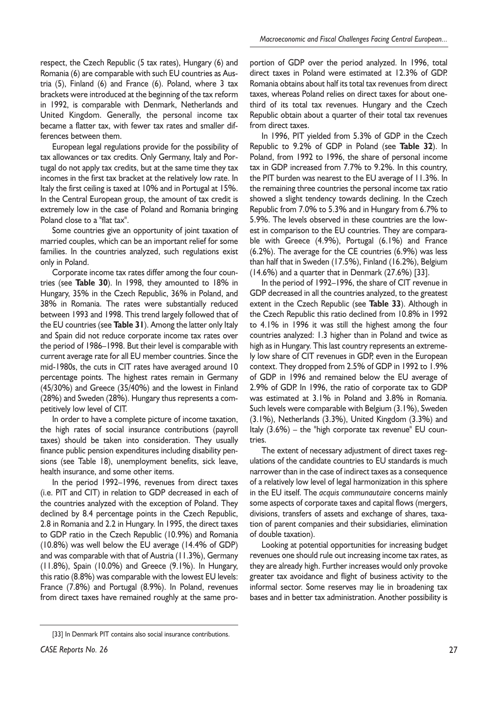respect, the Czech Republic (5 tax rates), Hungary (6) and Romania (6) are comparable with such EU countries as Austria (5), Finland (6) and France (6). Poland, where 3 tax brackets were introduced at the beginning of the tax reform in 1992, is comparable with Denmark, Netherlands and United Kingdom. Generally, the personal income tax became a flatter tax, with fewer tax rates and smaller differences between them.

European legal regulations provide for the possibility of tax allowances or tax credits. Only Germany, Italy and Portugal do not apply tax credits, but at the same time they tax incomes in the first tax bracket at the relatively low rate. In Italy the first ceiling is taxed at 10% and in Portugal at 15%. In the Central European group, the amount of tax credit is extremely low in the case of Poland and Romania bringing Poland close to a "flat tax".

Some countries give an opportunity of joint taxation of married couples, which can be an important relief for some families. In the countries analyzed, such regulations exist only in Poland.

Corporate income tax rates differ among the four countries (see **Table 30**). In 1998, they amounted to 18% in Hungary, 35% in the Czech Republic, 36% in Poland, and 38% in Romania. The rates were substantially reduced between 1993 and 1998. This trend largely followed that of the EU countries (see **Table 31**). Among the latter only Italy and Spain did not reduce corporate income tax rates over the period of 1986–1998. But their level is comparable with current average rate for all EU member countries. Since the mid-1980s, the cuts in CIT rates have averaged around 10 percentage points. The highest rates remain in Germany (45/30%) and Greece (35/40%) and the lowest in Finland (28%) and Sweden (28%). Hungary thus represents a competitively low level of CIT.

In order to have a complete picture of income taxation, the high rates of social insurance contributions (payroll taxes) should be taken into consideration. They usually finance public pension expenditures including disability pensions (see Table 18), unemployment benefits, sick leave, health insurance, and some other items.

In the period 1992–1996, revenues from direct taxes (i.e. PIT and CIT) in relation to GDP decreased in each of the countries analyzed with the exception of Poland. They declined by 8.4 percentage points in the Czech Republic, 2.8 in Romania and 2.2 in Hungary. In 1995, the direct taxes to GDP ratio in the Czech Republic (10.9%) and Romania (10.8%) was well below the EU average (14.4% of GDP) and was comparable with that of Austria (11.3%), Germany (11.8%), Spain (10.0%) and Greece (9.1%). In Hungary, this ratio (8.8%) was comparable with the lowest EU levels: France (7.8%) and Portugal (8.9%). In Poland, revenues from direct taxes have remained roughly at the same proportion of GDP over the period analyzed. In 1996, total direct taxes in Poland were estimated at 12.3% of GDP. Romania obtains about half its total tax revenues from direct taxes, whereas Poland relies on direct taxes for about onethird of its total tax revenues. Hungary and the Czech Republic obtain about a quarter of their total tax revenues from direct taxes.

In 1996, PIT yielded from 5.3% of GDP in the Czech Republic to 9.2% of GDP in Poland (see **Table 32**). In Poland, from 1992 to 1996, the share of personal income tax in GDP increased from 7.7% to 9.2%. In this country, the PIT burden was nearest to the EU average of 11.3%. In the remaining three countries the personal income tax ratio showed a slight tendency towards declining. In the Czech Republic from 7.0% to 5.3% and in Hungary from 6.7% to 5.9%. The levels observed in these countries are the lowest in comparison to the EU countries. They are comparable with Greece (4.9%), Portugal (6.1%) and France (6.2%). The average for the CE countries (6.9%) was less than half that in Sweden (17.5%), Finland (16.2%), Belgium (14.6%) and a quarter that in Denmark (27.6%) [33].

In the period of 1992–1996, the share of CIT revenue in GDP decreased in all the countries analyzed, to the greatest extent in the Czech Republic (see **Table 33**). Although in the Czech Republic this ratio declined from 10.8% in 1992 to 4.1% in 1996 it was still the highest among the four countries analyzed: 1.3 higher than in Poland and twice as high as in Hungary. This last country represents an extremely low share of CIT revenues in GDP, even in the European context. They dropped from 2.5% of GDP in 1992 to 1.9% of GDP in 1996 and remained below the EU average of 2.9% of GDP. In 1996, the ratio of corporate tax to GDP was estimated at 3.1% in Poland and 3.8% in Romania. Such levels were comparable with Belgium (3.1%), Sweden (3.1%), Netherlands (3.3%), United Kingdom (3.3%) and Italy (3.6%) – the "high corporate tax revenue" EU countries.

The extent of necessary adjustment of direct taxes regulations of the candidate countries to EU standards is much narrower than in the case of indirect taxes as a consequence of a relatively low level of legal harmonization in this sphere in the EU itself. The *acquis communautaire* concerns mainly some aspects of corporate taxes and capital flows (mergers, divisions, transfers of assets and exchange of shares, taxation of parent companies and their subsidiaries, elimination of double taxation).

Looking at potential opportunities for increasing budget revenues one should rule out increasing income tax rates, as they are already high. Further increases would only provoke greater tax avoidance and flight of business activity to the informal sector. Some reserves may lie in broadening tax bases and in better tax administration. Another possibility is

<sup>[33]</sup> In Denmark PIT contains also social insurance contributions.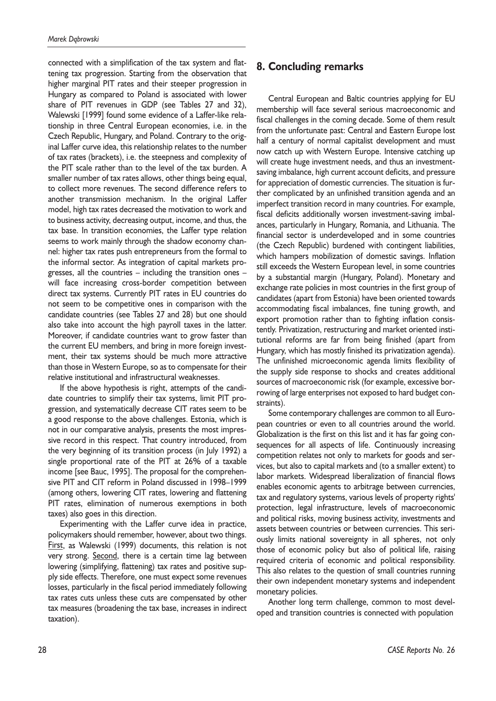connected with a simplification of the tax system and flattening tax progression. Starting from the observation that higher marginal PIT rates and their steeper progression in Hungary as compared to Poland is associated with lower share of PIT revenues in GDP (see Tables 27 and 32), Walewski [1999] found some evidence of a Laffer-like relationship in three Central European economies, i.e. in the Czech Republic, Hungary, and Poland. Contrary to the original Laffer curve idea, this relationship relates to the number of tax rates (brackets), i.e. the steepness and complexity of the PIT scale rather than to the level of the tax burden. A smaller number of tax rates allows, other things being equal, to collect more revenues. The second difference refers to another transmission mechanism. In the original Laffer model, high tax rates decreased the motivation to work and to business activity, decreasing output, income, and thus, the tax base. In transition economies, the Laffer type relation seems to work mainly through the shadow economy channel: higher tax rates push entrepreneurs from the formal to the informal sector. As integration of capital markets progresses, all the countries – including the transition ones – will face increasing cross-border competition between direct tax systems. Currently PIT rates in EU countries do not seem to be competitive ones in comparison with the candidate countries (see Tables 27 and 28) but one should also take into account the high payroll taxes in the latter. Moreover, if candidate countries want to grow faster than the current EU members, and bring in more foreign investment, their tax systems should be much more attractive than those in Western Europe, so as to compensate for their relative institutional and infrastructural weaknesses.

If the above hypothesis is right, attempts of the candidate countries to simplify their tax systems, limit PIT progression, and systematically decrease CIT rates seem to be a good response to the above challenges. Estonia, which is not in our comparative analysis, presents the most impressive record in this respect. That country introduced, from the very beginning of its transition process (in July 1992) a single proportional rate of the PIT at 26% of a taxable income [see Bauc, 1995]. The proposal for the comprehensive PIT and CIT reform in Poland discussed in 1998–1999 (among others, lowering CIT rates, lowering and flattening PIT rates, elimination of numerous exemptions in both taxes) also goes in this direction.

Experimenting with the Laffer curve idea in practice, policymakers should remember, however, about two things. First, as Walewski (1999) documents, this relation is not very strong. Second, there is a certain time lag between lowering (simplifying, flattening) tax rates and positive supply side effects. Therefore, one must expect some revenues losses, particularly in the fiscal period immediately following tax rates cuts unless these cuts are compensated by other tax measures (broadening the tax base, increases in indirect taxation).

# **8. Concluding remarks**

Central European and Baltic countries applying for EU membership will face several serious macroeconomic and fiscal challenges in the coming decade. Some of them result from the unfortunate past: Central and Eastern Europe lost half a century of normal capitalist development and must now catch up with Western Europe. Intensive catching up will create huge investment needs, and thus an investmentsaving imbalance, high current account deficits, and pressure for appreciation of domestic currencies. The situation is further complicated by an unfinished transition agenda and an imperfect transition record in many countries. For example, fiscal deficits additionally worsen investment-saving imbalances, particularly in Hungary, Romania, and Lithuania. The financial sector is underdeveloped and in some countries (the Czech Republic) burdened with contingent liabilities, which hampers mobilization of domestic savings. Inflation still exceeds the Western European level, in some countries by a substantial margin (Hungary, Poland). Monetary and exchange rate policies in most countries in the first group of candidates (apart from Estonia) have been oriented towards accommodating fiscal imbalances, fine tuning growth, and export promotion rather than to fighting inflation consistently. Privatization, restructuring and market oriented institutional reforms are far from being finished (apart from Hungary, which has mostly finished its privatization agenda). The unfinished microeconomic agenda limits flexibility of the supply side response to shocks and creates additional sources of macroeconomic risk (for example, excessive borrowing of large enterprises not exposed to hard budget constraints).

Some contemporary challenges are common to all European countries or even to all countries around the world. Globalization is the first on this list and it has far going consequences for all aspects of life. Continuously increasing competition relates not only to markets for goods and services, but also to capital markets and (to a smaller extent) to labor markets. Widespread liberalization of financial flows enables economic agents to arbitrage between currencies, tax and regulatory systems, various levels of property rights' protection, legal infrastructure, levels of macroeconomic and political risks, moving business activity, investments and assets between countries or between currencies. This seriously limits national sovereignty in all spheres, not only those of economic policy but also of political life, raising required criteria of economic and political responsibility. This also relates to the question of small countries running their own independent monetary systems and independent monetary policies.

Another long term challenge, common to most developed and transition countries is connected with population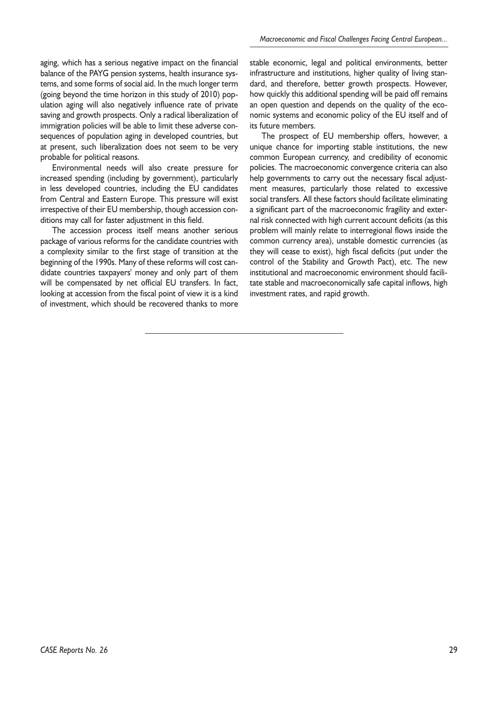aging, which has a serious negative impact on the financial balance of the PAYG pension systems, health insurance systems, and some forms of social aid. In the much longer term (going beyond the time horizon in this study of 2010) population aging will also negatively influence rate of private saving and growth prospects. Only a radical liberalization of immigration policies will be able to limit these adverse consequences of population aging in developed countries, but at present, such liberalization does not seem to be very probable for political reasons.

Environmental needs will also create pressure for increased spending (including by government), particularly in less developed countries, including the EU candidates from Central and Eastern Europe. This pressure will exist irrespective of their EU membership, though accession conditions may call for faster adjustment in this field.

The accession process itself means another serious package of various reforms for the candidate countries with a complexity similar to the first stage of transition at the beginning of the 1990s. Many of these reforms will cost candidate countries taxpayers' money and only part of them will be compensated by net official EU transfers. In fact, looking at accession from the fiscal point of view it is a kind of investment, which should be recovered thanks to more stable economic, legal and political environments, better infrastructure and institutions, higher quality of living standard, and therefore, better growth prospects. However, how quickly this additional spending will be paid off remains an open question and depends on the quality of the economic systems and economic policy of the EU itself and of its future members.

The prospect of EU membership offers, however, a unique chance for importing stable institutions, the new common European currency, and credibility of economic policies. The macroeconomic convergence criteria can also help governments to carry out the necessary fiscal adjustment measures, particularly those related to excessive social transfers. All these factors should facilitate eliminating a significant part of the macroeconomic fragility and external risk connected with high current account deficits (as this problem will mainly relate to interregional flows inside the common currency area), unstable domestic currencies (as they will cease to exist), high fiscal deficits (put under the control of the Stability and Growth Pact), etc. The new institutional and macroeconomic environment should facilitate stable and macroeconomically safe capital inflows, high investment rates, and rapid growth.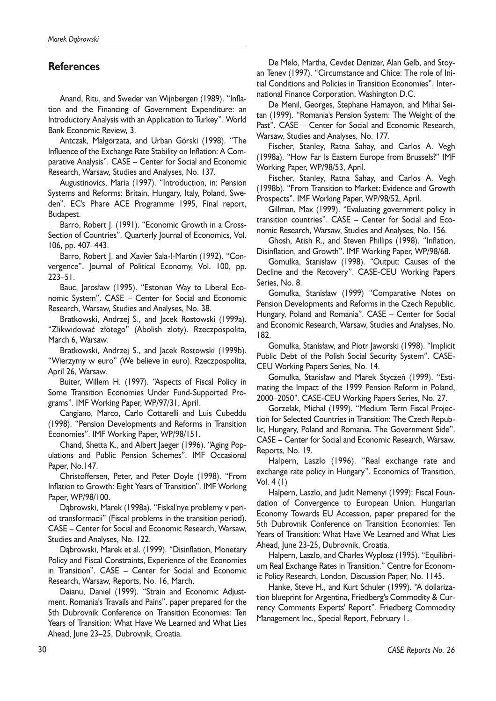# **References**

Anand, Ritu, and Sweder van Wijnbergen (1989). "Inflation and the Financing of Government Expenditure: an Introductory Analysis with an Application to Turkey". World Bank Economic Review, 3.

Antczak, Małgorzata, and Urban Górski (1998). "The Influence of the Exchange Rate Stability on Inflation: A Comparative Analysis". CASE – Center for Social and Economic Research, Warsaw, Studies and Analyses, No. 137.

Augustinovics, Maria (1997). "Introduction, in: Pension Systems and Reforms: Britain, Hungary, Italy, Poland, Sweden". EC's Phare ACE Programme 1995, Final report, Budapest.

Barro, Robert J. (1991). "Economic Growth in a Cross-Section of Countries". Quarterly Journal of Economics, Vol. 106, pp. 407–443.

Barro, Robert J. and Xavier Sala-I-Martin (1992). "Convergence". Journal of Political Economy, Vol. 100, pp. 223–51.

Bauc, Jarosław (1995). "Estonian Way to Liberal Economic System". CASE – Center for Social and Economic Research, Warsaw, Studies and Analyses, No. 38.

Bratkowski, Andrzej S., and Jacek Rostowski (1999a). "Zlikwidować złotego" (Abolish zloty). Rzeczpospolita, March 6, Warsaw.

Bratkowski, Andrzej S., and Jacek Rostowski (1999b). "Wierzymy w euro" (We believe in euro). Rzeczpospolita, April 26, Warsaw.

Buiter, Willem H. (1997). "Aspects of Fiscal Policy in Some Transition Economies Under Fund-Supported Programs". IMF Working Paper, WP/97/31, April.

Cangiano, Marco, Carlo Cottarelli and Luis Cubeddu (1998). "Pension Developments and Reforms in Transition Economies". IMF Working Paper, WP/98/151.

Chand, Shetta K., and Albert Jaeger (1996). "Aging Populations and Public Pension Schemes". IMF Occasional Paper, No.147.

Christoffersen, Peter, and Peter Doyle (1998). "From Inflation to Growth: Eight Years of Transition". IMF Working Paper, WP/98/100.

Dąbrowski, Marek (1998a). "Fiskal'nye problemy v period transformacii" (Fiscal problems in the transition period). CASE – Center for Social and Economic Research, Warsaw, Studies and Analyses, No. 122.

Dąbrowski, Marek et al. (1999). "Disinflation, Monetary Policy and Fiscal Constraints, Experience of the Economies in Transition". CASE – Center for Social and Economic Research, Warsaw, Reports, No. 16, March.

Daianu, Daniel (1999). "Strain and Economic Adjustment. Romania's Travails and Pains". paper prepared for the 5th Dubrovnik Conference on Transition Economies: Ten Years of Transition: What Have We Learned and What Lies Ahead, June 23–25, Dubrovnik, Croatia.

De Melo, Martha, Cevdet Denizer, Alan Gelb, and Stoyan Tenev (1997). "Circumstance and Chice: The role of Initial Conditions and Policies in Transition Economies". International Finance Corporation, Washington D.C.

De Menil, Georges, Stephane Hamayon, and Mihai Seitan (1999). "Romania's Pension System: The Weight of the Past". CASE – Center for Social and Economic Research, Warsaw, Studies and Analyses, No. 177.

Fischer, Stanley, Ratna Sahay, and Carlos A. Vegh (1998a). "How Far Is Eastern Europe from Brussels?" IMF Working Paper, WP/98/53, April.

Fischer, Stanley, Ratna Sahay, and Carlos A. Vegh (1998b). "From Transition to Market: Evidence and Growth Prospects". IMF Working Paper, WP/98/52, April.

Gillman, Max (1999). "Evaluating government policy in transition countries". CASE – Center for Social and Economic Research, Warsaw, Studies and Analyses, No. 156.

Ghosh, Atish R., and Steven Phillips (1998). "Inflation, Disinflation, and Growth". IMF Working Paper, WP/98/68.

Gomułka, Stanisław (1998). "Output: Causes of the Decline and the Recovery". CASE-CEU Working Papers Series, No. 8.

Gomułka, Stanisław (1999) "Comparative Notes on Pension Developments and Reforms in the Czech Republic, Hungary, Poland and Romania". CASE – Center for Social and Economic Research, Warsaw, Studies and Analyses, No. 182.

Gomułka, Stanisław, and Piotr Jaworski (1998). "Implicit Public Debt of the Polish Social Security System". CASE-CEU Working Papers Series, No. 14.

Gomułka, Stanisław and Marek Styczeń (1999). "Estimating the Impact of the 1999 Pension Reform in Poland, 2000–2050". CASE-CEU Working Papers Series, No. 27.

Gorzelak, Michał (1999). "Medium Term Fiscal Projection for Selected Countries in Transition: The Czech Republic, Hungary, Poland and Romania. The Government Side". CASE – Center for Social and Economic Research, Warsaw, Reports, No. 19.

Halpern, Laszlo (1996). "Real exchange rate and exchange rate policy in Hungary". Economics of Transition, Vol. 4 (1)

Halpern, Laszlo, and Judit Nemenyi (1999): Fiscal Foundation of Convergence to European Union. Hungarian Economy Towards EU Accession, paper prepared for the 5th Dubrovnik Conference on Transition Economies: Ten Years of Transition: What Have We Learned and What Lies Ahead, June 23-25, Dubrovnik, Croatia.

Halpern, Laszlo, and Charles Wyplosz (1995). "Equilibrium Real Exchange Rates in Transition." Centre for Economic Policy Research, London, Discussion Paper, No. 1145.

Hanke, Steve H., and Kurt Schuler (1999). "A dollarization blueprint for Argentina, Friedberg's Commodity & Currency Comments Experts' Report". Friedberg Commodity Management Inc., Special Report, February 1.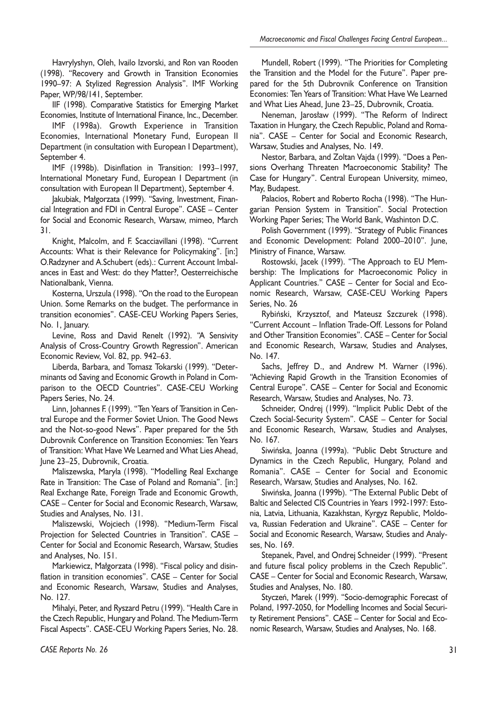*Macroeconomic and Fiscal Challenges Facing Central European...*

Havrylyshyn, Oleh, Ivailo Izvorski, and Ron van Rooden (1998). "Recovery and Growth in Transition Economies 1990–97: A Stylized Regression Analysis". IMF Working Paper, WP/98/141, September.

IIF (1998). Comparative Statistics for Emerging Market Economies, Institute of International Finance, Inc., December.

IMF (1998a). Growth Experience in Transition Economies, International Monetary Fund, European II Department (in consultation with European I Department), September 4.

IMF (1998b). Disinflation in Transition: 1993–1997, International Monetary Fund, European I Department (in consultation with European II Department), September 4.

Jakubiak, Małgorzata (1999). "Saving, Investment, Financial Integration and FDI in Central Europe". CASE – Center for Social and Economic Research, Warsaw, mimeo, March 31.

Knight, Malcolm, and F. Scacciavillani (1998). "Current Accounts: What is their Relevance for Policymaking". [in:] O.Radzyner and A.Schubert (eds).: Current Account Imbalances in East and West: do they Matter?, Oesterreichische Nationalbank, Vienna.

Kosterna, Urszula (1998). "On the road to the European Union. Some Remarks on the budget. The performance in transition economies". CASE-CEU Working Papers Series, No. I, January.

Levine, Ross and David Renelt (1992). "A Sensivity Analysis of Cross-Country Growth Regression". American Economic Review, Vol. 82, pp. 942–63.

Liberda, Barbara, and Tomasz Tokarski (1999). "Determinants od Saving and Economic Growth in Poland in Comparison to the OECD Countries". CASE-CEU Working Papers Series, No. 24.

Linn, Johannes F. (1999). "Ten Years of Transition in Central Europe and the Former Soviet Union. The Good News and the Not-so-good News". Paper prepared for the 5th Dubrovnik Conference on Transition Economies: Ten Years of Transition: What Have We Learned and What Lies Ahead, June 23–25, Dubrovnik, Croatia.

Maliszewska, Maryla (1998). "Modelling Real Exchange Rate in Transition: The Case of Poland and Romania". [in:] Real Exchange Rate, Foreign Trade and Economic Growth, CASE – Center for Social and Economic Research, Warsaw, Studies and Analyses, No. 131.

Maliszewski, Wojciech (1998). "Medium-Term Fiscal Projection for Selected Countries in Transition". CASE – Center for Social and Economic Research, Warsaw, Studies and Analyses, No. 151.

Markiewicz, Małgorzata (1998). "Fiscal policy and disinflation in transition economies". CASE – Center for Social and Economic Research, Warsaw, Studies and Analyses, No. 127.

Mihalyi, Peter, and Ryszard Petru (1999). "Health Care in the Czech Republic, Hungary and Poland. The Medium-Term Fiscal Aspects". CASE-CEU Working Papers Series, No. 28.

Mundell, Robert (1999). "The Priorities for Completing the Transition and the Model for the Future". Paper prepared for the 5th Dubrovnik Conference on Transition Economies: Ten Years of Transition: What Have We Learned and What Lies Ahead, June 23–25, Dubrovnik, Croatia.

Neneman, Jarosław (1999). "The Reform of Indirect Taxation in Hungary, the Czech Republic, Poland and Romania". CASE – Center for Social and Economic Research, Warsaw, Studies and Analyses, No. 149.

Nestor, Barbara, and Zoltan Vajda (1999). "Does a Pensions Overhang Threaten Macroeconomic Stability? The Case for Hungary". Central European University, mimeo, May, Budapest.

Palacios, Robert and Roberto Rocha (1998). "The Hungarian Pension System in Transition". Social Protection Working Paper Series; The World Bank, Washinton D.C.

Polish Government (1999). "Strategy of Public Finances and Economic Development: Poland 2000–2010". June, Ministry of Finance, Warsaw.

Rostowski, Jacek (1999). "The Approach to EU Membership: The Implications for Macroeconomic Policy in Applicant Countries." CASE – Center for Social and Economic Research, Warsaw, CASE-CEU Working Papers Series, No. 26

Rybiñski, Krzysztof, and Mateusz Szczurek (1998). "Current Account – Inflation Trade-Off. Lessons for Poland and Other Transition Economies". CASE – Center for Social and Economic Research, Warsaw, Studies and Analyses, No. 147.

Sachs, Jeffrey D., and Andrew M. Warner (1996). "Achieving Rapid Growth in the Transition Economies of Central Europe". CASE – Center for Social and Economic Research, Warsaw, Studies and Analyses, No. 73.

Schneider, Ondrej (1999). "Implicit Public Debt of the Czech Social-Security System". CASE – Center for Social and Economic Research, Warsaw, Studies and Analyses, No. 167.

Siwiñska, Joanna (1999a). "Public Debt Structure and Dynamics in the Czech Republic, Hungary, Poland and Romania". CASE – Center for Social and Economic Research, Warsaw, Studies and Analyses, No. 162.

Siwiñska, Joanna (1999b). "The External Public Debt of Baltic and Selected CIS Countries in Years 1992-1997: Estonia, Latvia, Lithuania, Kazakhstan, Kyrgyz Republic, Moldova, Russian Federation and Ukraine". CASE – Center for Social and Economic Research, Warsaw, Studies and Analyses, No. 169.

Stepanek, Pavel, and Ondrej Schneider (1999). "Present and future fiscal policy problems in the Czech Republic". CASE – Center for Social and Economic Research, Warsaw, Studies and Analyses, No. 180.

Styczeñ, Marek (1999). "Socio-demographic Forecast of Poland, 1997-2050, for Modelling Incomes and Social Security Retirement Pensions". CASE – Center for Social and Economic Research, Warsaw, Studies and Analyses, No. 168.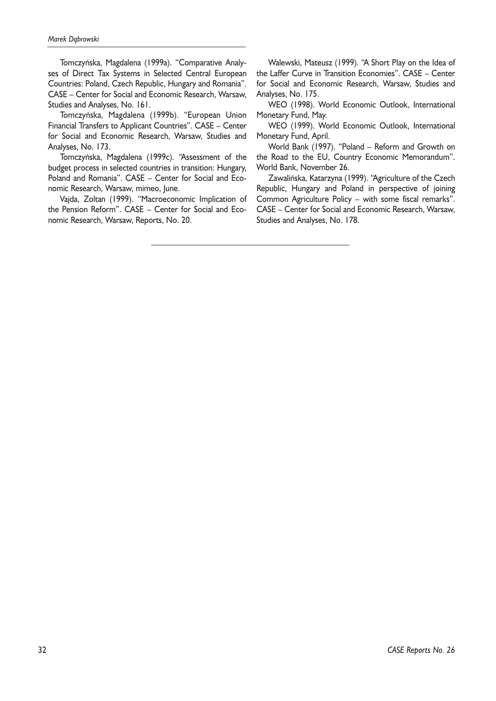Tomczyñska, Magdalena (1999a). "Comparative Analyses of Direct Tax Systems in Selected Central European Countries: Poland, Czech Republic, Hungary and Romania". CASE – Center for Social and Economic Research, Warsaw, Studies and Analyses, No. 161.

Tomczyñska, Magdalena (1999b). "European Union Financial Transfers to Applicant Countries". CASE – Center for Social and Economic Research, Warsaw, Studies and Analyses, No. 173.

Tomczyñska, Magdalena (1999c). "Assessment of the budget process in selected countries in transition: Hungary, Poland and Romania". CASE – Center for Social and Economic Research, Warsaw, mimeo, June.

Vajda, Zoltan (1999). "Macroeconomic Implication of the Pension Reform". CASE – Center for Social and Economic Research, Warsaw, Reports, No. 20.

Walewski, Mateusz (1999). "A Short Play on the Idea of the Laffer Curve in Transition Economies". CASE – Center for Social and Economic Research, Warsaw, Studies and Analyses, No. 175.

WEO (1998). World Economic Outlook, International Monetary Fund, May.

WEO (1999). World Economic Outlook, International Monetary Fund, April.

World Bank (1997). "Poland – Reform and Growth on the Road to the EU, Country Economic Memorandum". World Bank, November 26.

Zawaliñska, Katarzyna (1999). "Agriculture of the Czech Republic, Hungary and Poland in perspective of joining Common Agriculture Policy – with some fiscal remarks". CASE – Center for Social and Economic Research, Warsaw, Studies and Analyses, No. 178.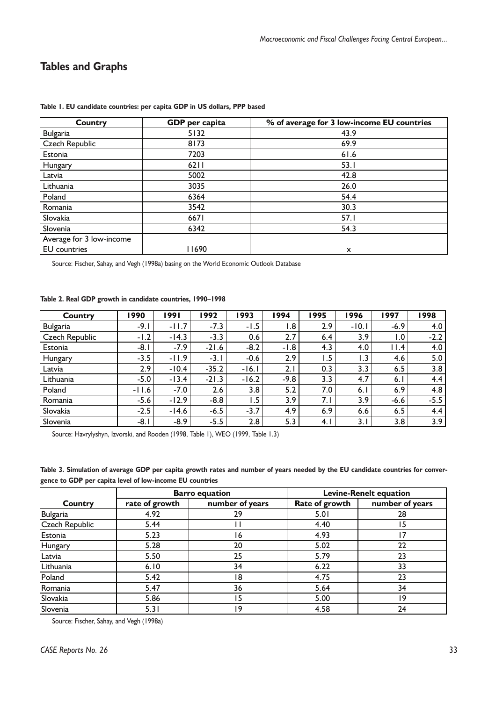# **Tables and Graphs**

| <b>Country</b>           | GDP per capita | % of average for 3 low-income EU countries |
|--------------------------|----------------|--------------------------------------------|
| <b>Bulgaria</b>          | 5132           | 43.9                                       |
| Czech Republic           | 8173           | 69.9                                       |
| Estonia                  | 7203           | 61.6                                       |
| Hungary                  | 6211           | 53.1                                       |
| Latvia                   | 5002           | 42.8                                       |
| Lithuania                | 3035           | 26.0                                       |
| Poland                   | 6364           | 54.4                                       |
| Romania                  | 3542           | 30.3                                       |
| Slovakia                 | 6671           | 57.1                                       |
| Slovenia                 | 6342           | 54.3                                       |
| Average for 3 low-income |                |                                            |
| <b>EU</b> countries      | 11690          | x                                          |

#### **Table 1. EU candidate countries: per capita GDP in US dollars, PPP based**

Source: Fischer, Sahay, and Vegh (1998a) basing on the World Economic Outlook Database

#### **Table 2. Real GDP growth in candidate countries, 1990–1998**

| <b>Country</b>  | 1990    | 1991    | 992     | 1993    | 1994   | 1995 | 1996    | 1997           | 1998   |
|-----------------|---------|---------|---------|---------|--------|------|---------|----------------|--------|
| <b>Bulgaria</b> | $-9.1$  | $-11.7$ | $-7.3$  | $-1.5$  | 8. ا   | 2.9  | $-10.1$ | $-6.9$         | 4.0    |
| Czech Republic  | $-1.2$  | $-14.3$ | $-3.3$  | 0.6     | 2.7    | 6.4  | 3.9     | 1.0            | $-2.2$ |
| Estonia         | $-8.1$  | $-7.9$  | $-21.6$ | $-8.2$  | $-1.8$ | 4.3  | 4.0     | $  \cdot  $ .4 | 4.0    |
| Hungary         | $-3.5$  | $-11.9$ | $-3.1$  | $-0.6$  | 2.9    | I.5  | 1.3     | 4.6            | 5.0    |
| Latvia          | 2.9     | $-10.4$ | $-35.2$ | $-16.1$ | 2.1    | 0.3  | 3.3     | 6.5            | 3.8    |
| Lithuania       | $-5.0$  | $-13.4$ | $-21.3$ | $-16.2$ | $-9.8$ | 3.3  | 4.7     | 6.1            | 4.4    |
| Poland          | $-11.6$ | $-7.0$  | 2.6     | 3.8     | 5.2    | 7.0  | 6.1     | 6.9            | 4.8    |
| Romania         | $-5.6$  | $-12.9$ | $-8.8$  | 1.5     | 3.9    | 7.1  | 3.9     | $-6.6$         | $-5.5$ |
| Slovakia        | $-2.5$  | $-14.6$ | $-6.5$  | $-3.7$  | 4.9    | 6.9  | 6.6     | 6.5            | 4.4    |
| Slovenia        | $-8.1$  | $-8.9$  | $-5.5$  | 2.8     | 5.3    | 4.1  | 3. I    | 3.8            | 3.9    |

Source: Havrylyshyn, Izvorski, and Rooden (1998, Table 1), WEO (1999, Table 1.3)

**Table 3. Simulation of average GDP per capita growth rates and number of years needed by the EU candidate countries for convergence to GDP per capita level of low-income EU countries**

|                |                | <b>Barro equation</b> |                | <b>Levine-Renelt equation</b> |  |  |
|----------------|----------------|-----------------------|----------------|-------------------------------|--|--|
| <b>Country</b> | rate of growth | number of years       | Rate of growth | number of years               |  |  |
| Bulgaria       | 4.92           | 29                    | 5.01           | 28                            |  |  |
| Czech Republic | 5.44           | Н                     | 4.40           | 15                            |  |  |
| Estonia        | 5.23           | 16                    | 4.93           |                               |  |  |
| Hungary        | 5.28           | 20                    | 5.02           | 22                            |  |  |
| Latvia         | 5.50           | 25                    | 5.79           | 23                            |  |  |
| Lithuania      | 6.10           | 34                    | 6.22           | 33                            |  |  |
| Poland         | 5.42           | 18                    | 4.75           | 23                            |  |  |
| Romania        | 5.47           | 36                    | 5.64           | 34                            |  |  |
| Slovakia       | 5.86           | 15                    | 5.00           | 19                            |  |  |
| Slovenia       | 5.31           | 19                    | 4.58           | 24                            |  |  |

Source: Fischer, Sahay, and Vegh (1998a)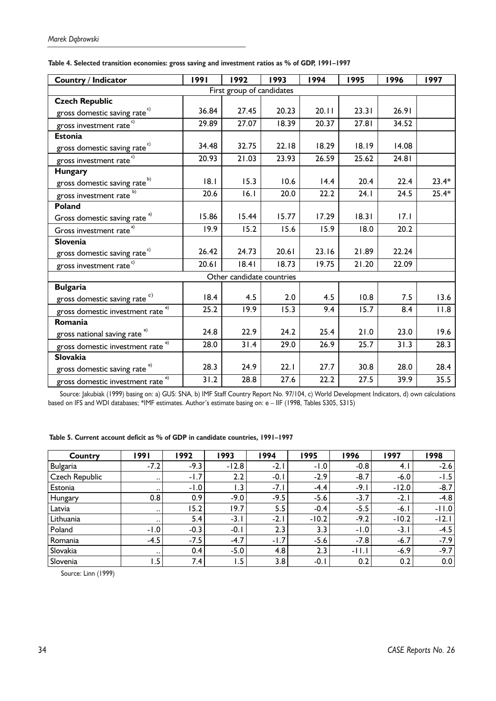| <b>Country / Indicator</b>                   | 1991  | 1992                      | 1993  | 1994  | 1995  | 1996  | 1997    |
|----------------------------------------------|-------|---------------------------|-------|-------|-------|-------|---------|
|                                              |       | First group of candidates |       |       |       |       |         |
| <b>Czech Republic</b>                        |       |                           |       |       |       |       |         |
| gross domestic saving rate <sup>c)</sup>     | 36.84 | 27.45                     | 20.23 | 20.11 | 23.31 | 26.91 |         |
| gross investment rate $\mathrm{^{c)}}$       | 29.89 | 27.07                     | 18.39 | 20.37 | 27.81 | 34.52 |         |
| <b>Estonia</b>                               |       |                           |       |       |       |       |         |
| gross domestic saving rate <sup>c)</sup>     | 34.48 | 32.75                     | 22.18 | 18.29 | 18.19 | 14.08 |         |
| gross investment rate $\frac{c}{c}$          | 20.93 | 21.03                     | 23.93 | 26.59 | 25.62 | 24.81 |         |
| <b>Hungary</b>                               |       |                           |       |       |       |       |         |
| gross domestic saving rate <sup>b)</sup>     | 18.1  | 15.3                      | 10.6  | 14.4  | 20.4  | 22.4  | $23.4*$ |
| gross investment rate <sup>b)</sup>          | 20.6  | 16.1                      | 20.0  | 22.2  | 24.1  | 24.5  | $25.4*$ |
| <b>Poland</b>                                |       |                           |       |       |       |       |         |
| Gross domestic saving rate <sup>a)</sup>     | 15.86 | 15.44                     | 15.77 | 17.29 | 18.31 | 17.1  |         |
| Gross investment rate $a^{a)}$               | 19.9  | 15.2                      | 15.6  | 15.9  | 18.0  | 20.2  |         |
| <b>Slovenia</b>                              |       |                           |       |       |       |       |         |
| gross domestic saving rate <sup>c)</sup>     | 26.42 | 24.73                     | 20.61 | 23.16 | 21.89 | 22.24 |         |
| gross investment rate <sup>c)</sup>          | 20.61 | 18.41                     | 18.73 | 19.75 | 21.20 | 22.09 |         |
|                                              |       | Other candidate countries |       |       |       |       |         |
| <b>Bulgaria</b>                              |       |                           |       |       |       |       |         |
| gross domestic saving rate <sup>e)</sup>     | 18.4  | 4.5                       | 2.0   | 4.5   | 10.8  | 7.5   | 13.6    |
| gross domestic investment rate <sup>e)</sup> | 25.2  | 19.9                      | 15.3  | 9.4   | 15.7  | 8.4   | 11.8    |
| Romania                                      |       |                           |       |       |       |       |         |
| gross national saving rate <sup>e)</sup>     | 24.8  | 22.9                      | 24.2  | 25.4  | 21.0  | 23.0  | 19.6    |
| gross domestic investment rate <sup>e)</sup> | 28.0  | 31.4                      | 29.0  | 26.9  | 25.7  | 31.3  | 28.3    |
| <b>Slovakia</b>                              |       |                           |       |       |       |       |         |
| gross domestic saving rate <sup>e)</sup>     | 28.3  | 24.9                      | 22.1  | 27.7  | 30.8  | 28.0  | 28.4    |
| e)<br>gross domestic investment rate         | 31.2  | 28.8                      | 27.6  | 22.2  | 27.5  | 39.9  | 35.5    |

|  | Table 4. Selected transition economies: gross saving and investment ratios as % of GDP, 1991–1997 |  |  |  |  |
|--|---------------------------------------------------------------------------------------------------|--|--|--|--|
|  |                                                                                                   |  |  |  |  |

Source: Jakubiak (1999) basing on: a) GUS: SNA, b) IMF Staff Country Report No. 97/104, c) World Development Indicators, d) own calculations based on IFS and WDI databases; \*IMF estimates. Author's estimate basing on: e – IIF (1998, Tables S305, S315)

**Table 5. Current account deficit as % of GDP in candidate countries, 1991–1997**

| Country         | 1991                 | 1992   | 1993            | 1994   | 1995    | 1996    | 1997    | 1998    |
|-----------------|----------------------|--------|-----------------|--------|---------|---------|---------|---------|
| <b>Bulgaria</b> | $-7.2$               | $-9.3$ | $-12.8$         | $-2.1$ | $-1.0$  | $-0.8$  | 4.1     | $-2.6$  |
| Czech Republic  | $\bullet$ .          | $-1.7$ | 2.2             | $-0.1$ | $-2.9$  | $-8.7$  | $-6.0$  | $-1.5$  |
| Estonia         | $\cdot \cdot$        | $-1.0$ | 1.3             | $-7.1$ | $-4.4$  | $-9.1$  | $-12.0$ | $-8.7$  |
| Hungary         | 0.8                  | 0.9    | $-9.0$          | $-9.5$ | $-5.6$  | $-3.7$  | $-2.1$  | $-4.8$  |
| Latvia          | $\cdot \cdot$        | 15.2   | 19.7            | 5.5    | $-0.4$  | $-5.5$  | $-6.$   | $-11.0$ |
| Lithuania       | $\ddot{\phantom{a}}$ | 5.4    | $-3.1$          | $-2.1$ | $-10.2$ | $-9.2$  | $-10.2$ | $-12.1$ |
| Poland          | $-1.0$               | $-0.3$ | $-0.1$          | 2.3    | 3.3     | $-1.0$  | $-3.1$  | $-4.5$  |
| Romania         | $-4.5$               | $-7.5$ | $-4.7$          | $-1.7$ | $-5.6$  | $-7.8$  | $-6.7$  | $-7.9$  |
| Slovakia        | $\ddot{\phantom{a}}$ | 0.4    | $-5.0$          | 4.8    | 2.3     | $-11.1$ | $-6.9$  | $-9.7$  |
| Slovenia        | 1.5                  | 7.4    | .5 <sup>1</sup> | 3.8    | $-0.1$  | 0.2     | 0.2     | 0.0     |

Source: Linn (1999)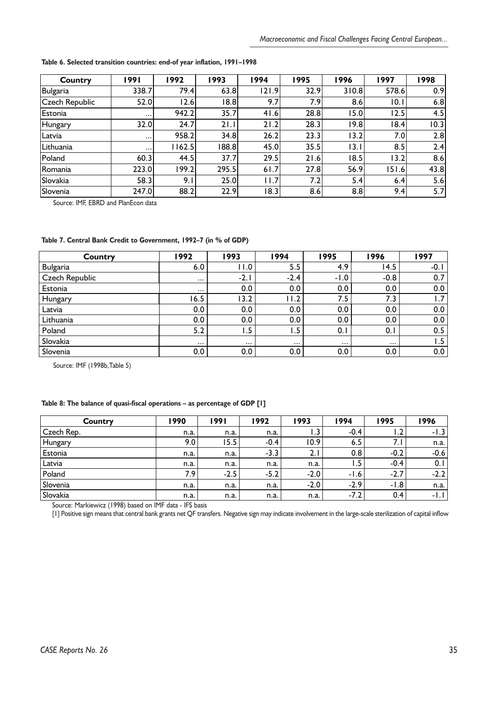| Country        | 1991     | 1992  | 1993  | 1994  | 1995 | 1996  | 1997  | 1998 |
|----------------|----------|-------|-------|-------|------|-------|-------|------|
| Bulgaria       | 338.7    | 79.4  | 63.8  | 121.9 | 32.9 | 310.8 | 578.6 | 0.9  |
| Czech Republic | 52.0     | 12.6  | 18.8  | 9.7   | 7.9  | 8.6   | 10.1  | 6.8  |
| Estonia        | $\cdots$ | 942.2 | 35.7  | 41.6  | 28.8 | 15.0  | 12.5  | 4.5  |
| Hungary        | 32.0     | 24.7  | 21.1  | 21.2  | 28.3 | 19.8  | 8.4   | 10.3 |
| Latvia         | $\cdots$ | 958.2 | 34.8  | 26.2  | 23.3 | 3.2   | 7.0   | 2.8  |
| Lithuania      | $\cdots$ | 162.5 | 188.8 | 45.0  | 35.5 | 3.1   | 8.5   | 2.4  |
| Poland         | 60.3     | 44.5  | 37.7  | 29.5  | 21.6 | 18.5  | 13.2  | 8.6  |
| Romania        | 223.0    | 199.2 | 295.5 | 61.7  | 27.8 | 56.9  | 151.6 | 43.8 |
| Slovakia       | 58.3     | 9.1   | 25.0  | 1.7   | 7.2  | 5.4   | 6.4   | 5.6  |
| Slovenia       | 247.0    | 88.2  | 22.9  | 18.3  | 8.6  | 8.8   | 9.4   | 5.7  |

**Table 6. Selected transition countries: end-of year inflation, 1991–1998**

Source: IMF, EBRD and PlanEcon data

#### **Table 7. Central Bank Credit to Government, 1992–7 (in % of GDP)**

| Country         | 1992     | 1993     | 1994     | 1995     | 1996     | 1997   |
|-----------------|----------|----------|----------|----------|----------|--------|
| <b>Bulgaria</b> | 6.0      | 11.0     | 5.5      | 4.9      | 14.5     | $-0.1$ |
| Czech Republic  | $\cdots$ | $-2.1$   | $-2.4$   | $-1.0$   | $-0.8$   | 0.7    |
| Estonia         | $\cdots$ | 0.0      | 0.0      | $0.0\,$  | 0.0      | 0.0    |
| Hungary         | 16.5     | 13.2     | 11.2     | 7.5      | 7.3      | 1.7    |
| Latvia          | 0.0      | 0.0      | 0.0      | 0.0      | 0.0      | 0.0    |
| Lithuania       | 0.0      | 0.0      | 0.0      | $0.0\,$  | 0.0      | 0.0    |
| Poland          | 5.2      | 1.5      | 5. ا     | 0.1      | 0.1      | 0.5    |
| Slovakia        | $\cdots$ | $\cdots$ | $\cdots$ | $\cdots$ | $\cdots$ | 1.5    |
| Slovenia        | 0.0      | 0.0      | 0.0      | 0.0      | 0.0      | 0.0    |

Source: IMF (1998b,Table 5)

#### **Table 8: The balance of quasi-fiscal operations – as percentage of GDP [1]**

| Country    | 1990 | 1991   | 1992   | 1993   | 1994   | 995    | 1996   |
|------------|------|--------|--------|--------|--------|--------|--------|
| Czech Rep. | n.a. | n.a.   | n.a.   | I .3   | $-0.4$ | I.2    | $-1.3$ |
| Hungary    | 9.01 | 15.5   | $-0.4$ | 10.9   | 6.5    | 7. I   | n.a.   |
| Estonia    | n.a. | n.a.   | $-3.3$ | 2.1    | 0.8    | $-0.2$ | $-0.6$ |
| Latvia     | n.a. | n.a.   | n.a.   | n.a.   | 1.5    | $-0.4$ | 0.1    |
| Poland     | 7.9  | $-2.5$ | $-5.2$ | $-2.0$ | $-1.6$ | $-2.7$ | $-2.2$ |
| Slovenia   | n.a. | n.a.   | n.a.   | $-2.0$ | $-2.9$ | $-1.8$ | n.a.   |
| Slovakia   | n.a. | n.a.   | n.a.   | n.a.   | $-7.2$ | 0.4    | $-1.1$ |

Source: Markiewicz (1998) based on IMF data - IFS basis

[1] Positive sign means that central bank grants net QF transfers. Negative sign may indicate involvement in the large-scale sterilization of capital inflow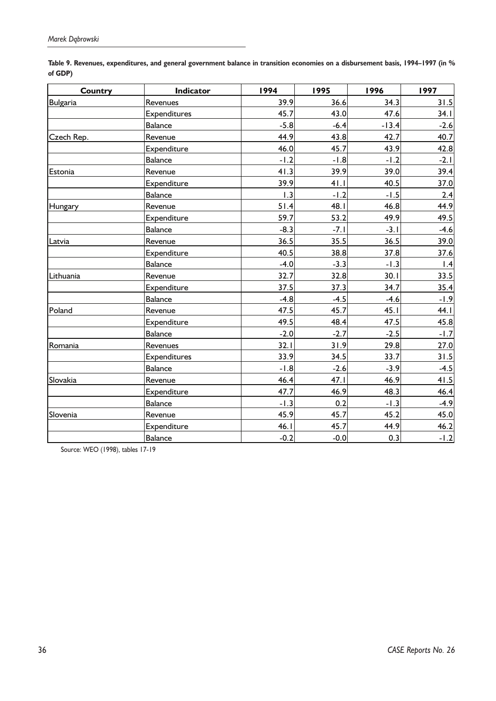| Country    | Indicator      | 1994   | 1995   | 1996    | 1997   |
|------------|----------------|--------|--------|---------|--------|
| Bulgaria   | Revenues       | 39.9   | 36.6   | 34.3    | 31.5   |
|            | Expenditures   | 45.7   | 43.0   | 47.6    | 34.1   |
|            | Balance        | $-5.8$ | $-6.4$ | $-13.4$ | $-2.6$ |
| Czech Rep. | Revenue        | 44.9   | 43.8   | 42.7    | 40.7   |
|            | Expenditure    | 46.0   | 45.7   | 43.9    | 42.8   |
|            | Balance        | $-1.2$ | $-1.8$ | $-1.2$  | $-2.1$ |
| Estonia    | Revenue        | 41.3   | 39.9   | 39.0    | 39.4   |
|            | Expenditure    | 39.9   | 41.1   | 40.5    | 37.0   |
|            | <b>Balance</b> | 1.3    | $-1.2$ | $-1.5$  | 2.4    |
| Hungary    | Revenue        | 51.4   | 48.I   | 46.8    | 44.9   |
|            | Expenditure    | 59.7   | 53.2   | 49.9    | 49.5   |
|            | Balance        | $-8.3$ | $-7.1$ | $-3.1$  | $-4.6$ |
| Latvia     | Revenue        | 36.5   | 35.5   | 36.5    | 39.0   |
|            | Expenditure    | 40.5   | 38.8   | 37.8    | 37.6   |
|            | Balance        | $-4.0$ | $-3.3$ | $-1.3$  | 1.4    |
| Lithuania  | Revenue        | 32.7   | 32.8   | 30.1    | 33.5   |
|            | Expenditure    | 37.5   | 37.3   | 34.7    | 35.4   |
|            | <b>Balance</b> | $-4.8$ | $-4.5$ | $-4.6$  | $-1.9$ |
| Poland     | Revenue        | 47.5   | 45.7   | 45.1    | 44. I  |
|            | Expenditure    | 49.5   | 48.4   | 47.5    | 45.8   |
|            | <b>Balance</b> | $-2.0$ | $-2.7$ | $-2.5$  | $-1.7$ |
| Romania    | Revenues       | 32.1   | 31.9   | 29.8    | 27.0   |
|            | Expenditures   | 33.9   | 34.5   | 33.7    | 31.5   |
|            | <b>Balance</b> | $-1.8$ | $-2.6$ | $-3.9$  | $-4.5$ |
| Slovakia   | Revenue        | 46.4   | 47.1   | 46.9    | 41.5   |
|            | Expenditure    | 47.7   | 46.9   | 48.3    | 46.4   |
|            | Balance        | $-1.3$ | 0.2    | $-1.3$  | $-4.9$ |
| Slovenia   | Revenue        | 45.9   | 45.7   | 45.2    | 45.0   |
|            | Expenditure    | 46.1   | 45.7   | 44.9    | 46.2   |
|            | Balance        | $-0.2$ | $-0.0$ | 0.3     | $-1.2$ |

**Table 9. Revenues, expenditures, and general government balance in transition economies on a disbursement basis, 1994–1997 (in % of GDP)**

Source: WEO (1998), tables 17-19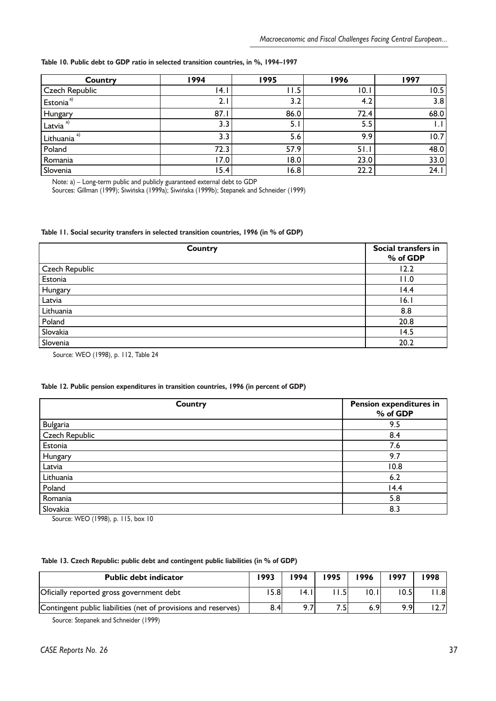#### **Table 10. Public debt to GDP ratio in selected transition countries, in %, 1994–1997**

| <b>Country</b>          | 1994  | 1995 | 1996 | 1997 |
|-------------------------|-------|------|------|------|
| Czech Republic          | 14. I | .1.5 | 10.1 | 10.5 |
| Estonia <sup>a)</sup>   | 2.1   | 3.2  | 4.2  | 3.8  |
| <b>Hungary</b>          | 87.1  | 86.0 | 72.4 | 68.0 |
| Latvia <sup>a)</sup>    | 3.3   | 5. I | 5.5  | L.   |
| Lithuania <sup>a)</sup> | 3.3   | 5.6  | 9.9  | 10.7 |
| Poland                  | 72.3  | 57.9 | 51.1 | 48.0 |
| Romania                 | 17.0  | 18.0 | 23.0 | 33.0 |
| Slovenia                | 15.4  | 16.8 | 22.2 | 24.1 |

Note: a) – Long-term public and publicly guaranteed external debt to GDP

Sources: Gillman (1999); Siwiñska (1999a); Siwiñska (1999b); Stepanek and Schneider (1999)

#### **Table 11. Social security transfers in selected transition countries, 1996 (in % of GDP)**

| <b>Country</b> | Social transfers in<br>% of GDP |
|----------------|---------------------------------|
| Czech Republic | 12.2                            |
| Estonia        | 11.0                            |
| Hungary        | 14.4                            |
| Latvia         | 16.1                            |
| Lithuania      | 8.8                             |
| Poland         | 20.8                            |
| Slovakia       | 14.5                            |
| Slovenia       | 20.2                            |

Source: WEO (1998), p. 112, Table 24

#### **Table 12. Public pension expenditures in transition countries, 1996 (in percent of GDP)**

| <b>Country</b> | <b>Pension expenditures in</b><br>% of GDP |
|----------------|--------------------------------------------|
| Bulgaria       | 9.5                                        |
| Czech Republic | 8.4                                        |
| Estonia        | 7.6                                        |
| Hungary        | 9.7                                        |
| Latvia         | 10.8                                       |
| Lithuania      | 6.2                                        |
| Poland         | 14.4                                       |
| Romania        | 5.8                                        |
| Slovakia       | 8.3                                        |

Source: WEO (1998), p. 115, box 10

#### **Table 13. Czech Republic: public debt and contingent public liabilities (in % of GDP)**

| <b>Public debt indicator</b>                                   | 1993 | 1994  | 1995 | 1996             | 1997 | 1998 |
|----------------------------------------------------------------|------|-------|------|------------------|------|------|
| Oficially reported gross government debt                       | 5.8  | '4. I |      | 10.1             | 10.5 | 1.8  |
| Contingent public liabilities (net of provisions and reserves) | 8.4  |       |      | 6.9 <sup>°</sup> | 9.91 | 12.7 |

Source: Stepanek and Schneider (1999)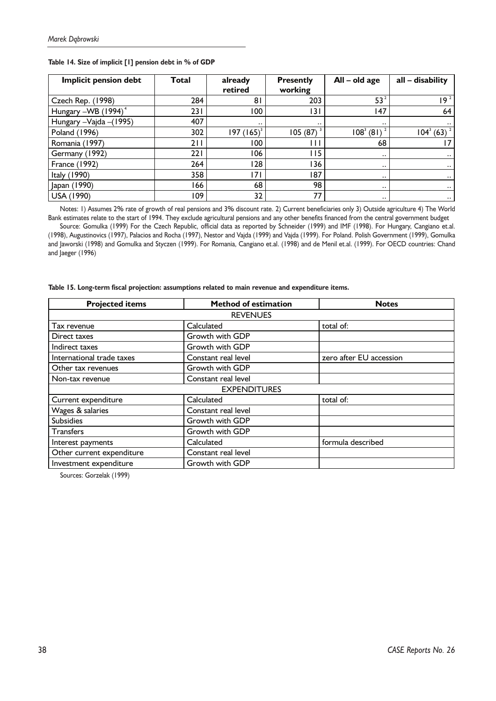|  |  |  |  |  | Table 14. Size of implicit [1] pension debt in % of GDP |
|--|--|--|--|--|---------------------------------------------------------|
|--|--|--|--|--|---------------------------------------------------------|

| <b>Implicit pension debt</b>    | Total | already                | <b>Presently</b> | $All - old age$              | all - disability             |
|---------------------------------|-------|------------------------|------------------|------------------------------|------------------------------|
|                                 |       | retired                | working          |                              |                              |
| Czech Rep. (1998)               | 284   | 81                     | 203              | $53^2$                       | 19 <sup>2</sup>              |
| Hungary -WB (1994) <sup>4</sup> | 231   | 100                    | 131              | 147                          | 64                           |
| Hungary - Vajda - (1995)        | 407   | $\ddotsc$              | $\ddotsc$        | $\cdot \cdot$                | $\ddotsc$                    |
| Poland (1996)                   | 302   | 197 (165) <sup>3</sup> | $105(87)^{3}$    | 108 <sup>3</sup><br>$(81)^2$ | $(63)^2$<br>104 <sup>3</sup> |
| Romania (1997)                  | 211   | 100                    | Ш                | 68                           | 17                           |
| Germany (1992)                  | 221   | 106                    | 115              | $\ddot{\phantom{0}}$         | $\ddotsc$                    |
| <b>France (1992)</b>            | 264   | 128                    | 136              | $\ddot{\phantom{0}}$         | $\ddotsc$                    |
| Italy (1990)                    | 358   | 171                    | 187              | $\ddot{\phantom{a}}$         | $\ddotsc$                    |
| Japan (1990)                    | 166   | 68                     | 98               | $\ddot{\phantom{0}}$         | $\ddotsc$                    |
| USA (1990)                      | 109   | 32                     | 77               | $\ddot{\phantom{0}}$         | $\ddotsc$                    |

Notes: 1) Assumes 2% rate of growth of real pensions and 3% discount rate. 2) Current beneficiaries only 3) Outside agriculture 4) The World Bank estimates relate to the start of 1994. They exclude agricultural pensions and any other benefits financed from the central government budget

Source: Gomulka (1999) For the Czech Republic, official data as reported by Schneider (1999) and IMF (1998). For Hungary, Cangiano et.al. (1998), Augustinovics (1997), Palacios and Rocha (1997), Nestor and Vajda (1999) and Vajda (1999). For Poland. Polish Government (1999), Gomulka and Jaworski (1998) and Gomulka and Styczen (1999). For Romania, Cangiano et.al. (1998) and de Menil et.al. (1999). For OECD countries: Chand and Jaeger (1996)

|  |  |  | Table 15. Long-term fiscal projection: assumptions related to main revenue and expenditure items. |
|--|--|--|---------------------------------------------------------------------------------------------------|
|  |  |  |                                                                                                   |

| <b>Projected items</b>    | <b>Method of estimation</b> | <b>Notes</b>            |
|---------------------------|-----------------------------|-------------------------|
|                           | <b>REVENUES</b>             |                         |
| Tax revenue               | Calculated                  | total of:               |
| Direct taxes              | Growth with GDP             |                         |
| Indirect taxes            | Growth with GDP             |                         |
| International trade taxes | Constant real level         | zero after EU accession |
| Other tax revenues        | Growth with GDP             |                         |
| Non-tax revenue           | Constant real level         |                         |
|                           | <b>EXPENDITURES</b>         |                         |
| Current expenditure       | Calculated                  | total of:               |
| Wages & salaries          | Constant real level         |                         |
| <b>Subsidies</b>          | Growth with GDP             |                         |
| <b>Transfers</b>          | Growth with GDP             |                         |
| Interest payments         | Calculated                  | formula described       |
| Other current expenditure | Constant real level         |                         |
| Investment expenditure    | Growth with GDP             |                         |

Sources: Gorzelak (1999)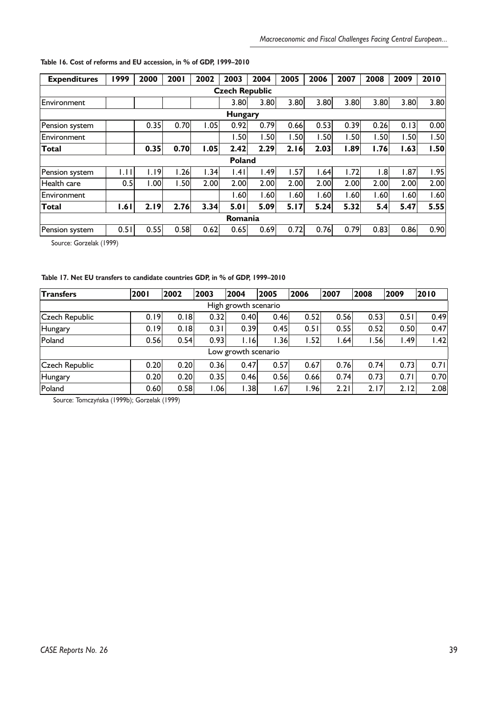| <b>Expenditures</b>   | 999    | 2000 | 2001 | 2002 | 2003             | 2004 | 2005 | 2006 | 2007 | 2008 | 2009 | 2010 |
|-----------------------|--------|------|------|------|------------------|------|------|------|------|------|------|------|
| <b>Czech Republic</b> |        |      |      |      |                  |      |      |      |      |      |      |      |
| Environment           |        |      |      |      | 3.80             | 3.80 | 3.80 | 3.80 | 3.80 | 3.80 | 3.80 | 3.80 |
| <b>Hungary</b>        |        |      |      |      |                  |      |      |      |      |      |      |      |
| Pension system        |        | 0.35 | 0.70 | 1.05 | 0.92             | 0.79 | 0.66 | 0.53 | 0.39 | 0.26 | 0.13 | 0.00 |
| Environment           |        |      |      |      | .501             | 1.50 | 1.50 | 1.50 | 1.50 | .50  | l.50 | 1.50 |
| <b>Total</b>          |        | 0.35 | 0.70 | 1.05 | 2.42             | 2.29 | 2.16 | 2.03 | 1.89 | 1.76 | 1.63 | 1.50 |
|                       | Poland |      |      |      |                  |      |      |      |      |      |      |      |
| Pension system        | 1.11   | 1.19 | .26  | 1.34 | .4               | 1.49 | 1.57 | 1.64 | 1.72 | 1.8  | 1.87 | 1.95 |
| Health care           | 0.5    | 1.00 | 1.50 | 2.00 | 2.00             | 2.00 | 2.00 | 2.00 | 2.00 | 2.00 | 2.00 | 2.00 |
| Environment           |        |      |      |      | .60 <sub>1</sub> | 1.60 | 1.60 | 1.60 | 1.60 | .60  | 1.60 | 1.60 |
| <b>Total</b>          | 1.61   | 2.19 | 2.76 | 3.34 | 5.01             | 5.09 | 5.17 | 5.24 | 5.32 | 5.4  | 5.47 | 5.55 |
|                       |        |      |      |      | Romania          |      |      |      |      |      |      |      |
| Pension system        | 0.51   | 0.55 | 0.58 | 0.62 | 0.65             | 0.69 | 0.72 | 0.76 | 0.79 | 0.83 | 0.86 | 0.90 |

#### **Table 16. Cost of reforms and EU accession, in % of GDP, 1999–2010**

Source: Gorzelak (1999)

## **Table 17. Net EU transfers to candidate countries GDP, in % of GDP, 1999–2010**

| <b>Transfers</b>      | 2001 | 2002 | 2003 | 2004                | 2005 | 2006 | 2007  | 2008 | 2009 | 2010 |
|-----------------------|------|------|------|---------------------|------|------|-------|------|------|------|
| High growth scenario  |      |      |      |                     |      |      |       |      |      |      |
| <b>Czech Republic</b> | 0.19 | 0.18 | 0.32 | 0.40                | 0.46 | 0.52 | 0.56  | 0.53 | 0.51 | 0.49 |
| Hungary               | 0.19 | 0.18 | 0.31 | 0.39                | 0.45 | 0.51 | 0.55  | 0.52 | 0.50 | 0.47 |
| Poland                | 0.56 | 0.54 | 0.93 | 1.16                | 1.36 | 1.52 | 64. ا | 1.56 | 1.49 | 1.42 |
|                       |      |      |      | Low growth scenario |      |      |       |      |      |      |
| <b>Czech Republic</b> | 0.20 | 0.20 | 0.36 | 0.47                | 0.57 | 0.67 | 0.76  | 0.74 | 0.73 | 0.71 |
| Hungary               | 0.20 | 0.20 | 0.35 | 0.46                | 0.56 | 0.66 | 0.74  | 0.73 | 0.71 | 0.70 |
| Poland                | 0.60 | 0.58 | 1.06 | 1.38                | 1.67 | l.96 | 2.21  | 2.17 | 2.12 | 2.08 |

Source: Tomczyñska (1999b); Gorzelak (1999)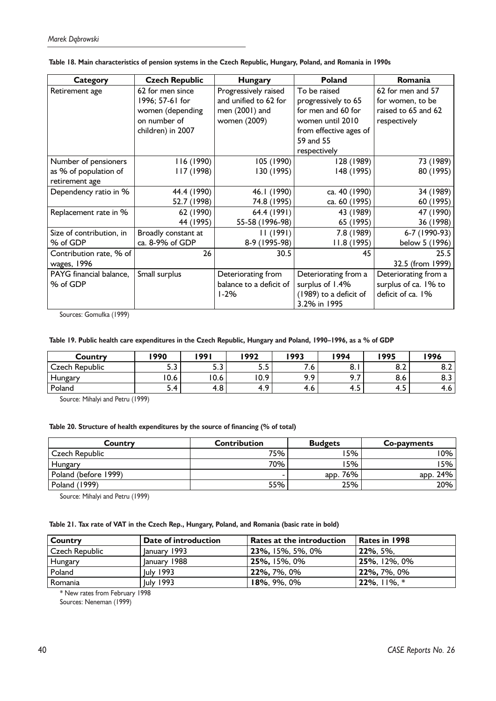| <b>Category</b>          | <b>Czech Republic</b>                                                                        | <b>Hungary</b>                                                                  | Poland                                                                                                                               | Romania                                                                      |
|--------------------------|----------------------------------------------------------------------------------------------|---------------------------------------------------------------------------------|--------------------------------------------------------------------------------------------------------------------------------------|------------------------------------------------------------------------------|
| Retirement age           | 62 for men since<br>1996; 57-61 for<br>women (depending<br>on number of<br>children) in 2007 | Progressively raised<br>and unified to 62 for<br>men (2001) and<br>women (2009) | To be raised<br>progressively to 65<br>for men and 60 for<br>women until 2010<br>from effective ages of<br>59 and 55<br>respectively | 62 for men and 57<br>for women, to be<br>raised to 65 and 62<br>respectively |
| Number of pensioners     | 116 (1990)                                                                                   | 105 (1990)                                                                      | 128 (1989)                                                                                                                           | 73 (1989)                                                                    |
| as % of population of    | 117 (1998)                                                                                   | 130 (1995)                                                                      | 148 (1995)                                                                                                                           | 80 (1995)                                                                    |
| retirement age           |                                                                                              |                                                                                 |                                                                                                                                      |                                                                              |
| Dependency ratio in %    | 44.4 (1990)                                                                                  | 46.1 (1990)                                                                     | ca. 40 (1990)                                                                                                                        | 34 (1989)                                                                    |
|                          | 52.7 (1998)                                                                                  | 74.8 (1995)                                                                     | ca. 60 (1995)                                                                                                                        | 60 (1995)                                                                    |
| Replacement rate in %    | 62 (1990)                                                                                    | 64.4 (1991)                                                                     | 43 (1989)                                                                                                                            | 47 (1990)                                                                    |
|                          | 44 (1995)                                                                                    | 55-58 (1996-98)                                                                 | 65 (1995)                                                                                                                            | 36 (1998)                                                                    |
| Size of contribution, in | Broadly constant at                                                                          | II(1991)                                                                        | 7.8 (1989)                                                                                                                           | 6-7 (1990-93)                                                                |
| % of GDP                 | ca. 8-9% of GDP                                                                              | 8-9 (1995-98)                                                                   | 11.8(1995)                                                                                                                           | below 5 (1996)                                                               |
| Contribution rate, % of  | 26                                                                                           | 30.5                                                                            | 45                                                                                                                                   | 25.5                                                                         |
| wages, 1996              |                                                                                              |                                                                                 |                                                                                                                                      | 32.5 (from 1999)                                                             |
| PAYG financial balance,  | Small surplus                                                                                | Deteriorating from                                                              | Deteriorating from a                                                                                                                 | Deteriorating from a                                                         |
| % of GDP                 |                                                                                              | balance to a deficit of                                                         | surplus of 1.4%                                                                                                                      | surplus of ca. 1% to                                                         |
|                          |                                                                                              | $1 - 2%$                                                                        | (1989) to a deficit of                                                                                                               | deficit of ca. 1%                                                            |
|                          |                                                                                              |                                                                                 | 3.2% in 1995                                                                                                                         |                                                                              |

| Table 18. Main characteristics of pension systems in the Czech Republic, Hungary, Poland, and Romania in 1990s |  |  |  |  |  |
|----------------------------------------------------------------------------------------------------------------|--|--|--|--|--|
|----------------------------------------------------------------------------------------------------------------|--|--|--|--|--|

Sources: Gomułka (1999)

#### **Table 19. Public health care expenditures in the Czech Republic, Hungary and Poland, 1990–1996, as a % of GDP**

| Country               | 1990 | 99             | 1992              | 1993         | 994                   | 1995           | 1996 |
|-----------------------|------|----------------|-------------------|--------------|-----------------------|----------------|------|
| <b>Czech Republic</b> | J.J  | <u></u>        | J.J               | .o           | о. І                  | $\circ$<br>o.∠ | o.∠  |
| Hungary               | 10.6 | 10.6           | 10.9 <sub>1</sub> | 9 Q<br>, , , | 0 7<br>$\prime\ldots$ | 8.6            | כ.ס  |
| Poland                | 5.4  | $\circ$<br>4.8 | 4.9               | 4.6          | -4.১                  | ี่ 4.๖         | 4.6  |

Source: Mihalyi and Petru (1999)

#### **Table 20. Structure of health expenditures by the source of financing (% of total)**

| <b>Country</b>       | <b>Contribution</b> | <b>Budgets</b> | Co-payments |  |
|----------------------|---------------------|----------------|-------------|--|
| l Czech Republic     | 75%                 | 5%             | 10%         |  |
| Hungary              | 70%                 | '5%            | 5%          |  |
| Poland (before 1999) | -                   | арр. 76%       | app. 24%    |  |
| Poland (1999)        | 55%                 | 25%            | 20%         |  |

Source: Mihalyi and Petru (1999)

#### **Table 21. Tax rate of VAT in the Czech Rep., Hungary, Poland, and Romania (basic rate in bold)**

| Country        | Date of introduction | Rates at the introduction | Rates in 1998     |
|----------------|----------------------|---------------------------|-------------------|
| Czech Republic | January 1993         | <b>23%,</b> 15%, 5%, 0%   | $22\%$ , 5%.      |
| Hungary        | January 1988         | 25%, 15%, 0%              | 25%, 12%, 0%      |
| Poland         | <b>Iuly 1993</b>     | 22%, 7%, 0%               | 22%, 7%, 0%       |
| Romania        | <b>July 1993</b>     | $18\%, 9\%, 0\%$          | $22\%$ . 11%. $*$ |

\* New rates from February 1998 Sources: Neneman (1999)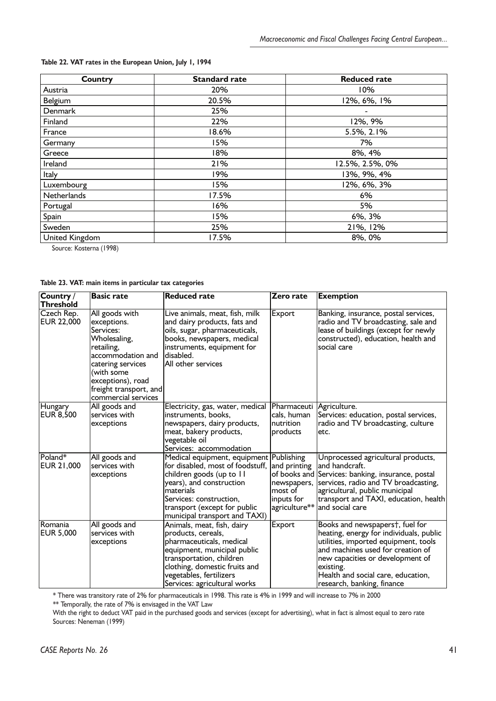| <b>Country</b>     | <b>Standard rate</b> | <b>Reduced rate</b> |
|--------------------|----------------------|---------------------|
| Austria            | 20%                  | 10%                 |
| Belgium            | 20.5%                | 12%, 6%, 1%         |
| Denmark            | 25%                  |                     |
| Finland            | 22%                  | 12%, 9%             |
| France             | 18.6%                | 5.5%, 2.1%          |
| Germany            | 15%                  | 7%                  |
| Greece             | 18%                  | 8%, 4%              |
| Ireland            | 21%                  | 12.5%, 2.5%, 0%     |
| Italy              | 19%                  | 13%, 9%, 4%         |
| Luxembourg         | 15%                  | 12%, 6%, 3%         |
| <b>Netherlands</b> | 17.5%                | 6%                  |
| Portugal           | 16%                  | 5%                  |
| Spain              | 15%                  | $6\%$ , $3\%$       |
| Sweden             | 25%                  | 21%, 12%            |
| United Kingdom     | 17.5%                | 8%, 0%              |

#### **Table 22. VAT rates in the European Union, July 1, 1994**

Source: Kosterna (1998)

#### **Table 23. VAT: main items in particular tax categories**

| Country /                   | <b>Basic rate</b>                                                                                                                                                                                      | <b>Reduced rate</b>                                                                                                                                                                                                                 | Zero rate                                                                           | <b>Exemption</b>                                                                                                                                                                                                                                                             |
|-----------------------------|--------------------------------------------------------------------------------------------------------------------------------------------------------------------------------------------------------|-------------------------------------------------------------------------------------------------------------------------------------------------------------------------------------------------------------------------------------|-------------------------------------------------------------------------------------|------------------------------------------------------------------------------------------------------------------------------------------------------------------------------------------------------------------------------------------------------------------------------|
| <b>Threshold</b>            |                                                                                                                                                                                                        |                                                                                                                                                                                                                                     |                                                                                     |                                                                                                                                                                                                                                                                              |
| Czech Rep.<br>EUR 22,000    | All goods with<br>exceptions.<br>Services:<br>Wholesaling,<br>retailing,<br>accommodation and<br>catering services<br>(with some<br>exceptions), road<br>freight transport, and<br>commercial services | Live animals, meat, fish, milk<br>and dairy products, fats and<br>oils, sugar, pharmaceuticals,<br>books, newspapers, medical<br>instruments, equipment for<br>disabled.<br>All other services                                      | Export                                                                              | Banking, insurance, postal services,<br>radio and TV broadcasting, sale and<br>lease of buildings (except for newly<br>constructed), education, health and<br>social care                                                                                                    |
| Hungary<br><b>EUR 8,500</b> | All goods and<br>services with<br>exceptions                                                                                                                                                           | Electricity, gas, water, medical<br>instruments, books,<br>newspapers, dairy products,<br>meat, bakery products,<br>vegetable oil<br>Services: accommodation                                                                        | Pharmaceuti Agriculture.<br>cals, human<br>nutrition<br>products                    | Services: education, postal services,<br>radio and TV broadcasting, culture<br>letc.                                                                                                                                                                                         |
| Poland*<br>EUR 21,000       | All goods and<br>services with<br>exceptions                                                                                                                                                           | Medical equipment, equipment<br>for disabled, most of foodstuff,<br>children goods (up to 11<br>years), and construction<br>materials<br>Services: construction,<br>transport (except for public<br>municipal transport and TAXI)   | Publishing<br>and printing<br>newspapers,<br>most of<br>inputs for<br>agriculture** | Unprocessed agricultural products,<br>and handcraft.<br>of books and Services: banking, insurance, postal<br>services, radio and TV broadcasting,<br>agricultural, public municipal<br>transport and TAXI, education, health<br>and social care                              |
| Romania<br><b>EUR 5,000</b> | All goods and<br>services with<br>exceptions                                                                                                                                                           | Animals, meat, fish, dairy<br>products, cereals,<br>pharmaceuticals, medical<br>equipment, municipal public<br>transportation, children<br>clothing, domestic fruits and<br>vegetables, fertilizers<br>Services: agricultural works | Export                                                                              | Books and newspaperst, fuel for<br>heating, energy for individuals, public<br>utilities, imported equipment, tools<br>and machines used for creation of<br>new capacities or development of<br>existing.<br>Health and social care, education,<br>research, banking, finance |

\* There was transitory rate of 2% for pharmaceuticals in 1998. This rate is 4% in 1999 and will increase to 7% in 2000

\*\* Temporally, the rate of 7% is envisaged in the VAT Law

With the right to deduct VAT paid in the purchased goods and services (except for advertising), what in fact is almost equal to zero rate Sources: Neneman (1999)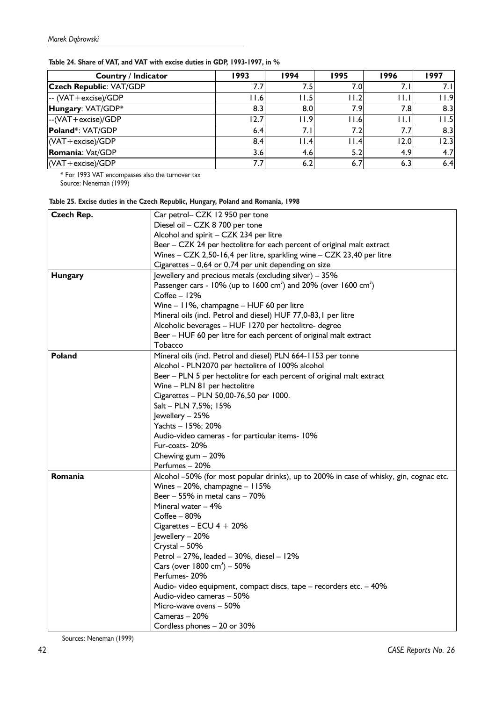| Table 24. Share of VAT, and VAT with excise duties in GDP, 1993-1997, in % |  |  |
|----------------------------------------------------------------------------|--|--|
|----------------------------------------------------------------------------|--|--|

| Country / Indicator            | 1993  | 1994              | 1995 | 1996 | 1997    |
|--------------------------------|-------|-------------------|------|------|---------|
| <b>Czech Republic: VAT/GDP</b> | 7.7   | 7.5               | 7.0  | 7. I | 7. I I  |
| -- (VAT+excise)/GDP            | ا6. ا | 11.5 <sup>1</sup> | 11.2 | 11.1 | 1.9     |
| Hungary: VAT/GDP*              | 8.3   | 8.0               | 7.9  | 7.8  | 8.3     |
| --(VAT+excise)/GDP             | 12.7  | $\overline{1.9}$  | 11.6 | 11.1 | l I .51 |
| Poland*: VAT/GDP               | 6.4   | 7.1               | 7.2  | 7.7  | 8.3     |
| $\sqrt{(VAT + excise)/GDP}$    | 8.4   | $\vert A \vert$   | 11.4 | 12.0 | 2.3     |
| Romania: Vat/GDP               | 3.6   | 4.6               | 5.2  | 4.9  | 4.7     |
| $\sqrt{(VAT + excise)/GDP}$    | 7.7   | 6.2               | 6.7  | 6.3  | 6.4     |

\* For 1993 VAT encompasses also the turnover tax

Source: Neneman (1999)

## **Table 25. Excise duties in the Czech Republic, Hungary, Poland and Romania, 1998**

| <b>Czech Rep.</b><br>Car petrol- CZK 12 950 per tone<br>Diesel oil - CZK 8 700 per tone<br>Alcohol and spirit - CZK 234 per litre<br>Beer - CZK 24 per hectolitre for each percent of original malt extract<br>Wines - CZK 2,50-16,4 per litre, sparkling wine - CZK 23,40 per litre<br>Cigarettes $-0.64$ or 0.74 per unit depending on size<br>Jewellery and precious metals (excluding silver) - 35%<br><b>Hungary</b><br>Passenger cars - $10\%$ (up to 1600 cm <sup>3</sup> ) and 20% (over 1600 cm <sup>3</sup> )<br>Coffee $-12%$<br>Wine - 11%, champagne - HUF 60 per litre<br>Mineral oils (incl. Petrol and diesel) HUF 77,0-83, I per litre<br>Alcoholic beverages - HUF 1270 per hectolitre- degree<br>Beer - HUF 60 per litre for each percent of original malt extract<br>Tobacco<br>Poland<br>Mineral oils (incl. Petrol and diesel) PLN 664-1153 per tonne<br>Alcohol - PLN2070 per hectolitre of 100% alcohol<br>Beer - PLN 5 per hectolitre for each percent of original malt extract<br>Wine - PLN 81 per hectolitre<br>Cigarettes - PLN 50,00-76,50 per 1000.<br>Salt - PLN 7,5%; 15%<br>Jewellery - 25%<br>Yachts - 15%; 20%<br>Audio-video cameras - for particular items- 10%<br>Fur-coats-20%<br>Chewing gum - 20%<br>Perfumes - 20%<br>Romania<br>Alcohol -50% (for most popular drinks), up to 200% in case of whisky, gin, cognac etc.<br>Wines $-20\%$ , champagne $-115\%$<br>Beer - 55% in metal cans - 70%<br>Mineral water $-4%$<br>$Coffee - 80%$<br>Cigarettes - ECU $4 + 20%$<br>Jewellery - 20%<br>Crystal - 50%<br>Petrol - 27%, leaded - 30%, diesel - 12%<br>Cars (over $1800 \text{ cm}^3$ ) – 50%<br>Perfumes-20%<br>Audio- video equipment, compact discs, tape - recorders etc. - 40%<br>Audio-video cameras - 50%<br>Micro-wave ovens - 50%<br>Cameras - 20% |                             |
|-----------------------------------------------------------------------------------------------------------------------------------------------------------------------------------------------------------------------------------------------------------------------------------------------------------------------------------------------------------------------------------------------------------------------------------------------------------------------------------------------------------------------------------------------------------------------------------------------------------------------------------------------------------------------------------------------------------------------------------------------------------------------------------------------------------------------------------------------------------------------------------------------------------------------------------------------------------------------------------------------------------------------------------------------------------------------------------------------------------------------------------------------------------------------------------------------------------------------------------------------------------------------------------------------------------------------------------------------------------------------------------------------------------------------------------------------------------------------------------------------------------------------------------------------------------------------------------------------------------------------------------------------------------------------------------------------------------------------------------------------------------------------------------------------------------|-----------------------------|
|                                                                                                                                                                                                                                                                                                                                                                                                                                                                                                                                                                                                                                                                                                                                                                                                                                                                                                                                                                                                                                                                                                                                                                                                                                                                                                                                                                                                                                                                                                                                                                                                                                                                                                                                                                                                           |                             |
|                                                                                                                                                                                                                                                                                                                                                                                                                                                                                                                                                                                                                                                                                                                                                                                                                                                                                                                                                                                                                                                                                                                                                                                                                                                                                                                                                                                                                                                                                                                                                                                                                                                                                                                                                                                                           |                             |
|                                                                                                                                                                                                                                                                                                                                                                                                                                                                                                                                                                                                                                                                                                                                                                                                                                                                                                                                                                                                                                                                                                                                                                                                                                                                                                                                                                                                                                                                                                                                                                                                                                                                                                                                                                                                           |                             |
|                                                                                                                                                                                                                                                                                                                                                                                                                                                                                                                                                                                                                                                                                                                                                                                                                                                                                                                                                                                                                                                                                                                                                                                                                                                                                                                                                                                                                                                                                                                                                                                                                                                                                                                                                                                                           |                             |
|                                                                                                                                                                                                                                                                                                                                                                                                                                                                                                                                                                                                                                                                                                                                                                                                                                                                                                                                                                                                                                                                                                                                                                                                                                                                                                                                                                                                                                                                                                                                                                                                                                                                                                                                                                                                           |                             |
|                                                                                                                                                                                                                                                                                                                                                                                                                                                                                                                                                                                                                                                                                                                                                                                                                                                                                                                                                                                                                                                                                                                                                                                                                                                                                                                                                                                                                                                                                                                                                                                                                                                                                                                                                                                                           |                             |
|                                                                                                                                                                                                                                                                                                                                                                                                                                                                                                                                                                                                                                                                                                                                                                                                                                                                                                                                                                                                                                                                                                                                                                                                                                                                                                                                                                                                                                                                                                                                                                                                                                                                                                                                                                                                           |                             |
|                                                                                                                                                                                                                                                                                                                                                                                                                                                                                                                                                                                                                                                                                                                                                                                                                                                                                                                                                                                                                                                                                                                                                                                                                                                                                                                                                                                                                                                                                                                                                                                                                                                                                                                                                                                                           |                             |
|                                                                                                                                                                                                                                                                                                                                                                                                                                                                                                                                                                                                                                                                                                                                                                                                                                                                                                                                                                                                                                                                                                                                                                                                                                                                                                                                                                                                                                                                                                                                                                                                                                                                                                                                                                                                           |                             |
|                                                                                                                                                                                                                                                                                                                                                                                                                                                                                                                                                                                                                                                                                                                                                                                                                                                                                                                                                                                                                                                                                                                                                                                                                                                                                                                                                                                                                                                                                                                                                                                                                                                                                                                                                                                                           |                             |
|                                                                                                                                                                                                                                                                                                                                                                                                                                                                                                                                                                                                                                                                                                                                                                                                                                                                                                                                                                                                                                                                                                                                                                                                                                                                                                                                                                                                                                                                                                                                                                                                                                                                                                                                                                                                           |                             |
|                                                                                                                                                                                                                                                                                                                                                                                                                                                                                                                                                                                                                                                                                                                                                                                                                                                                                                                                                                                                                                                                                                                                                                                                                                                                                                                                                                                                                                                                                                                                                                                                                                                                                                                                                                                                           |                             |
|                                                                                                                                                                                                                                                                                                                                                                                                                                                                                                                                                                                                                                                                                                                                                                                                                                                                                                                                                                                                                                                                                                                                                                                                                                                                                                                                                                                                                                                                                                                                                                                                                                                                                                                                                                                                           |                             |
|                                                                                                                                                                                                                                                                                                                                                                                                                                                                                                                                                                                                                                                                                                                                                                                                                                                                                                                                                                                                                                                                                                                                                                                                                                                                                                                                                                                                                                                                                                                                                                                                                                                                                                                                                                                                           |                             |
|                                                                                                                                                                                                                                                                                                                                                                                                                                                                                                                                                                                                                                                                                                                                                                                                                                                                                                                                                                                                                                                                                                                                                                                                                                                                                                                                                                                                                                                                                                                                                                                                                                                                                                                                                                                                           |                             |
|                                                                                                                                                                                                                                                                                                                                                                                                                                                                                                                                                                                                                                                                                                                                                                                                                                                                                                                                                                                                                                                                                                                                                                                                                                                                                                                                                                                                                                                                                                                                                                                                                                                                                                                                                                                                           |                             |
|                                                                                                                                                                                                                                                                                                                                                                                                                                                                                                                                                                                                                                                                                                                                                                                                                                                                                                                                                                                                                                                                                                                                                                                                                                                                                                                                                                                                                                                                                                                                                                                                                                                                                                                                                                                                           |                             |
|                                                                                                                                                                                                                                                                                                                                                                                                                                                                                                                                                                                                                                                                                                                                                                                                                                                                                                                                                                                                                                                                                                                                                                                                                                                                                                                                                                                                                                                                                                                                                                                                                                                                                                                                                                                                           |                             |
|                                                                                                                                                                                                                                                                                                                                                                                                                                                                                                                                                                                                                                                                                                                                                                                                                                                                                                                                                                                                                                                                                                                                                                                                                                                                                                                                                                                                                                                                                                                                                                                                                                                                                                                                                                                                           |                             |
|                                                                                                                                                                                                                                                                                                                                                                                                                                                                                                                                                                                                                                                                                                                                                                                                                                                                                                                                                                                                                                                                                                                                                                                                                                                                                                                                                                                                                                                                                                                                                                                                                                                                                                                                                                                                           |                             |
|                                                                                                                                                                                                                                                                                                                                                                                                                                                                                                                                                                                                                                                                                                                                                                                                                                                                                                                                                                                                                                                                                                                                                                                                                                                                                                                                                                                                                                                                                                                                                                                                                                                                                                                                                                                                           |                             |
|                                                                                                                                                                                                                                                                                                                                                                                                                                                                                                                                                                                                                                                                                                                                                                                                                                                                                                                                                                                                                                                                                                                                                                                                                                                                                                                                                                                                                                                                                                                                                                                                                                                                                                                                                                                                           |                             |
|                                                                                                                                                                                                                                                                                                                                                                                                                                                                                                                                                                                                                                                                                                                                                                                                                                                                                                                                                                                                                                                                                                                                                                                                                                                                                                                                                                                                                                                                                                                                                                                                                                                                                                                                                                                                           |                             |
|                                                                                                                                                                                                                                                                                                                                                                                                                                                                                                                                                                                                                                                                                                                                                                                                                                                                                                                                                                                                                                                                                                                                                                                                                                                                                                                                                                                                                                                                                                                                                                                                                                                                                                                                                                                                           |                             |
|                                                                                                                                                                                                                                                                                                                                                                                                                                                                                                                                                                                                                                                                                                                                                                                                                                                                                                                                                                                                                                                                                                                                                                                                                                                                                                                                                                                                                                                                                                                                                                                                                                                                                                                                                                                                           |                             |
|                                                                                                                                                                                                                                                                                                                                                                                                                                                                                                                                                                                                                                                                                                                                                                                                                                                                                                                                                                                                                                                                                                                                                                                                                                                                                                                                                                                                                                                                                                                                                                                                                                                                                                                                                                                                           |                             |
|                                                                                                                                                                                                                                                                                                                                                                                                                                                                                                                                                                                                                                                                                                                                                                                                                                                                                                                                                                                                                                                                                                                                                                                                                                                                                                                                                                                                                                                                                                                                                                                                                                                                                                                                                                                                           |                             |
|                                                                                                                                                                                                                                                                                                                                                                                                                                                                                                                                                                                                                                                                                                                                                                                                                                                                                                                                                                                                                                                                                                                                                                                                                                                                                                                                                                                                                                                                                                                                                                                                                                                                                                                                                                                                           |                             |
|                                                                                                                                                                                                                                                                                                                                                                                                                                                                                                                                                                                                                                                                                                                                                                                                                                                                                                                                                                                                                                                                                                                                                                                                                                                                                                                                                                                                                                                                                                                                                                                                                                                                                                                                                                                                           |                             |
|                                                                                                                                                                                                                                                                                                                                                                                                                                                                                                                                                                                                                                                                                                                                                                                                                                                                                                                                                                                                                                                                                                                                                                                                                                                                                                                                                                                                                                                                                                                                                                                                                                                                                                                                                                                                           |                             |
|                                                                                                                                                                                                                                                                                                                                                                                                                                                                                                                                                                                                                                                                                                                                                                                                                                                                                                                                                                                                                                                                                                                                                                                                                                                                                                                                                                                                                                                                                                                                                                                                                                                                                                                                                                                                           |                             |
|                                                                                                                                                                                                                                                                                                                                                                                                                                                                                                                                                                                                                                                                                                                                                                                                                                                                                                                                                                                                                                                                                                                                                                                                                                                                                                                                                                                                                                                                                                                                                                                                                                                                                                                                                                                                           |                             |
|                                                                                                                                                                                                                                                                                                                                                                                                                                                                                                                                                                                                                                                                                                                                                                                                                                                                                                                                                                                                                                                                                                                                                                                                                                                                                                                                                                                                                                                                                                                                                                                                                                                                                                                                                                                                           |                             |
|                                                                                                                                                                                                                                                                                                                                                                                                                                                                                                                                                                                                                                                                                                                                                                                                                                                                                                                                                                                                                                                                                                                                                                                                                                                                                                                                                                                                                                                                                                                                                                                                                                                                                                                                                                                                           |                             |
|                                                                                                                                                                                                                                                                                                                                                                                                                                                                                                                                                                                                                                                                                                                                                                                                                                                                                                                                                                                                                                                                                                                                                                                                                                                                                                                                                                                                                                                                                                                                                                                                                                                                                                                                                                                                           |                             |
|                                                                                                                                                                                                                                                                                                                                                                                                                                                                                                                                                                                                                                                                                                                                                                                                                                                                                                                                                                                                                                                                                                                                                                                                                                                                                                                                                                                                                                                                                                                                                                                                                                                                                                                                                                                                           |                             |
|                                                                                                                                                                                                                                                                                                                                                                                                                                                                                                                                                                                                                                                                                                                                                                                                                                                                                                                                                                                                                                                                                                                                                                                                                                                                                                                                                                                                                                                                                                                                                                                                                                                                                                                                                                                                           |                             |
|                                                                                                                                                                                                                                                                                                                                                                                                                                                                                                                                                                                                                                                                                                                                                                                                                                                                                                                                                                                                                                                                                                                                                                                                                                                                                                                                                                                                                                                                                                                                                                                                                                                                                                                                                                                                           |                             |
|                                                                                                                                                                                                                                                                                                                                                                                                                                                                                                                                                                                                                                                                                                                                                                                                                                                                                                                                                                                                                                                                                                                                                                                                                                                                                                                                                                                                                                                                                                                                                                                                                                                                                                                                                                                                           |                             |
|                                                                                                                                                                                                                                                                                                                                                                                                                                                                                                                                                                                                                                                                                                                                                                                                                                                                                                                                                                                                                                                                                                                                                                                                                                                                                                                                                                                                                                                                                                                                                                                                                                                                                                                                                                                                           |                             |
|                                                                                                                                                                                                                                                                                                                                                                                                                                                                                                                                                                                                                                                                                                                                                                                                                                                                                                                                                                                                                                                                                                                                                                                                                                                                                                                                                                                                                                                                                                                                                                                                                                                                                                                                                                                                           |                             |
|                                                                                                                                                                                                                                                                                                                                                                                                                                                                                                                                                                                                                                                                                                                                                                                                                                                                                                                                                                                                                                                                                                                                                                                                                                                                                                                                                                                                                                                                                                                                                                                                                                                                                                                                                                                                           | Cordless phones - 20 or 30% |

Sources: Neneman (1999)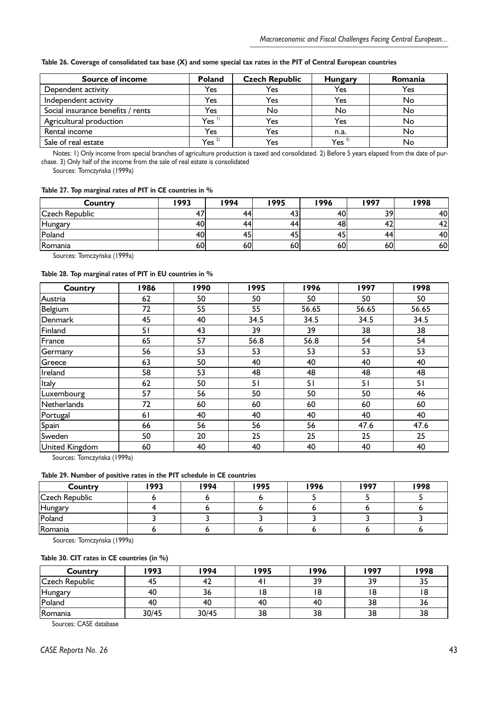#### **Table 26. Coverage of consolidated tax base (X) and some special tax rates in the PIT of Central European countries**

| <b>Source of income</b>           | <b>Poland</b>    | <b>Czech Republic</b> | <b>Hungary</b> | Romania |
|-----------------------------------|------------------|-----------------------|----------------|---------|
| Dependent activity                | Yes              | Yes                   | Yes            | Yes     |
| Independent activity              | Yes              | Yes                   | Yes            | No      |
| Social insurance benefits / rents | Yes              | No                    | No             | No      |
| Agricultural production           | Yes <sup>1</sup> | Yes                   | Yes            | No      |
| Rental income                     | Yes              | Yes                   | n.a.           | No      |
| Sale of real estate               | $Yes^{2)}$       | Yes                   | $Yes^3$        | No      |

Notes: 1) Only income from special branches of agriculture production is taxed and consolidated. 2) Before 5 years elapsed from the date of purchase. 3) Only half of the income from the sale of real estate is consolidated

Sources: Tomczyñska (1999a)

#### **Table 27. Top marginal rates of PIT in CE countries in %**

| Country               | 1993 | 1994 | 1995 | 1996 | 1997 | 1998     |
|-----------------------|------|------|------|------|------|----------|
| <b>Czech Republic</b> |      | 44   | 43   | 40   | 39   | 40       |
| Hungary               | 40   | 44   | 44   | 48   |      | ៱<br>TZ. |
| Poland                | 40   | 95   | 45   | 45   | 44   | 40       |
| Romania               | 60   | 60   | 60   | 60   | 60   | 60       |

Sources: Tomczyñska (1999a)

#### **Table 28. Top marginal rates of PIT in EU countries in %**

| Country               | 1986 | 1990 | 1995 | 1996  | 1997  | 1998  |
|-----------------------|------|------|------|-------|-------|-------|
| Austria               | 62   | 50   | 50   | 50    | 50    | 50    |
| Belgium               | 72   | 55   | 55   | 56.65 | 56.65 | 56.65 |
| Denmark               | 45   | 40   | 34.5 | 34.5  | 34.5  | 34.5  |
| Finland               | 51   | 43   | 39   | 39    | 38    | 38    |
| France                | 65   | 57   | 56.8 | 56.8  | 54    | 54    |
| Germany               | 56   | 53   | 53   | 53    | 53    | 53    |
| Greece                | 63   | 50   | 40   | 40    | 40    | 40    |
| Ireland               | 58   | 53   | 48   | 48    | 48    | 48    |
| Italy                 | 62   | 50   | 51   | 51    | 51    | 51    |
| Luxembourg            | 57   | 56   | 50   | 50    | 50    | 46    |
| Netherlands           | 72   | 60   | 60   | 60    | 60    | 60    |
| Portugal              | 61   | 40   | 40   | 40    | 40    | 40    |
| Spain                 | 66   | 56   | 56   | 56    | 47.6  | 47.6  |
| Sweden                | 50   | 20   | 25   | 25    | 25    | 25    |
| <b>United Kingdom</b> | 60   | 40   | 40   | 40    | 40    | 40    |

Sources: Tomczyñska (1999a)

#### **Table 29. Number of positive rates in the PIT schedule in CE countries**

| Country        | 1993 | 1994 | 1995 | 1996 | 1997 | 1998 |
|----------------|------|------|------|------|------|------|
| Czech Republic |      |      |      |      |      |      |
| Hungary        |      |      |      |      |      |      |
| Poland         |      |      |      |      |      |      |
| Romania        |      |      |      |      |      |      |

Sources: Tomczyñska (1999a)

#### **Table 30. CIT rates in CE countries (in %)**

| Country        | 1993  | 1994  | 1995 | 1996 | 1997 | 1998 |
|----------------|-------|-------|------|------|------|------|
| Czech Republic | 45    | 42    |      | ٦q   | ٦q   |      |
| <b>Hungary</b> | 40    | 36    |      | 18   | 18   | 18   |
| Poland         | 40    | 40    | 40   | 40   | 38   | 36   |
| Romania        | 30/45 | 30/45 | 38   | 38   | 38   | 38   |

Sources: CASE database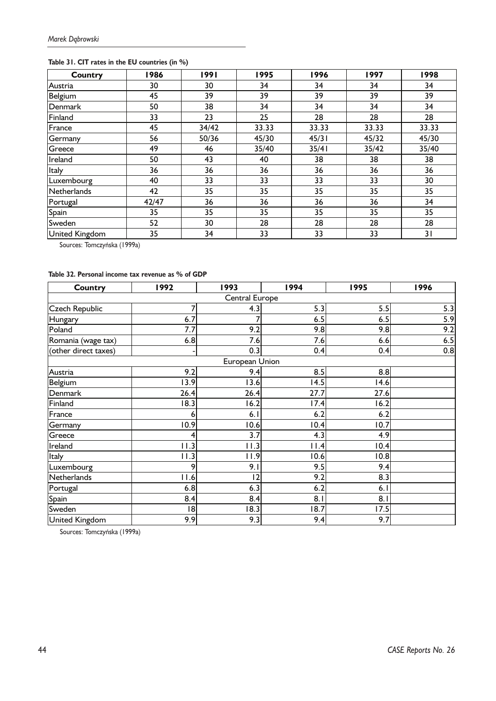| <b>Country</b>        | 1986  | 1991  | 1995  | 1996  | 1997  | 1998  |
|-----------------------|-------|-------|-------|-------|-------|-------|
| Austria               | 30    | 30    | 34    | 34    | 34    | 34    |
| <b>Belgium</b>        | 45    | 39    | 39    | 39    | 39    | 39    |
| Denmark               | 50    | 38    | 34    | 34    | 34    | 34    |
| Finland               | 33    | 23    | 25    | 28    | 28    | 28    |
| France                | 45    | 34/42 | 33.33 | 33.33 | 33.33 | 33.33 |
| Germany               | 56    | 50/36 | 45/30 | 45/31 | 45/32 | 45/30 |
| Greece                | 49    | 46    | 35/40 | 35/41 | 35/42 | 35/40 |
| Ireland               | 50    | 43    | 40    | 38    | 38    | 38    |
| Italy                 | 36    | 36    | 36    | 36    | 36    | 36    |
| Luxembourg            | 40    | 33    | 33    | 33    | 33    | 30    |
| Netherlands           | 42    | 35    | 35    | 35    | 35    | 35    |
| Portugal              | 42/47 | 36    | 36    | 36    | 36    | 34    |
| Spain                 | 35    | 35    | 35    | 35    | 35    | 35    |
| Sweden                | 52    | 30    | 28    | 28    | 28    | 28    |
| <b>United Kingdom</b> | 35    | 34    | 33    | 33    | 33    | 31    |

# **Table 31. CIT rates in the EU countries (in %)**

Sources: Tomczyñska (1999a)

#### **Table 32. Personal income tax revenue as % of GDP**

| <b>Country</b>        | 1992 | 1993 | 1994 | 1995 | 1996 |  |  |  |
|-----------------------|------|------|------|------|------|--|--|--|
| Central Europe        |      |      |      |      |      |  |  |  |
| <b>Czech Republic</b> |      | 4.3  | 5.3  | 5.5  | 5.3  |  |  |  |
| Hungary               | 6.7  |      | 6.5  | 6.5  | 5.9  |  |  |  |
| Poland                | 7.7  | 9.2  | 9.8  | 9.8  | 9.2  |  |  |  |
| Romania (wage tax)    | 6.8  | 7.6  | 7.6  | 6.6  | 6.5  |  |  |  |
| (other direct taxes)  |      | 0.3  | 0.4  | 0.4  | 0.8  |  |  |  |
| European Union        |      |      |      |      |      |  |  |  |
| Austria               | 9.2  | 9.4  | 8.5  | 8.8  |      |  |  |  |
| Belgium               | 13.9 | 13.6 | 14.5 | 14.6 |      |  |  |  |
| Denmark               | 26.4 | 26.4 | 27.7 | 27.6 |      |  |  |  |
| Finland               | 18.3 | 16.2 | 17.4 | 16.2 |      |  |  |  |
| France                | 6    | 6.1  | 6.2  | 6.2  |      |  |  |  |
| Germany               | 10.9 | 10.6 | 10.4 | 10.7 |      |  |  |  |
| Greece                | 4    | 3.7  | 4.3  | 4.9  |      |  |  |  |
| Ireland               | 11.3 | 11.3 | 11.4 | 10.4 |      |  |  |  |
| Italy                 | 11.3 | 11.9 | 10.6 | 10.8 |      |  |  |  |
| Luxembourg            | 9    | 9.1  | 9.5  | 9.4  |      |  |  |  |
| Netherlands           | 11.6 | 12   | 9.2  | 8.3  |      |  |  |  |
| Portugal              | 6.8  | 6.3  | 6.2  | 6.1  |      |  |  |  |
| Spain                 | 8.4  | 8.4  | 8.1  | 8.1  |      |  |  |  |
| Sweden                | 18   | 18.3 | 18.7 | 17.5 |      |  |  |  |
| <b>United Kingdom</b> | 9.9  | 9.3  | 9.4  | 9.7  |      |  |  |  |

Sources: Tomczyñska (1999a)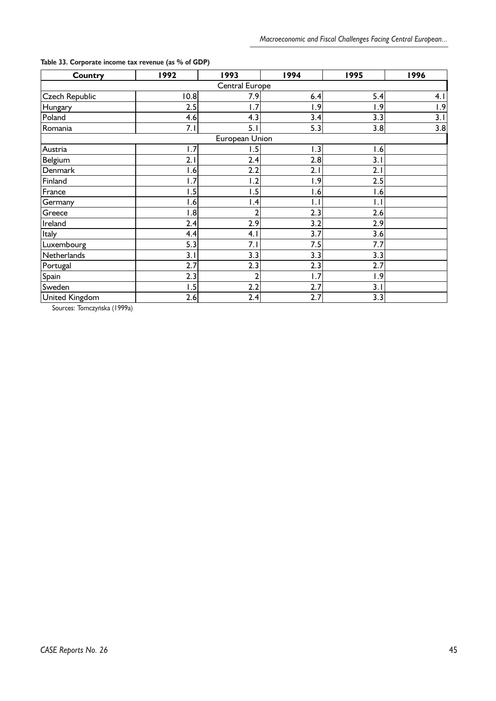| <b>Country</b>        | 1992 | 1993 | 1994 | 1995             | 1996 |  |  |  |
|-----------------------|------|------|------|------------------|------|--|--|--|
| Central Europe        |      |      |      |                  |      |  |  |  |
| <b>Czech Republic</b> | 10.8 | 7.9  | 6.4  | 5.4              | 4.1  |  |  |  |
| Hungary               | 2.5  | 1.7  | 1.9  | 1.9              | 1.9  |  |  |  |
| Poland                | 4.6  | 4.3  | 3.4  | 3.3              | 3.1  |  |  |  |
| Romania               | 7.1  | 5.1  | 5.3  | 3.8              | 3.8  |  |  |  |
| European Union        |      |      |      |                  |      |  |  |  |
| Austria               | 1.7  | 1.5  | 1.3  | 1.6              |      |  |  |  |
| Belgium               | 2.1  | 2.4  | 2.8  | 3.1              |      |  |  |  |
| Denmark               | 1.6  | 2.2  | 2.1  | 2.1              |      |  |  |  |
| Finland               | 1.7  | 1.2  | 1.9  | 2.5              |      |  |  |  |
| France                | 1.5  | 1.5  | 1.6  | 1.6              |      |  |  |  |
| Germany               | 1.6  | 1.4  | L.   | $\overline{1}$ . |      |  |  |  |
| Greece                | 1.8  |      | 2.3  | 2.6              |      |  |  |  |
| Ireland               | 2.4  | 2.9  | 3.2  | 2.9              |      |  |  |  |
| Italy                 | 4.4  | 4.1  | 3.7  | 3.6              |      |  |  |  |
| Luxembourg            | 5.3  | 7.1  | 7.5  | 7.7              |      |  |  |  |
| Netherlands           | 3.1  | 3.3  | 3.3  | 3.3              |      |  |  |  |
| Portugal              | 2.7  | 2.3  | 2.3  | 2.7              |      |  |  |  |
| Spain                 | 2.3  |      | 1.7  | 1.9              |      |  |  |  |
| Sweden                | 1.5  | 2.2  | 2.7  | 3.1              |      |  |  |  |
| <b>United Kingdom</b> | 2.6  | 2.4  | 2.7  | 3.3              |      |  |  |  |

# **Table 33. Corporate income tax revenue (as % of GDP)**

Sources: Tomczyñska (1999a)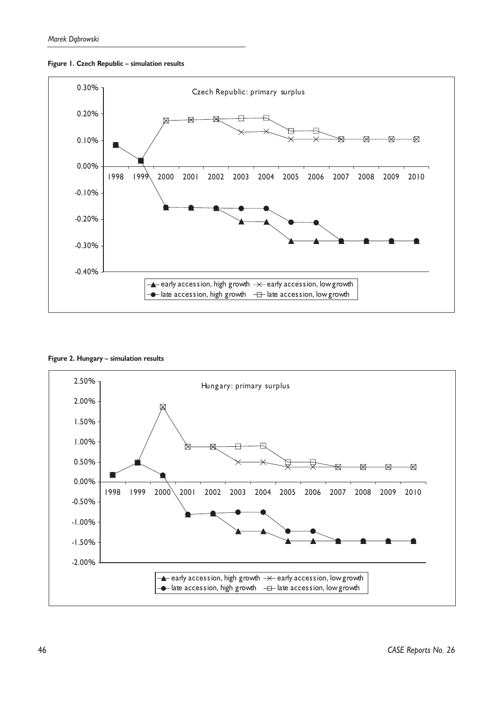



**Figure 2. Hungary – simulation results**

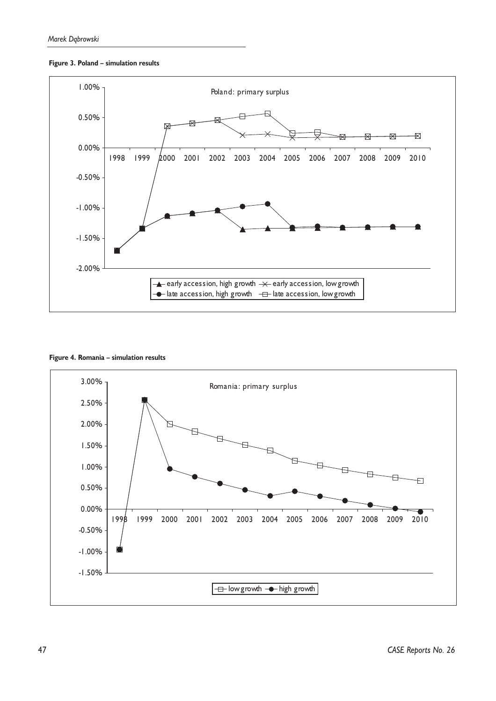



**Figure 4. Romania – simulation results**

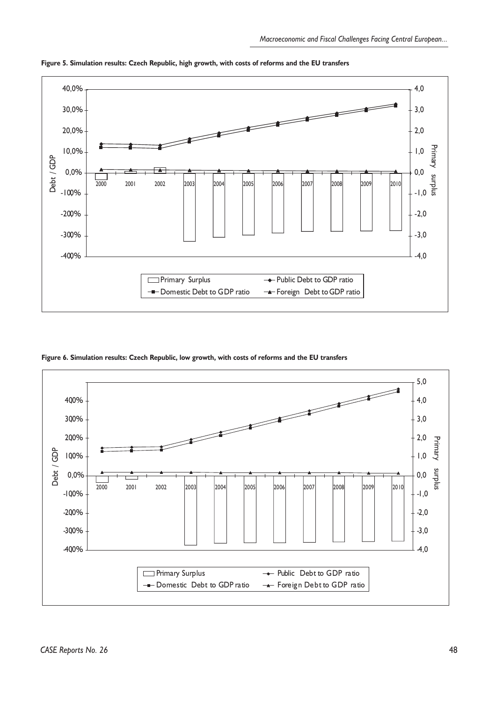

**Figure 5. Simulation results: Czech Republic, high growth, with costs of reforms and the EU transfers**

**Figure 6. Simulation results: Czech Republic, low growth, with costs of reforms and the EU transfers**

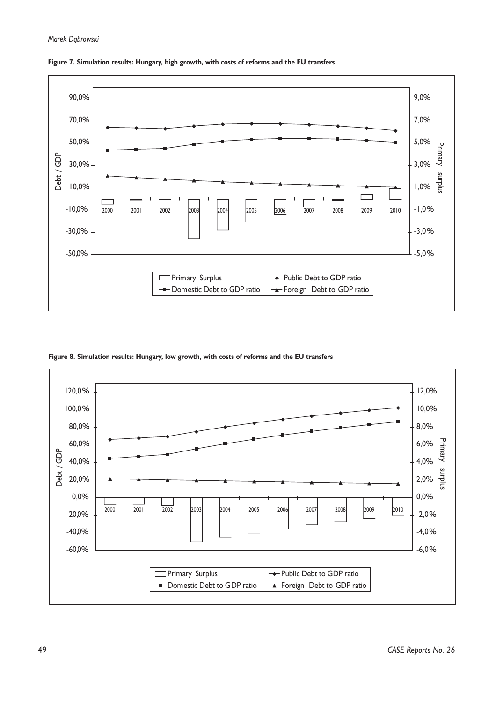



**Figure 8. Simulation results: Hungary, low growth, with costs of reforms and the EU transfers**

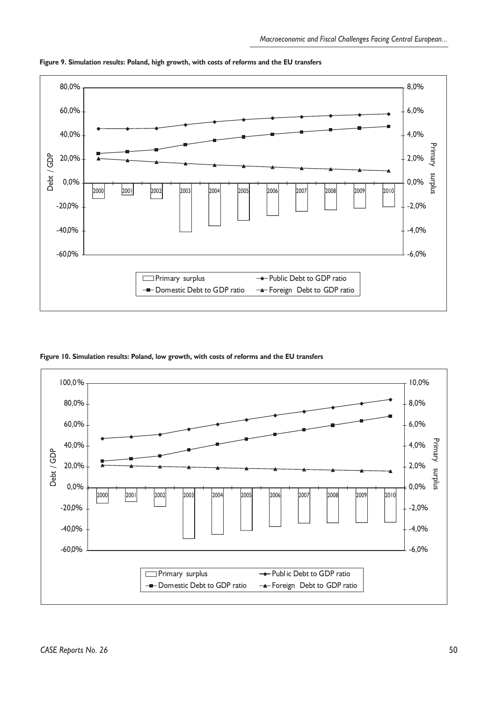

**Figure 9. Simulation results: Poland, high growth, with costs of reforms and the EU transfers**

**Figure 10. Simulation results: Poland, low growth, with costs of reforms and the EU transfers**